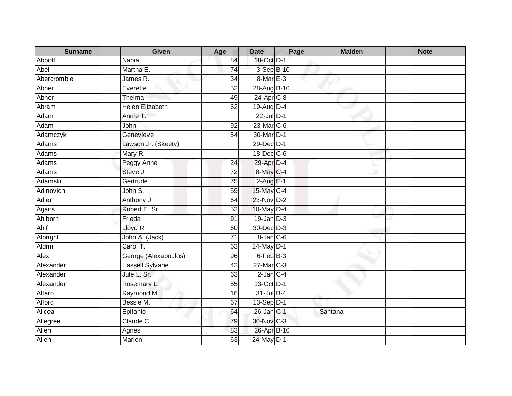| <b>Surname</b> | Given                  | Age             | <b>Date</b>     | Page | <b>Maiden</b> | <b>Note</b> |
|----------------|------------------------|-----------------|-----------------|------|---------------|-------------|
| <b>Abbott</b>  | Nabia                  | 84              | 18-Oct D-1      |      |               |             |
| Abel           | Martha E.              | $\overline{74}$ | 3-Sep B-10      |      |               |             |
| Abercrombie    | James R.               | 34              | 8-Mar E-3       |      |               |             |
| Abner          | Everette               | 52              | 28-Aug B-10     |      |               |             |
| Abner          | Thelma                 | 49              | 24-Apr C-8      |      |               |             |
| Abram          | <b>Helen Elizabeth</b> | 62              | 19-Aug D-4      |      |               |             |
| Adam           | Annie T.               |                 | 22-Jul D-1      |      |               |             |
| Adam           | John                   | 92              | 23-Mar C-6      |      |               |             |
| Adamczyk       | Genevieve              | $\overline{54}$ | 30-Mar D-1      |      |               |             |
| Adams          | Lawson Jr. (Skeety)    |                 | 29-Dec D-1      |      |               |             |
| Adams          | Mary R.                |                 | 18-Dec C-6      |      |               |             |
| Adams          | Peggy Anne             | 24              | 29-Apr D-4      |      |               |             |
| Adams          | Steve J.               | 72              | 8-May C-4       |      |               |             |
| Adamski        | Gertrude               | 75              | $2-AugE-1$      |      |               |             |
| Adinovich      | John S.                | 59              | 15-May C-4      |      |               |             |
| <b>Adler</b>   | Anthony J.             | 64              | 23-Nov D-2      |      |               |             |
| Agans          | Robert E. Sr.          | 52              | $10$ -May $D-4$ |      |               |             |
| Ahlborn        | Frieda                 | 91              | $19$ -Jan $D-3$ |      |               |             |
| Ahlf           | Lloyd R.               | 60              | 30-Dec D-3      |      |               |             |
| Albright       | John A. (Jack)         | $\overline{71}$ | $8$ -Jan $C$ -6 |      |               |             |
| <b>Aldrin</b>  | Carol T.               | 63              | 24-May D-1      |      |               |             |
| Alex           | George (Alexapoulos)   | 96              | 6-Feb B-3       |      |               |             |
| Alexander      | <b>Hassell Sylvane</b> | 42              | 27-Mar C-3      |      |               |             |
| Alexander      | Jule L. Sr.            | 63              | $2$ -Jan $C-4$  |      |               |             |
| Alexander      | Rosemary L.            | 55              | 13-Oct D-1      |      |               |             |
| Alfaro         | Raymond M.             | 16              | 31-Jul B-4      |      |               |             |
| Alford         | Bessie M.              | 67              | $13-Sep D-1$    |      |               |             |
| Alicea         | Epifanio               | 64              | 26-Jan C-1      |      | Santana       |             |
| Allegree       | Claude C.              | 79              | 30-Nov C-3      |      |               |             |
| Allen          | Agnes                  | 83              | 26-Apr B-10     |      |               |             |
| Allen          | Marion                 | 63              | 24-May D-1      |      |               |             |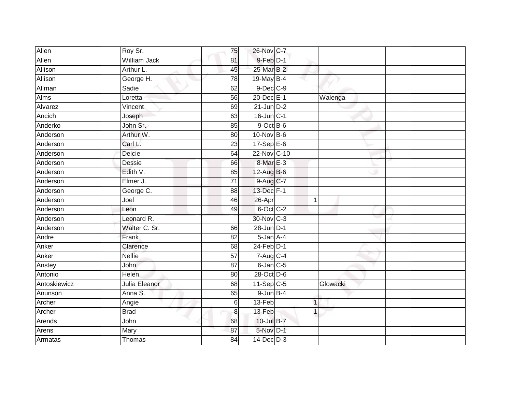| Allen        | Roy Sr.       | 75              | 26-Nov C-7      |          |  |
|--------------|---------------|-----------------|-----------------|----------|--|
| Allen        | William Jack  | 81              | 9-Feb D-1       |          |  |
| Allison      | Arthur L.     | 45              | 25-Mar B-2      |          |  |
| Allison      | George H.     | 78              | 19-May B-4      |          |  |
| Allman       | Sadie         | 62              | $9$ -Dec $C$ -9 |          |  |
| Alms         | Loretta       | 56              | 20-Dec E-1      | Walenga  |  |
| Alvarez      | Vincent       | 69              | $21$ -Jun $D-2$ |          |  |
| Ancich       | Joseph        | 63              | 16-Jun C-1      |          |  |
| Anderko      | John Sr.      | 85              | $9$ -Oct $B$ -6 |          |  |
| Anderson     | Arthur W.     | 80              | 10-Nov B-6      |          |  |
| Anderson     | Carl L.       | 23              | $17-Sep$ $E-6$  |          |  |
| Anderson     | Delcie        | 64              | 22-Nov C-10     |          |  |
| Anderson     | Dessie        | 66              | 8-Mar E-3       |          |  |
| Anderson     | Edith V.      | 85              | 12-Aug B-6      |          |  |
| Anderson     | Elmer J.      | $\overline{71}$ | 9-Aug C-7       |          |  |
| Anderson     | George C.     | 88              | 13-Dec F-1      |          |  |
| Anderson     | Joel          | 46              | 26-Apr          | 1        |  |
| Anderson     | Leon          | 49              | 6-Oct C-2       |          |  |
| Anderson     | Leonard R.    |                 | 30-Nov C-3      |          |  |
| Anderson     | Walter C. Sr. | 66              | 28-Jun D-1      |          |  |
| Andre        | Frank         | 82              | 5-Jan A-4       |          |  |
| Anker        | Clarence      | 68              | $24$ -Feb $D-1$ |          |  |
| Anker        | <b>Nellie</b> | 57              | 7-Aug C-4       |          |  |
| Anstey       | <b>John</b>   | 87              | $6$ -Jan $C$ -5 |          |  |
| Antonio      | Helen         | 80              | 28-Oct D-6      |          |  |
| Antoskiewicz | Julia Eleanor | 68              | $11-Sep C-5$    | Glowacki |  |
| Anunson      | Anna S.       | 65              | $9$ -Jun $B-4$  |          |  |
| Archer       | Angie         | 6               | 13-Feb          | 1        |  |
| Archer       | <b>Brad</b>   | $\bf{8}$        | 13-Feb          | 1        |  |
| Arends       | John          | 68              | 10-Jul B-7      |          |  |
| Arens        | Mary          | 87              | 5-Nov D-1       |          |  |
| Armatas      | Thomas        | 84              | $14$ -Dec $D-3$ |          |  |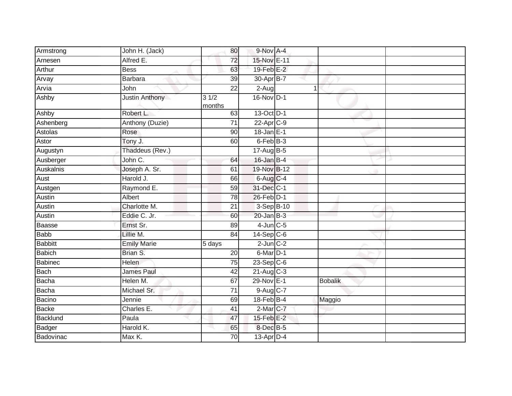| Armstrong       | John H. (Jack)     | 80              | 9-Nov A-4               |   |                |  |
|-----------------|--------------------|-----------------|-------------------------|---|----------------|--|
| Arnesen         | Alfred E.          | 72              | 15-Nov E-11             |   |                |  |
| Arthur          | <b>Bess</b>        | 63              | 19-Feb E-2              |   |                |  |
| Arvay           | Barbara            | 39              | $30$ -Apr $B$ -7        |   |                |  |
| Arvia           | John               | $\overline{22}$ | $2-Aug$                 | 1 |                |  |
| Ashby           | Justin Anthony     | 31/2<br>months  | 16-Nov D-1              |   |                |  |
| Ashby           | Robert L.          | 63              | $13-Oct$ D-1            |   |                |  |
| Ashenberg       | Anthony (Duzie)    | $\overline{71}$ | $22$ -Apr $C-9$         |   |                |  |
| Astolas         | Rose               | 90              | $18 - Jan$ E-1          |   |                |  |
| Astor           | Tony J.            | 60              | 6-Feb B-3               |   |                |  |
| Augustyn        | Thaddeus (Rev.)    |                 | $17$ -Aug $B$ -5        |   |                |  |
| Ausberger       | John C.            | 64              | $16$ -Jan B-4           |   |                |  |
| Auskalnis       | Joseph A. Sr.      | 61              | 19-Nov B-12             |   |                |  |
| Aust            | Harold J.          | 66              | 6-Aug C-4               |   |                |  |
| Austgen         | Raymond E.         | 59              | 31-Dec C-1              |   |                |  |
| Austin          | Albert             | 78              | $26$ -Feb $D-1$         |   |                |  |
| Austin          | Charlotte M.       | 21              | 3-Sep B-10              |   |                |  |
| Austin          | Eddie C. Jr.       | 60              | $20$ -Jan B-3           |   |                |  |
| Baasse          | Ernst Sr.          | 89              | $4$ -Jun $C$ -5         |   |                |  |
| <b>Babb</b>     | Lillie M.          | 84              | $14-Sep$ C-6            |   |                |  |
| <b>Babbitt</b>  | <b>Emily Marie</b> | 5 days          | $2$ -Jun $C-2$          |   |                |  |
| <b>Babich</b>   | Brian S.           | 20              | $6$ -Mar $D-1$          |   |                |  |
| Babinec         | <b>Helen</b>       | 75              | $23-Sep$ C-6            |   |                |  |
| <b>Bach</b>     | <b>James Paul</b>  | 42              | $21-Aug$ <sub>C-3</sub> |   |                |  |
| <b>Bacha</b>    | Helen M.           | 67              | 29-Nov E-1              |   | <b>Bobalik</b> |  |
| <b>Bacha</b>    | Michael Sr.        | $\overline{71}$ | 9-Aug C-7               |   |                |  |
| Bacino          | Jennie             | 69              | $18$ -Feb $B$ -4        |   | Maggio         |  |
| Backe           | Charles E.         | 41              | $2$ -Mar $ C-7 $        |   |                |  |
| <b>Backlund</b> | Paula              | 47              | $15$ -Feb $E-2$         |   |                |  |
| Badger          | Harold K.          | 65              | 8-Dec B-5               |   |                |  |
| Badovinac       | Max K.             | 70              | $13$ -Apr $D-4$         |   |                |  |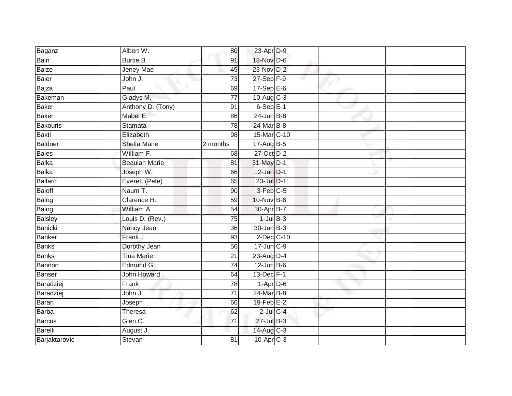| Baganz          | Albert W.            | 80              | 23-Apr D-9              |  |  |
|-----------------|----------------------|-----------------|-------------------------|--|--|
| Bain            | Burtie B.            | 91              | 18-Nov D-6              |  |  |
| Baize           | Jeney Mae            | 45              | 23-Nov D-2              |  |  |
| <b>Bajer</b>    | John J.              | 73              | $27-Sep$ F-9            |  |  |
| Bajza           | Paul                 | 69              | $17-SepE-6$             |  |  |
| Bakeman         | Gladys M.            | $\overline{77}$ | $10-Aug$ $C-3$          |  |  |
| Baker           | Anthony D. (Tony)    | 91              | $6-Sep$ E-1             |  |  |
| Baker           | Mabel E.             | 86              | $24$ -Jun $B-8$         |  |  |
| <b>Bakouris</b> | <b>Stamata</b>       | 78              | 24-Mar B-8              |  |  |
| Bakti           | Elizabeth            | 98              | 15-Mar C-10             |  |  |
| Baldner         | <b>Shelia Marie</b>  | 2 months        | 17-Aug B-5              |  |  |
| Bales           | William F.           | 68              | 27-Oct D-2              |  |  |
| Balka           | <b>Beaulah Marie</b> | 81              | 31-May D-1              |  |  |
| <b>Balka</b>    | Joseph W.            | 66              | $12$ -Jan $D-1$         |  |  |
| <b>Ballard</b>  | Everett (Pete)       | 65              | 23-Jul D-1              |  |  |
| Baloff          | Naum T.              | 90              | 3-Feb C-5               |  |  |
| Balog           | Clarence H.          | 59              | 10-Nov B-6              |  |  |
| Balog           | William A.           | 54              | 30-Apr B-7              |  |  |
| <b>Balsley</b>  | Louis D. (Rev.)      | 75              | $1$ -Jul $B-3$          |  |  |
| Banicki         | Nancy Jean           | 36              | $30 - Jan$ $B-3$        |  |  |
| Banker          | Frank J.             | 93              | $2$ -Dec $C$ -10        |  |  |
| <b>Banks</b>    | Dorothy Jean         | 56              | $17 - Jun$ $C-9$        |  |  |
| Banks           | <b>Tina Marie</b>    | 21              | $23$ -Aug D-4           |  |  |
| Bannon          | Edmund G.            | 74              | $12$ -Jun B-6           |  |  |
| Banser          | <b>John Howard</b>   | 64              | 13-Dec F-1              |  |  |
| Baradziej       | Frank                | 78              | $1-Apr$ D-6             |  |  |
| Baradziej       | John J.              | $\overline{71}$ | 24-Mar B-8              |  |  |
| Baran           | Joseph               | 66              | $19$ -Feb $E-2$         |  |  |
| Barba           | Theresa              | 62              | $2$ -Jul $C$ -4         |  |  |
| <b>Barcus</b>   | Glen C.              | $\overline{71}$ | 27-Jul B-3              |  |  |
| Barelli         | August J.            |                 | 14-Aug C-3              |  |  |
| Barjaktarovic   | Stevan               | 81              | $10-Apr$ <sub>C-3</sub> |  |  |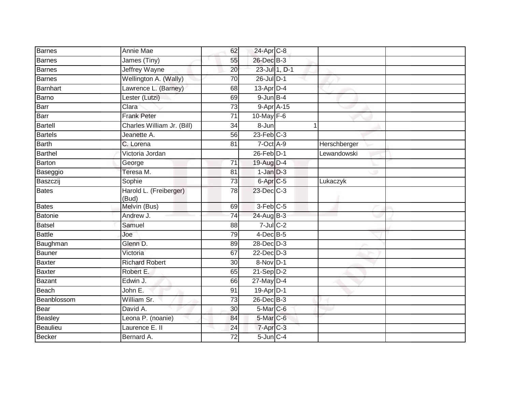| <b>Barnes</b>  | Annie Mae                       | 62              | 24-Apr C-8             |              |  |
|----------------|---------------------------------|-----------------|------------------------|--------------|--|
| Barnes         | James (Tiny)                    | 55              | 26-Dec B-3             |              |  |
| Barnes         | Jeffrey Wayne                   | 20              | 23-Jul 1, D-1          |              |  |
| Barnes         | Wellington A. (Wally)           | 70              | $26$ -Jul $D-1$        |              |  |
| Barnhart       | Lawrence L. (Barney)            | 68              | $13$ -Apr $D-4$        |              |  |
| Barno          | Lester (Lutzi)                  | 69              | $9$ -Jun $B-4$         |              |  |
| Barr           | Clara                           | 73              | 9-Apr A-15             |              |  |
| Barr           | <b>Frank Peter</b>              | 71              | 10-May F-6             |              |  |
| Bartell        | Charles William Jr. (Bill)      | 34              | 8-Jun                  |              |  |
| <b>Bartels</b> | Jeanette A.                     | 56              | $23$ -Feb $C-3$        |              |  |
| Barth          | C. Lorena                       | 81              | 7-Oct A-9              | Herschberger |  |
| <b>Barthel</b> | Victoria Jordan                 |                 | 26-Feb D-1             | Lewandowski  |  |
| Barton         | George                          | 71              | 19-Aug D-4             |              |  |
| Baseggio       | Teresa M.                       | 81              | $1$ -Jan $D-3$         |              |  |
| Baszczij       | Sophie                          | $\overline{73}$ | 6-Apr <sub>C-5</sub>   | Lukaczyk     |  |
| <b>Bates</b>   | Harold L. (Freiberger)<br>(Bud) | 78              | 23-Dec C-3             |              |  |
| Bates          | Melvin (Bus)                    | 69              | $3-Feb$ <sub>C-5</sub> |              |  |
| Batonie        | Andrew J.                       | 74              | 24-Aug B-3             |              |  |
| <b>Batsel</b>  | Samuel                          | 88              | $7$ -Jul $C-2$         |              |  |
| <b>Battle</b>  | Joe                             | 79              | $4$ -Dec B-5           |              |  |
| Baughman       | Glenn D.                        | 89              | 28-Dec D-3             |              |  |
| Bauner         | Victoria                        | 67              | $22$ -Dec $D-3$        |              |  |
| Baxter         | <b>Richard Robert</b>           | 30              | 8-Nov D-1              |              |  |
| Baxter         | Robert E.                       | 65              | $21 - Sep$ $D-2$       |              |  |
| Bazant         | Edwin J.                        | 66              | $27$ -May $D-4$        |              |  |
| Beach          | John E.                         | 91              | 19-Apr D-1             |              |  |
| Beanblossom    | William Sr.                     | 73              | 26-Dec B-3             |              |  |
| Bear           | David A.                        | 30              | $5$ -Mar $C$ -6        |              |  |
| Beasley        | Leona P. (noanie)               | 84              | 5-Mar C-6              |              |  |
| Beaulieu       | Laurence E. II                  | 24              | 7-Apr C-3              |              |  |
| Becker         | Bernard A.                      | 72              | $5$ -Jun $C-4$         |              |  |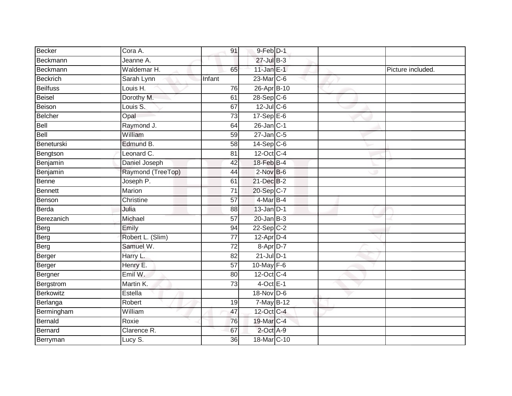| <b>Becker</b>   | Cora A.           | 91              | $9$ -Feb $D-1$    |  |                   |
|-----------------|-------------------|-----------------|-------------------|--|-------------------|
| Beckmann        | Jeanne A.         |                 | 27-Jul B-3        |  |                   |
| Beckmann        | Waldemar H.       | 65              | 11-Jan E-1        |  | Picture included. |
| <b>Beckrich</b> | Sarah Lynn        | Infant          | 23-Mar C-6        |  |                   |
| <b>Beilfuss</b> | Louis H.          | 76              | 26-Apr B-10       |  |                   |
| <b>Beisel</b>   | Dorothy M.        | 61              | $28-Sep$ C-6      |  |                   |
| Beison          | Louis S.          | 67              | $12$ -Jul C-6     |  |                   |
| <b>Belcher</b>  | Opal              | 73              | 17-Sep E-6        |  |                   |
| Bell            | Raymond J.        | 64              | $26$ -Jan $ C-1 $ |  |                   |
| <b>Bell</b>     | William           | 59              | $27$ -Jan $C$ -5  |  |                   |
| Beneturski      | Edmund B.         | 58              | $14-Sep$ C-6      |  |                   |
| Bengtson        | Leonard C.        | 81              | 12-Oct C-4        |  |                   |
| Benjamin        | Daniel Joseph     | 42              | 18-Feb B-4        |  |                   |
| Benjamin        | Raymond (TreeTop) | 44              | $2$ -Nov $B-6$    |  |                   |
| Benne           | Joseph P.         | 61              | 21-Dec B-2        |  |                   |
| <b>Bennett</b>  | Marion            | $\overline{71}$ | 20-Sep C-7        |  |                   |
| Benson          | Christine         | 57              | $4$ -Mar B-4      |  |                   |
| Berda           | Julia             | 88              | $13$ -Jan $D-1$   |  |                   |
| Berezanich      | Michael           | 57              | $20$ -Jan $B-3$   |  |                   |
| Berg            | Emily             | 94              | $22-Sep$ C-2      |  |                   |
| Berg            | Robert L. (Slim)  | 77              | $12-Apr$ D-4      |  |                   |
| Berg            | Samuel W.         | $\overline{72}$ | 8-Apr D-7         |  |                   |
| Berger          | Harry L.          | 82              | $21$ -Jul D-1     |  |                   |
| Berger          | Henry E.          | $\overline{57}$ | $10$ -May $F-6$   |  |                   |
| Bergner         | Emil W.           | 80              | 12-Oct C-4        |  |                   |
| Bergstrom       | Martin K.         | 73              | $4$ -Oct E-1      |  |                   |
| Berkowitz       | Estella           |                 | 18-Nov D-6        |  |                   |
| Berlanga        | Robert            | 19              | 7-May B-12        |  |                   |
| Bermingham      | William           | 47              | 12-Oct C-4        |  |                   |
| Bernald         | Roxie             | 76              | 19-Mar C-4        |  |                   |
| <b>Bernard</b>  | Clarence R.       | 67              | 2-Oct A-9         |  |                   |
| Berryman        | Lucy S.           | $\overline{36}$ | 18-Mar C-10       |  |                   |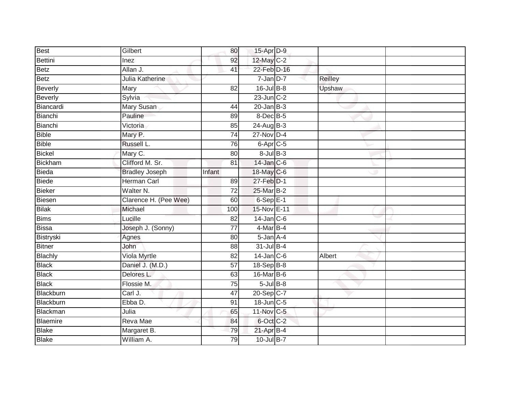| Best          | Gilbert               | 80              | 15-Apr D-9       |         |  |
|---------------|-----------------------|-----------------|------------------|---------|--|
| Bettini       | Inez                  | 92              | 12-May C-2       |         |  |
| Betz          | Allan J.              | 41              | 22-Feb D-16      |         |  |
| Betz          | Julia Katherine       |                 | $7$ -Jan $D-7$   | Reilley |  |
| Beverly       | Mary                  | $\overline{82}$ | $16$ -Jul $B-8$  | Upshaw  |  |
| Beverly       | Sylvia                |                 | $23$ -Jun $C-2$  |         |  |
| Biancardi     | <b>Mary Susan</b>     | 44              | $20$ -Jan $B-3$  |         |  |
| Bianchi       | Pauline               | 89              | 8-Dec B-5        |         |  |
| Bianchi       | Victoria              | 85              | 24-Aug B-3       |         |  |
| Bible         | Mary P.               | $\overline{74}$ | $27$ -Nov D-4    |         |  |
| <b>Bible</b>  | Russell L.            | 76              | 6-Apr C-5        |         |  |
| <b>Bickel</b> | Mary C.               | 80              | $8$ -Jul $B$ -3  |         |  |
| Bickham       | Clifford M. Sr.       | 81              | $14$ -Jan $C-6$  |         |  |
| Bieda         | <b>Bradley Joseph</b> | Infant          | 18-May C-6       |         |  |
| Biede         | <b>Herman Carl</b>    | 89              | 27-Feb D-1       |         |  |
| <b>Bieker</b> | Walter N.             | 72              | 25-Mar B-2       |         |  |
| Biesen        | Clarence H. (Pee Wee) | 60              | $6-Sep$ E-1      |         |  |
| <b>Bilak</b>  | Michael               | 100             | 15-Nov E-11      |         |  |
| <b>Bims</b>   | Lucille               | 82              | $14$ -Jan $C$ -6 |         |  |
| Bissa         | Joseph J. (Sonny)     | 77              | $4$ -Mar B-4     |         |  |
| Bistryski     | Agnes                 | 80              | $5 - Jan A - 4$  |         |  |
| <b>Bitner</b> | John                  | 88              | 31-Jul B-4       |         |  |
| Blachly       | Viola Myrtle          | $\overline{82}$ | $14$ -Jan $C-6$  | Albert  |  |
| <b>Black</b>  | Daniel J. (M.D.)      | 57              | $18 - SepB-8$    |         |  |
| <b>Black</b>  | Delores L.            | 63              | $16$ -Mar $B$ -6 |         |  |
| <b>Black</b>  | Flossie M.            | 75              | $5$ -Jul $B$ -8  |         |  |
| Blackburn     | Carl J.               | 47              | 20-Sep C-7       |         |  |
| Blackburn     | Ebba D.               | 91              | 18-Jun C-5       |         |  |
| Blackman      | Julia                 | 65              | 11-Nov C-5       |         |  |
| Blaemire      | Reva Mae              | 84              | 6-Oct C-2        |         |  |
| Blake         | Margaret B.           | 79              | $21-Apr$ B-4     |         |  |
| <b>Blake</b>  | William A.            | 79              | 10-Jul B-7       |         |  |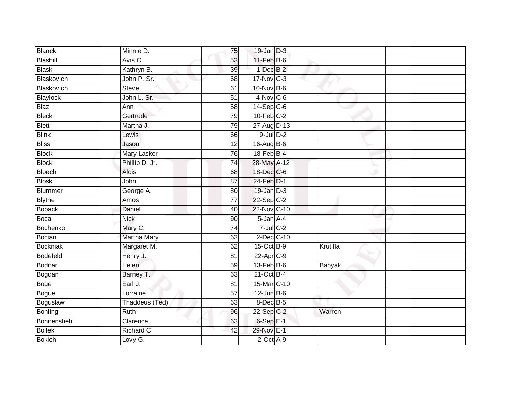| <b>Blanck</b>   | Minnie D.          | 75              | $19$ -Jan $D-3$  |          |  |
|-----------------|--------------------|-----------------|------------------|----------|--|
| Blashill        | Avis O.            | 53              | $11$ -Feb $B$ -6 |          |  |
| Blaski          | Kathryn B.         | 39              | $1-Dec$ B-2      |          |  |
| Blaskovich      | John P. Sr.        | 68              | 17-Nov C-3       |          |  |
| Blaskovich      | <b>Steve</b>       | 61              | $10$ -Nov $B-6$  |          |  |
| Blaylock        | John L. Sr.        | 51              | $4-Nov$ C-6      |          |  |
| <b>Blaz</b>     | Ann                | 58              | $14-Sep$ C-6     |          |  |
| <b>Bleck</b>    | Gertrude           | 79              | $10$ -Feb $C-2$  |          |  |
| <b>Blett</b>    | Martha J.          | 79              | 27-Aug D-13      |          |  |
| <b>Blink</b>    | Lewis              | 66              | $9$ -Jul $D-2$   |          |  |
| <b>Bliss</b>    | Jason              | $\overline{12}$ | 16-Aug B-6       |          |  |
| Block           | Mary Lasker        | 76              | $18$ -Feb $B$ -4 |          |  |
| <b>Block</b>    | Phillip D. Jr.     | 74              | 28-May A-12      |          |  |
| Bloechl         | <b>Alois</b>       | 68              | 18-Dec C-6       |          |  |
| Bloski          | John               | $\overline{87}$ | 24-Feb D-1       |          |  |
| Blummer         | George A.          | 80              | $19$ -Jan $D-3$  |          |  |
| <b>Blythe</b>   | Amos               | $\overline{77}$ | $22-Sep C-2$     |          |  |
| <b>Boback</b>   | Daniel             | 40              | 22-Nov C-10      |          |  |
| Boca            | <b>Nick</b>        | 90              | 5-Jan A-4        |          |  |
| Bochenko        | Mary C.            | 74              | $7$ -Jul $C$ -2  |          |  |
| Bocian          | <b>Martha Mary</b> | 63              | $2$ -Dec $C$ -10 |          |  |
| <b>Bockniak</b> | Margaret M.        | 62              | $15$ -Oct B-9    | Krutilla |  |
| Bodefeld        | Henry J.           | 81              | 22-Apr C-9       |          |  |
| Bodnar          | Helen              | 59              | $13$ -Feb $B$ -6 | Babyak   |  |
| Bogdan          | Barney T.          | 63              | $21$ -Oct B-4    |          |  |
| Boge            | Earl J.            | 81              | 15-Mar C-10      |          |  |
| Bogue           | Lorraine           | $\overline{57}$ | $12$ -Jun B-6    |          |  |
| Boguslaw        | Thaddeus (Ted)     | 63              | $8$ -Dec $B$ -5  |          |  |
| Bohling         | <b>Ruth</b>        | 96              | $22-Sep$ C-2     | Warren   |  |
| Bohnenstiehl    | Clarence           | 63              | $6-Sep$ E-1      |          |  |
| Boilek          | Richard C.         | 42              | 29-Nov E-1       |          |  |
| <b>Bokich</b>   | Lovy $G$ .         |                 | $2$ -Oct $A-9$   |          |  |
|                 |                    |                 |                  |          |  |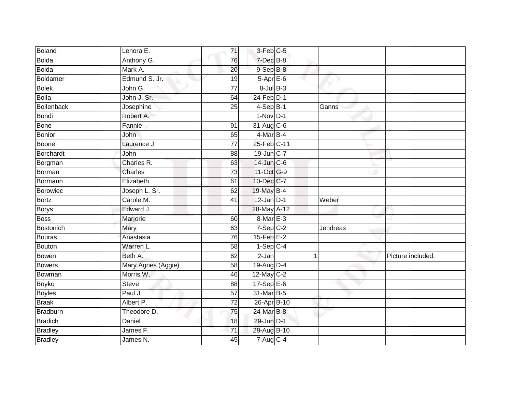| Boland            | Lenora E.           | $\overline{71}$ | 3-Feb C-5                  |          |                   |
|-------------------|---------------------|-----------------|----------------------------|----------|-------------------|
| <b>Bolda</b>      | Anthony G.          | 76              | 7-Dec B-8                  |          |                   |
| <b>Bolda</b>      | Mark A.             | 20              | $9-$ Sep $B-8$             |          |                   |
| Boldamer          | Edmund S. Jr.       | 19              | $5-AprE-6$                 |          |                   |
| <b>Bolek</b>      | John G.             | $\overline{77}$ | $8$ -Jul $B$ -3            |          |                   |
| <b>Bolla</b>      | John J. Sr.         | 64              | $24$ -Feb $D-1$            |          |                   |
| <b>Bollenback</b> | Josephine           | 25              | $4-$ Sep $ B-1 $           | Ganns    |                   |
| <b>Bondi</b>      | Robert A.           |                 | $1-Nov$ D-1                |          |                   |
| <b>Bone</b>       | Fannie              | 91              | 31-Aug C-6                 |          |                   |
| <b>Bonior</b>     | John                | 65              | $4$ -Mar $\overline{B}$ -4 |          |                   |
| Boone             | Laurence J.         | 77              | 25-Feb C-11                |          |                   |
| Borchardt         | John                | 88              | 19-Jun C-7                 |          |                   |
| Borgman           | Charles R.          | 63              | 14-Jun C-6                 |          |                   |
| Borman            | Charles             | 73              | 11-Oct G-9                 |          |                   |
| Bormann           | Elizabeth           | 61              | 10-Dec C-7                 |          |                   |
| Borowiec          | Joseph L. Sr.       | 62              | 19-May B-4                 |          |                   |
| <b>Bortz</b>      | Carole M.           | $\overline{41}$ | $12$ -Jan $D-1$            | Weber    |                   |
| <b>Borys</b>      | Edward J.           |                 | 28-May A-12                |          |                   |
| <b>Boss</b>       | Marjorie            | 60              | 8-Mar E-3                  |          |                   |
| <b>Bostonich</b>  | Mary                | 63              | $7-Sep$ $C-2$              | Jendreas |                   |
| <b>Bouras</b>     | Anastasia           | 76              | $15$ -Feb $E-2$            |          |                   |
| Bouton            | Warren L.           | $\overline{58}$ | $1-Sep$ C-4                |          |                   |
| Bowen             | Beth A.             | 62              | $2-Jan$                    | 1        | Picture included. |
| <b>Bowers</b>     | Mary Agnes (Aggie)  | 58              | 19-Aug D-4                 |          |                   |
| Bowman            | Morris W.           | 46              | $12$ -May C-2              |          |                   |
| Boyko             | Steve               | 88              | $17-Sep \tE-6$             |          |                   |
| <b>Boyles</b>     | Paul J.             | 57              | 31-Mar B-5                 |          |                   |
| <b>Braak</b>      | Albert P.           | 72              | 26-Apr B-10                |          |                   |
| <b>Bradburn</b>   | Theodore D.         | 75              | 24-Mar B-8                 |          |                   |
| <b>Bradich</b>    | Daniel              | 18              | 29-Jun D-1                 |          |                   |
| <b>Bradley</b>    | James <sub>F.</sub> | 71              | 28-Aug B-10                |          |                   |
| <b>Bradley</b>    | James N.            | 45              | $7-Aug$ <sub>C-4</sub>     |          |                   |
|                   |                     |                 |                            |          |                   |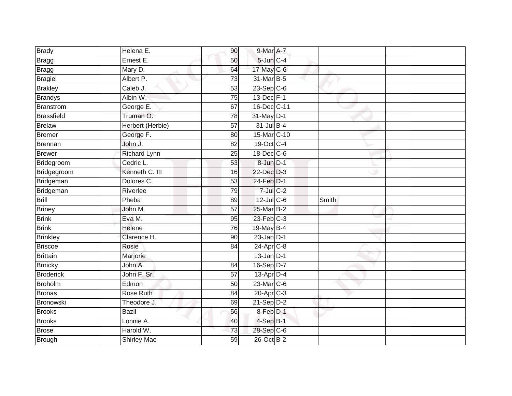| <b>Brady</b>           | Helena E.                       | 90 <sup>°</sup> | 9-Mar A-7                |       |
|------------------------|---------------------------------|-----------------|--------------------------|-------|
| Bragg                  | Ernest E.                       | 50              | 5-Jun C-4                |       |
| Bragg                  | Mary D.                         | 64              | 17-May C-6               |       |
| <b>Bragiel</b>         | Albert P.                       | 73              | 31-Mar B-5               |       |
| <b>Brakley</b>         | Caleb J.                        | $\overline{53}$ | $23-Sep C-6$             |       |
| <b>Brandys</b>         | Albin W.                        | 75              | 13-Dec F-1               |       |
| Branstrom              | George E.                       | 67              | 16-Dec C-11              |       |
| <b>Brassfield</b>      | Truman O.                       | 78              | 31-May D-1               |       |
| Brelaw                 | Herbert (Herbie)                | $\overline{57}$ | 31-Jul B-4               |       |
| Bremer                 | George F.                       | 80              | 15-Mar C-10              |       |
| Brennan                | John J.                         | 82              | 19-Oct C-4               |       |
| <b>Brewer</b>          | Richard Lynn                    | 25              | 18-Dec C-6               |       |
| Bridegroom             | Cedric L.                       | 53              | 8-JunD-1                 |       |
| Bridgegroom            | Kenneth C. III                  | 16              | 22-Dec D-3               |       |
| Bridgeman              | Dolores C.                      | $\overline{53}$ | 24-Feb D-1               |       |
| Bridgeman              | Riverlee                        | 79              | $7$ -Jul $C$ -2          |       |
| <b>Brill</b>           | Pheba                           | 89              | 12-Jul C-6               | Smith |
| <b>Briney</b>          | John M.                         | 57              | 25-Mar B-2               |       |
| <b>Brink</b>           | Eva M.                          | 95              | $23$ -Feb $C-3$          |       |
| <b>Brink</b>           | <b>Helene</b>                   | 76              | 19-May B-4               |       |
| <b>Brinkley</b>        | Clarence H.                     | 90              | $23$ -Jan $D-1$          |       |
| <b>Briscoe</b>         | Rosie                           | 84              | $24$ -Apr $C-8$          |       |
| <b>Brittain</b>        | Marjorie                        |                 | $13$ -Jan $D-1$          |       |
| <b>Brnicky</b>         | John A.                         | 84              | 16-Sep D-7               |       |
| <b>Broderick</b>       | John F. Sr.                     | 57              | $13$ -Apr $D-4$          |       |
| <b>Broholm</b>         | Edmon                           | 50              | $23$ -Mar $C-6$          |       |
| Bronas                 | Rose Ruth                       | 84              | 20-Apr C-3               |       |
| Bronowski              | Theodore J.                     | 69              | $21-SepD-2$              |       |
| <b>Brooks</b>          |                                 |                 | 8-Feb D-1                |       |
|                        | <b>Bazil</b>                    | 56              |                          |       |
| <b>Brooks</b>          | Lonnie A.                       | 40              | $4-SepB-1$               |       |
| Brose<br><b>Brough</b> | Harold W.<br><b>Shirley Mae</b> | $\overline{73}$ | 28-Sep C-6<br>26-Oct B-2 |       |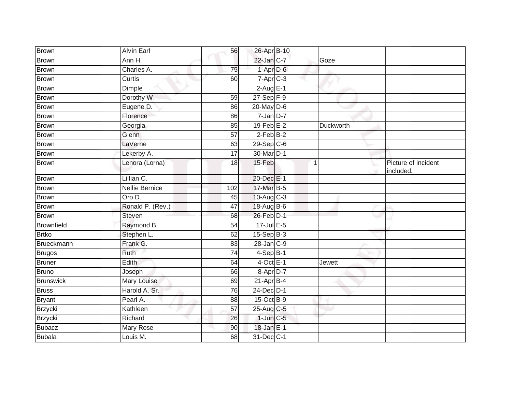| Brown             | <b>Alvin Earl</b>     | 56              | 26-Apr B-10             |           |                                  |
|-------------------|-----------------------|-----------------|-------------------------|-----------|----------------------------------|
| <b>Brown</b>      | Ann H.                |                 | $22$ -Jan $C-7$         | Goze      |                                  |
| <b>Brown</b>      | Charles A.            | 75              | $1-Apr$ D-6             |           |                                  |
| <b>Brown</b>      | Curtis                | 60              | $7-Apr$ C-3             |           |                                  |
| <b>Brown</b>      | <b>Dimple</b>         |                 | $2-AugE-1$              |           |                                  |
| <b>Brown</b>      | Dorothy W.            | 59              | $27-Sep$ F-9            |           |                                  |
| <b>Brown</b>      | Eugene D.             | 86              | $20$ -May $D$ -6        |           |                                  |
| <b>Brown</b>      | Florence              | 86              | $7 - Jan$ $D-7$         |           |                                  |
| <b>Brown</b>      | Georgia               | 85              | $19$ -Feb $E-2$         | Duckworth |                                  |
| <b>Brown</b>      | <b>Glenn</b>          | 57              | $2-FebB-2$              |           |                                  |
| <b>Brown</b>      | LaVerne               | 63              | 29-Sep C-6              |           |                                  |
| <b>Brown</b>      | Lekerby A.            | 17              | 30-Mar D-1              |           |                                  |
| <b>Brown</b>      | Lenora (Lorna)        | 18              | 15-Feb                  | 1<br>÷    | Picture of incident<br>included. |
| <b>Brown</b>      | Lillian C.            |                 | 20-Dec E-1              |           |                                  |
| <b>Brown</b>      | <b>Nellie Bernice</b> | 102             | 17-Mar B-5              |           |                                  |
| <b>Brown</b>      | Oro D.                | 45              | $10-Auq$ <sub>C-3</sub> |           |                                  |
| <b>Brown</b>      | Ronald P. (Rev.)      | 47              | 18-Aug B-6              |           |                                  |
| <b>Brown</b>      | Steven                | 68              | $26$ -Feb $D-1$         |           |                                  |
| <b>Brownfield</b> | Raymond B.            | 54              | 17-Jul E-5              |           |                                  |
| <b>Brtko</b>      | Stephen L.            | 62              | $15-Sep$ B-3            |           |                                  |
| Brueckmann        | Frank G.              | 83              | 28-Jan C-9              |           |                                  |
| <b>Brugos</b>     | Ruth                  | $\overline{74}$ | $4-SepB-1$              |           |                                  |
| Bruner            | Edith                 | 64              | $4$ -Oct E-1            | Jewett    |                                  |
| <b>Bruno</b>      | Joseph                | 66              | 8-Apr D-7               |           |                                  |
| <b>Brunswick</b>  | <b>Mary Louise</b>    | 69              | $21-Apr$ B-4            |           |                                  |
| <b>Bruss</b>      | Harold A. Sr.         | 76              | 24-Dec D-1              |           |                                  |
| <b>Bryant</b>     | Pearl A.              | 88              | 15-Oct B-9              |           |                                  |
| Brzycki           | Kathleen              | 57              | $25$ -Aug C-5           |           |                                  |
| <b>Brzycki</b>    | Richard               | 26              | $1$ -Jun $C - 5$        |           |                                  |
| <b>Bubacz</b>     | Mary Rose             | 90              | 18-Jan E-1              |           |                                  |
| <b>Bubala</b>     | Louis M.              | 68              | 31-Dec C-1              |           |                                  |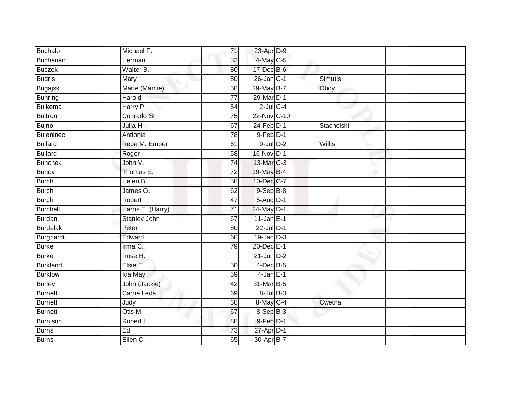| Buchalo          | Michael F.        | 71              | 23-Apr D-9        |                |  |
|------------------|-------------------|-----------------|-------------------|----------------|--|
| Buchanan         | Herman            | 52              | 4-May C-5         |                |  |
| <b>Buczek</b>    | Walter B.         | 80              | 17-Dec B-6        |                |  |
| <b>Budris</b>    | Mary              | 80              | $26$ -Jan $ C-1 $ | <b>Simutis</b> |  |
| Bugajski         | Marie (Mamie)     | $\overline{58}$ | 29-May B-7        | Oboy           |  |
| <b>Buhring</b>   | Harold            | $\overline{77}$ | 29-Mar D-1        |                |  |
| <b>Buikema</b>   | Harry P.          | 54              | $2$ -Jul $C$ -4   |                |  |
| Buitron          | Conrado Sr.       | 75              | 22-Nov C-10       |                |  |
| <b>Bujno</b>     | Julia H.          | 67              | $24$ -Feb $D-1$   | Stachelski     |  |
| <b>Buleninec</b> | Antionia          | 78              | $9$ -Feb $D-1$    |                |  |
| <b>Bullard</b>   | Reba M. Ember     | 61              | $9$ -Jul $D-2$    | Willis         |  |
| <b>Bullard</b>   | Roger             | 58              | 16-Nov D-1        |                |  |
| <b>Bunchek</b>   | John V.           | 74              | 13-Mar C-3        |                |  |
| <b>Bundy</b>     | Thomas E.         | 72              | 19-May B-4        |                |  |
| <b>Burch</b>     | Helen B.          | 58              | 10-Dec C-7        |                |  |
| Burch            | James O.          | 62              | $9-$ Sep $B-8$    |                |  |
| <b>Burch</b>     | Robert            | 47              | 5-Aug D-1         |                |  |
| Burchell         | Harris E. (Harry) | $\overline{71}$ | 24-May D-1        |                |  |
| Burdan           | Stanley John      | 67              | $11$ -Jan $E-1$   |                |  |
| <b>Burdelak</b>  | Peter             | $\overline{80}$ | 22-Jul D-1        |                |  |
| Burghardt        | Edward            | 68              | $19$ -Jan $D-3$   |                |  |
| <b>Burke</b>     | Irma C.           | 79              | 20-Dec E-1        |                |  |
| <b>Burke</b>     | Rose H.           |                 | $21$ -Jun D-2     |                |  |
| <b>Burkland</b>  | Elsie E.          | 50              | $4$ -Dec B-5      |                |  |
| <b>Burklow</b>   | Ida May           | 59              | $4$ -Jan $E-1$    |                |  |
| <b>Burley</b>    | John (Jackie)     | 42              | 31-Mar B-5        |                |  |
| Burnett          | Carrie Leda       | 69              | $8$ -Jul $B$ -3   |                |  |
| Burnett          | Judy              | 38              | 8-May C-4         | Cwetna         |  |
| Burnett          | Otis M.           | 67              | 8-Sep B-3         |                |  |
| Burnison         | Robert L.         | 88              | $9$ -Feb $D-1$    |                |  |
| <b>Burns</b>     | Ed                | 73              | 27-Apr D-1        |                |  |
| <b>Burns</b>     | Ellen C.          | 65              | 30-Apr B-7        |                |  |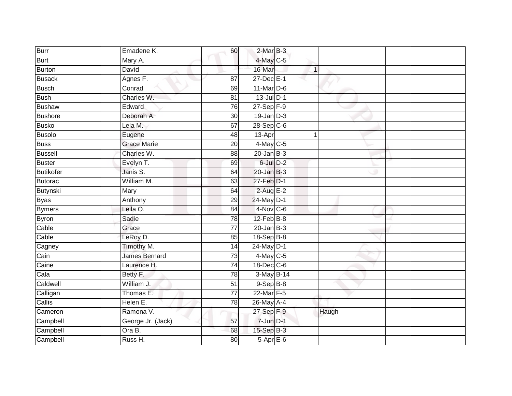| <b>Burr</b>      | Emadene K.           | 60              | $2-MarB-3$      |              |       |  |
|------------------|----------------------|-----------------|-----------------|--------------|-------|--|
| <b>Burt</b>      | Mary A.              |                 | 4-May C-5       |              |       |  |
| Burton           | David                |                 | 16-Mar          | $\mathbf{1}$ |       |  |
| <b>Busack</b>    | Agnes F.             | 87              | 27-Dec E-1      |              |       |  |
| <b>Busch</b>     | Conrad               | 69              | $11$ -Mar $D-6$ |              |       |  |
| <b>Bush</b>      | Charles W.           | 81              | $13$ -Jul $D-1$ |              |       |  |
| Bushaw           | Edward               | 76              | 27-Sep F-9      |              |       |  |
| <b>Bushore</b>   | Deborah A.           | 30              | 19-Jan D-3      |              |       |  |
| <b>Busko</b>     | Lela M.              | 67              | $28-Sep C-6$    |              |       |  |
| <b>Busolo</b>    | Eugene               | 48              | 13-Apr          | 1            |       |  |
| <b>Buss</b>      | <b>Grace Marie</b>   | 20              | $4$ -May C-5    |              |       |  |
| <b>Bussell</b>   | Charles W.           | 88              | $20$ -Jan B-3   |              |       |  |
| Buster           | Evelyn T.            | 69              | $6$ -Jul $D-2$  |              |       |  |
| <b>Butikofer</b> | Janis S.             | 64              | $20$ -Jan $B-3$ |              |       |  |
| Butorac          | William M.           | 63              | 27-Feb D-1      |              |       |  |
| Butynski         | Mary                 | 64              | $2$ -Aug E-2    |              |       |  |
| <b>Byas</b>      | Anthony              | 29              | 24-May D-1      |              |       |  |
| <b>Bymers</b>    | Leila O.             | 84              | 4-Nov C-6       |              |       |  |
| <b>Byron</b>     | Sadie                | 78              | 12-Feb B-8      |              |       |  |
| Cable            | Grace                | $\overline{77}$ | $20$ -Jan $B-3$ |              |       |  |
| Cable            | LeRoy D.             | 85              | 18-Sep B-8      |              |       |  |
| Cagney           | Timothy M.           | 14              | 24-May D-1      |              |       |  |
| Cain             | <b>James Bernard</b> | 73              | $4$ -May C-5    |              |       |  |
| Caine            | Laurence H.          | 74              | 18-Dec C-6      |              |       |  |
| Cala             | Betty F.             | 78              | 3-May B-14      |              |       |  |
| Caldwell         | William J.           | 51              | $9-SepB-8$      |              |       |  |
| Calligan         | Thomas E.            | $\overline{77}$ | 22-Mar F-5      |              |       |  |
| Callis           | Helen E.             | 78              | 26-May A-4      |              |       |  |
| Cameron          | Ramona V.            |                 | 27-Sep F-9      |              | Haugh |  |
| Campbell         | George Jr. (Jack)    | 57              | $7 - Jun$ $D-1$ |              |       |  |
| Campbell         | Ora B.               | 68              | 15-Sep B-3      |              |       |  |
| Campbell         | Russ H.              | $\overline{80}$ | $5-AprE-6$      |              |       |  |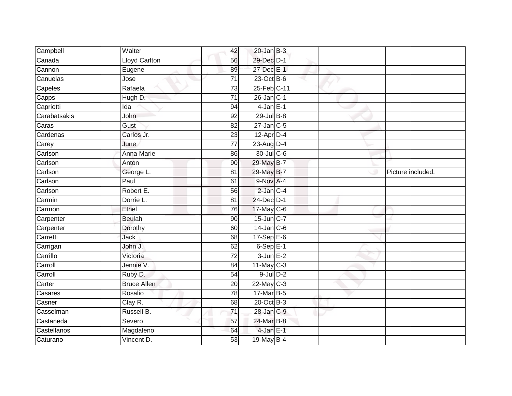| Campbell     | Walter               | 42              | $20$ -Jan B-3    |  |                   |
|--------------|----------------------|-----------------|------------------|--|-------------------|
| Canada       | <b>Lloyd Carlton</b> | 56              | 29-Dec D-1       |  |                   |
| Cannon       | Eugene               | 89              | 27-Dec E-1       |  |                   |
| Canuelas     | Jose                 | 71              | $23$ -Oct B-6    |  |                   |
| Capeles      | Rafaela              | $\overline{73}$ | 25-Feb C-11      |  |                   |
| Capps        | Hugh D.              | 71              | $26$ -Jan C-1    |  |                   |
| Capriotti    | Ida                  | 94              | $4$ -Jan $E-1$   |  |                   |
| Carabatsakis | John                 | 92              | $29$ -Jul $B-8$  |  |                   |
| Caras        | Gust                 | 82              | $27$ -Jan $C$ -5 |  |                   |
| Cardenas     | Carlos Jr.           | 23              | $12$ -Apr $D-4$  |  |                   |
| Carey        | June                 | $\overline{77}$ | 23-Aug D-4       |  |                   |
| Carlson      | Anna Marie           | 86              | 30-Jul C-6       |  |                   |
| Carlson      | Anton                | 90              | 29-May B-7       |  |                   |
| Carlson      | George L.            | 81              | 29-May B-7       |  | Picture included. |
| Carlson      | Paul                 | 61              | 9-Nov A-4        |  |                   |
| Carlson      | Robert E.            | 56              | 2-Jan C-4        |  |                   |
| Carmin       | Dorrie L.            | 81              | 24-Dec D-1       |  |                   |
| Carmon       | Ethel                | 76              | 17-May C-6       |  |                   |
| Carpenter    | <b>Beulah</b>        | 90              | 15-Jun C-7       |  |                   |
| Carpenter    | Dorothy              | 60              | $14$ -Jan C-6    |  |                   |
| Carretti     | Jack                 | 68              | $17-Sep$ $E-6$   |  |                   |
| Carrigan     | John J.              | 62              | $6-Sep$ E-1      |  |                   |
| Carrillo     | Victoria             | 72              | $3$ -Jun $E-2$   |  |                   |
| Carroll      | Jennie V.            | 84              | $11$ -May C-3    |  |                   |
| Carroll      | Ruby D.              | 54              | $9$ -Jul $D-2$   |  |                   |
| Carter       | <b>Bruce Allen</b>   | 20              | $22$ -May C-3    |  |                   |
| Casares      | Rosalio              | 78              | 17-Mar B-5       |  |                   |
| Casner       | Clay R.              | 68              | 20-Oct B-3       |  |                   |
| Casselman    | Russell B.           | 71              | 28-Jan C-9       |  |                   |
| Castaneda    | Severo               | 57              | 24-Mar B-8       |  |                   |
| Castellanos  | Magdaleno            | 64              | $4$ -Jan E-1     |  |                   |
| Caturano     | Vincent D.           | 53              | 19-May B-4       |  |                   |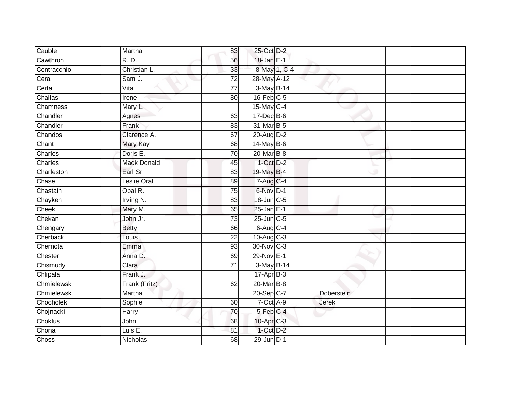| Cauble       | Martha             | 83              | 25-Oct D-2            |              |              |  |
|--------------|--------------------|-----------------|-----------------------|--------------|--------------|--|
| Cawthron     | R. D.              | 56              | 18-Jan E-1            |              |              |  |
| Centracchio  | Christian L.       | 33              |                       | 8-May 1, C-4 |              |  |
| Cera         | Sam J.             | $\overline{72}$ | 28-May A-12           |              |              |  |
| Certa        | Vita               | $\overline{77}$ | 3-May B-14            |              |              |  |
| Challas      | Irene              | 80              | $16$ -Feb $C$ -5      |              |              |  |
| Chamness     | Mary L.            |                 | 15-May C-4            |              |              |  |
| Chandler     | Agnes              | 63              | 17-Dec B-6            |              |              |  |
| Chandler     | Frank              | 83              | 31-Mar B-5            |              |              |  |
| Chandos      | Clarence A.        | 67              | 20-Aug D-2            |              |              |  |
| Chant        | Mary Kay           | 68              | 14-May B-6            |              |              |  |
| Charles      | Doris E.           | 70              | 20-Mar B-8            |              |              |  |
| Charles      | <b>Mack Donald</b> | 45              | $1-Oct$ $D-2$         |              |              |  |
| Charleston   | Earl Sr.           | 83              | 19-May B-4            |              |              |  |
| Chase        | Leslie Oral        | 89              | $7-AugC-4$            |              |              |  |
| Chastain     | Opal R.            | 75              | 6-Nov D-1             |              |              |  |
| Chayken      | Irving N.          | 83              | 18-Jun C-5            |              |              |  |
| Cheek        | Mary M.            | 65              | $25$ -Jan E-1         |              |              |  |
| Chekan       | John Jr.           | 73              | 25-Jun C-5            |              |              |  |
| Chengary     | <b>Betty</b>       | 66              | 6-Aug C-4             |              |              |  |
| Cherback     | Louis              | 22              | $10-Aug$ $C-3$        |              |              |  |
| Chernota     | Emma               | 93              | 30-Nov C-3            |              |              |  |
| Chester      | Anna D.            | 69              | 29-Nov E-1            |              |              |  |
| Chismudy     | Clara              | $\overline{71}$ | 3-May B-14            |              |              |  |
| Chlipala     | Frank J.           |                 | $17 - Apr$ B-3        |              |              |  |
| Chmielewski  | Frank (Fritz)      | 62              | 20-Mar B-8            |              |              |  |
| Chmielewski  | Martha             |                 | 20-Sep C-7            |              | Doberstein   |  |
| Chocholek    | Sophie             | 60              | 7-Oct A-9             |              | <b>Jerek</b> |  |
| Chojnacki    | Harry              | 70              | 5-Feb C-4             |              |              |  |
| Choklus      | John               | 68              | 10-Apr <sub>C-3</sub> |              |              |  |
| Chona        | Luis E.            | 81              | 1-Oct D-2             |              |              |  |
| <b>Choss</b> | Nicholas           | 68              | $29$ -Jun $D-1$       |              |              |  |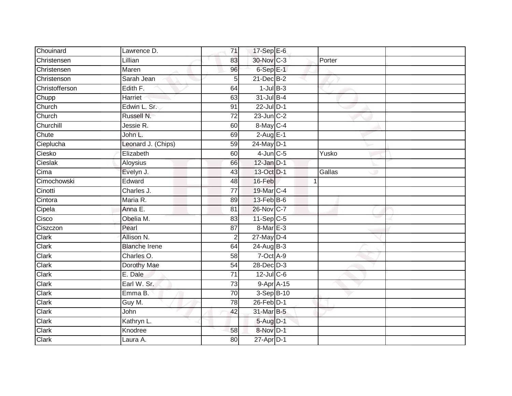| Chouinard      | Lawrence D.          | 71              | 17-Sep $E-6$      |              |
|----------------|----------------------|-----------------|-------------------|--------------|
| Christensen    | Lillian              | 83              | 30-Nov C-3        | Porter       |
| Christensen    | Maren                | 96              | $6-$ Sep $E-1$    |              |
| Christenson    | Sarah Jean           | 5               | 21-Dec B-2        |              |
| Christofferson | Edith F.             | 64              | $1$ -Jul $B-3$    |              |
| Chupp          | Harriet              | 63              | $31$ -Jul $B-4$   |              |
| Church         | Edwin L. Sr.         | 91              | 22-Jul D-1        |              |
| Church         | Russell N.           | 72              | $23$ -Jun $C-2$   |              |
| Churchill      | Jessie R.            | 60              | 8-May C-4         |              |
| Chute          | John L.              | 69              | $2-Aug$ E-1       |              |
| Cieplucha      | Leonard J. (Chips)   | 59              | 24-May D-1        |              |
| Ciesko         | Elizabeth            | 60              | $4$ -Jun $C$ -5   | Yusko        |
| Cieslak        | Aloysius             | 66              | $12$ -Jan $D-1$   |              |
| Cima           | Evelyn J.            | 43              | 13-Oct D-1        | Gallas       |
| Cimochowski    | Edward               | 48              | 16-Feb            | $\mathbf{1}$ |
| Cinotti        | Charles J.           | $\overline{77}$ | 19-Mar C-4        |              |
| Cintora        | Maria R.             | 89              | $13$ -Feb $ B-6 $ |              |
| Cipela         | Anna E.              | 81              | 26-Nov C-7        |              |
| Cisco          | Obelia M.            | 83              | $11-Sep C-5$      |              |
| Ciszczon       | Pearl                | 87              | 8-Mar E-3         |              |
| Clark          | Allison N.           | $\overline{2}$  | 27-May D-4        |              |
| Clark          | <b>Blanche Irene</b> | 64              | 24-Aug B-3        |              |
| Clark          | Charles O.           | 58              | 7-Oct A-9         |              |
| Clark          | Dorothy Mae          | $\overline{54}$ | 28-Dec D-3        |              |
| Clark          | E. Dale              | 71              | $12$ -Jul C-6     |              |
| Clark          | Earl W. Sr.          | 73              | $9-Apr$ A-15      |              |
| Clark          | Emma B.              | $\overline{70}$ | 3-Sep B-10        |              |
| Clark          | Guy M.               | 78              | 26-Feb D-1        |              |
| Clark          | John                 | 42              | 31-Mar B-5        |              |
| Clark          | Kathryn L.           |                 | 5-Aug D-1         |              |
| Clark          | Knodree              | 58              | 8-Nov D-1         |              |
| Clark          | Laura A.             | 80              | $27$ -Apr $D-1$   |              |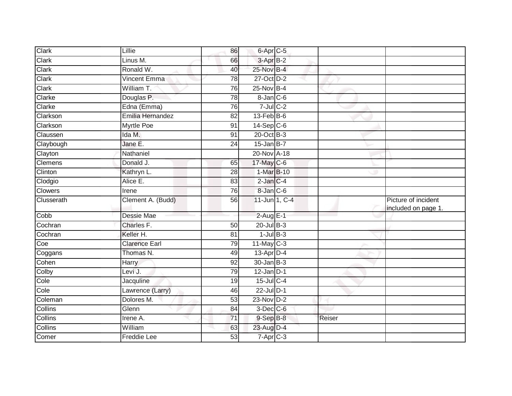| Clark                    | Lillie               | 86 | 6-Apr <sub>C-5</sub>         |        |                                            |
|--------------------------|----------------------|----|------------------------------|--------|--------------------------------------------|
| Clark                    | Linus M.             | 66 | $3-AprB-2$                   |        |                                            |
| Clark                    | Ronald W.            | 40 | 25-Nov B-4                   |        |                                            |
| Clark                    | <b>Vincent Emma</b>  | 78 | 27-Oct D-2                   |        |                                            |
| Clark                    | William T.           | 76 | 25-Nov B-4                   |        |                                            |
| Clarke                   | Douglas P.           | 78 | $8$ -Jan $C$ -6              |        |                                            |
| Clarke                   | Edna (Emma)          | 76 | $7$ -Jul $C$ -2              |        |                                            |
| Clarkson                 | Emilia Hernandez     | 82 | $13$ -Feb $B$ -6             |        |                                            |
| Clarkson                 | <b>Myrtle Poe</b>    | 91 | $14-Sep$ C-6                 |        |                                            |
| Claussen                 | Ida M.               | 91 | $20$ -Oct $B-3$              |        |                                            |
| Claybough                | Jane E.              | 24 | $15$ -Jan B-7                |        |                                            |
| Clayton                  | Nathaniel            |    | 20-Nov A-18                  |        |                                            |
| Clemens                  | Donald J.            | 65 | 17-May C-6                   |        |                                            |
| Clinton                  | Kathryn L.           | 28 | 1-Mar B-10                   |        |                                            |
| Clodgio                  | Alice E.             | 83 | $2$ -Jan $C-4$               |        |                                            |
| Clowers                  | Irene                | 76 | 8-Jan C-6                    |        |                                            |
| Clusserath               | Clement A. (Budd)    | 56 | 11-Jun 1, C-4                |        | Picture of incident<br>included on page 1. |
| Cobb                     | Dessie Mae           |    | 2-Aug E-1                    |        |                                            |
| Cochran                  | Charles F.           | 50 | $20$ -Jul B-3                |        |                                            |
| Cochran                  | Keller H.            | 81 | $1$ -Jul $B-3$               |        |                                            |
| Coe                      | <b>Clarence Earl</b> |    |                              |        |                                            |
| Coggans                  |                      | 79 | $11$ -May C-3                |        |                                            |
|                          | Thomas N.            | 49 | $13$ -Apr $D-4$              |        |                                            |
|                          | <b>Harry</b>         | 92 | $30 - Jan$ $B-3$             |        |                                            |
| Colby                    | Levi J.              | 79 | $12$ -Jan D-1                |        |                                            |
|                          | Jacquline            | 19 | $15$ -Jul C-4                |        |                                            |
| Cole                     | Lawrence (Larry)     | 46 | 22-Jul D-1                   |        |                                            |
| Cohen<br>Cole<br>Coleman | Dolores M.           | 53 | 23-Nov D-2                   |        |                                            |
| Collins                  | Glenn                | 84 | $3$ -Dec $C$ -6              |        |                                            |
| Collins                  | Irene A.             | 71 | $9-$ Sep $B-8$               | Reiser |                                            |
|                          | William              | 63 | 23-Aug D-4                   |        |                                            |
| Collins<br>Comer         | Freddie Lee          | 53 | $7 - \overline{Apr}$ $C - 3$ |        |                                            |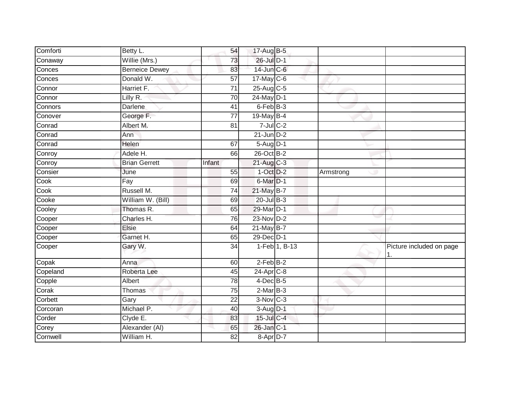| Comforti | Betty L.              | 54              | 17-Aug B-5                 |               |           |                          |
|----------|-----------------------|-----------------|----------------------------|---------------|-----------|--------------------------|
| Conaway  | Willie (Mrs.)         | 73              | 26-Jul D-1                 |               |           |                          |
| Conces   | <b>Berneice Dewey</b> | 83              | 14-Jun C-6                 |               |           |                          |
| Conces   | Donald W.             | 57              | $17$ -May C-6              |               |           |                          |
| Connor   | Harriet F.            | $\overline{71}$ | 25-Aug C-5                 |               |           |                          |
| Connor   | Lilly R.              | 70              | 24-May D-1                 |               |           |                          |
| Connors  | Darlene               | 41              | 6-Feb B-3                  |               |           |                          |
| Conover  | George F.             | $\overline{77}$ | 19-May B-4                 |               |           |                          |
| Conrad   | Albert M.             | 81              | $7$ -Jul $C$ -2            |               |           |                          |
| Conrad   | Ann                   |                 | $21$ -Jun $D-2$            |               |           |                          |
| Conrad   | <b>Helen</b>          | 67              | 5-Aug D-1                  |               |           |                          |
| Conroy   | Adele H.              | 66              | 26-Oct B-2                 |               |           |                          |
| Conroy   | <b>Brian Gerrett</b>  | Infant          | $21$ -Aug C-3              |               |           |                          |
| Consier  | June                  | $\overline{55}$ | $1-Oct$ $D-2$              |               | Armstrong |                          |
| Cook     | Fay                   | 69              | $6$ -Mar $D-1$             |               |           |                          |
| Cook     | Russell M.            | 74              | 21-May B-7                 |               |           |                          |
| Cooke    | William W. (Bill)     | 69              | $20$ -Jul B-3              |               |           |                          |
| Cooley   | Thomas R.             | 65              | 29-Mar D-1                 |               |           |                          |
| Cooper   | Charles H.            | 76              | 23-Nov D-2                 |               |           |                          |
| Cooper   | <b>Elsie</b>          | 64              | $21$ -May B-7              |               |           |                          |
| Cooper   | Garnet H.             | 65              | $29$ -Dec $ D-1 $          |               |           |                          |
| Cooper   | Gary W.               | $\overline{34}$ |                            | 1-Feb 1, B-13 |           | Picture included on page |
| Copak    | Anna                  | 60              | $2-FebB-2$                 |               |           |                          |
| Copeland | Roberta Lee           | 45              | $24-Apr$ <sub>C-8</sub>    |               |           |                          |
| Copple   | Albert                | $\overline{78}$ | $4$ -Dec B-5               |               |           |                          |
| Corak    | Thomas                | 75              | $2$ -Mar $\overline{B}$ -3 |               |           |                          |
| Corbett  | Gary                  | $\overline{22}$ | $3-Nov$ <sub>C-3</sub>     |               |           |                          |
| Corcoran | Michael P.            | 40              | 3-Aug D-1                  |               |           |                          |
| Corder   | Clyde E.              | 83              | 15-Jul C-4                 |               |           |                          |
| Corey    | Alexander (AI)        | 65              | 26-Jan C-1                 |               |           |                          |
| Cornwell | William H.            | 82              | 8-Apr D-7                  |               |           |                          |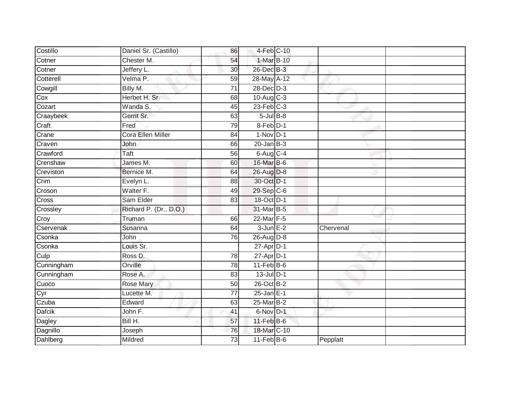| Costillo      | Daniel Sr. (Castillo)    | 86              | 4-Feb C-10       |           |  |
|---------------|--------------------------|-----------------|------------------|-----------|--|
| Cotner        | Chester M.               | 54              | 1-Mar B-10       |           |  |
| Cotner        | Jeffery L.               | 30              | 26-Dec B-3       |           |  |
| Cotterell     | Velma P.                 | 59              | 28-May A-12      |           |  |
| Cowgill       | Billy M.                 | $\overline{71}$ | $28$ -Dec $D-3$  |           |  |
| Cox           | Herbet H. Sr.            | 68              | $10-Aug$ $C-3$   |           |  |
| Cozart        | Wanda S.                 | 45              | $23$ -Feb $C-3$  |           |  |
| Craaybeek     | Gerrit Sr.               | 63              | $5$ -Jul $B-8$   |           |  |
| Craft         | Fred                     | 79              | 8-Feb D-1        |           |  |
| Crane         | <b>Cora Ellen Miller</b> | 84              | $1-Nov$ D-1      |           |  |
| Craven        | John                     | 66              | $20$ -Jan $B-3$  |           |  |
| Crawford      | <b>Taft</b>              | 56              | $6$ -Aug $C$ -4  |           |  |
| Crenshaw      | James M.                 | 60              | 16-Mar B-6       |           |  |
| Creviston     | Bernice M.               | 64              | 26-Aug D-8       |           |  |
| Crim          | Evelyn L.                | 88              | 30-Oct D-1       |           |  |
| Croson        | Walter F.                | 49              | 29-Sep C-6       |           |  |
| Cross         | Sam Elder                | $\overline{83}$ | 18-Oct D-1       |           |  |
| Crossley      | Richard P. (Dr., D.O.)   |                 | 31-Mar B-5       |           |  |
| Croy          | Truman                   | 66              | 22-Mar F-5       |           |  |
| Cservenak     | Susanna                  | 64              | $3$ -Jun $E-2$   | Chervenal |  |
| Csonka        | John                     | 76              | $26$ -Aug D-8    |           |  |
| Csonka        | Louis Sr.                |                 | $27$ -Apr $D-1$  |           |  |
| Culp          | Ross D.                  | 78              | $27$ -Apr $D-1$  |           |  |
| Cunningham    | Orville                  | 78              | $11$ -Feb $B$ -6 |           |  |
| Cunningham    | Rose A.                  | 83              | $13$ -Jul $D-1$  |           |  |
| Cuoco         | <b>Rose Mary</b>         | 50              | 26-Oct B-2       |           |  |
| Cyr           | Lucette M.               | $\overline{77}$ | $25$ -Jan $E-1$  |           |  |
| Czuba         | Edward                   | 63              | 25-Mar B-2       |           |  |
| Dafcik        | John F.                  | 41              | 6-Nov D-1        |           |  |
| <b>Dagley</b> | Bill H.                  | 57              | $11$ -Feb $B$ -6 |           |  |
| Dagnillo      | Joseph                   | 76              | 18-Mar C-10      |           |  |
| Dahlberg      | Mildred                  | $\overline{73}$ | $11-FebB-6$      | Pepplatt  |  |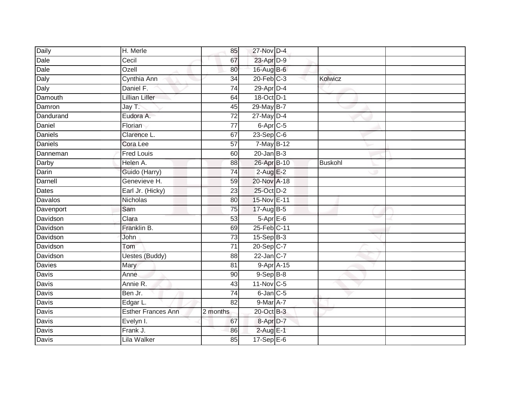| Daily          | H. Merle                  | 85              | 27-Nov D-4              |                |  |
|----------------|---------------------------|-----------------|-------------------------|----------------|--|
| Dale           | Cecil                     | 67              | 23-Apr D-9              |                |  |
| Dale           | Ozell                     | 80              | 16-Aug B-6              |                |  |
| Daly           | Cynthia Ann               | 34              | $20$ -Feb $C-3$         | Kolwicz        |  |
| Daly           | Daniel F.                 | $\overline{74}$ | $29$ -Apr $D-4$         |                |  |
| Damouth        | Lillian Liller            | 64              | 18-Oct D-1              |                |  |
| Damron         | Jay T.                    | 45              | 29-May B-7              |                |  |
| Dandurand      | Eudora A.                 | 72              | $27$ -May $D-4$         |                |  |
| Daniel         | Florian                   | $\overline{77}$ | $6$ -Apr $C$ -5         |                |  |
| Daniels        | Clarence L.               | 67              | $23-Sep C-6$            |                |  |
| <b>Daniels</b> | Cora Lee                  | 57              | $7$ -May B-12           |                |  |
| Danneman       | <b>Fred Louis</b>         | 60              | $20$ -Jan $B-3$         |                |  |
| Darby          | Helen A.                  | 88              | 26-Apr B-10             | <b>Buskohl</b> |  |
| Darin          | Guido (Harry)             | 74              | $2-AugE-2$              |                |  |
| Darnell        | Genevieve H.              | 59              | 20-Nov A-18             |                |  |
| Dates          | Earl Jr. (Hicky)          | 23              | 25-Oct D-2              |                |  |
| <b>Davalos</b> | <b>Nicholas</b>           | $\overline{80}$ | 15-Nov E-11             |                |  |
| Davenport      | Sam                       | 75              | 17-Aug B-5              |                |  |
| Davidson       | Clara                     | 53              | 5-Apr E-6               |                |  |
| Davidson       | Franklin B.               | 69              | 25-Feb C-11             |                |  |
| Davidson       | John                      | $\overline{73}$ | $15-Sep$ B-3            |                |  |
| Davidson       | Tom                       | $\overline{71}$ | 20-Sep C-7              |                |  |
| Davidson       | <b>Uestes (Buddy)</b>     | 88              | $22$ -Jan $C-7$         |                |  |
| <b>Davies</b>  | Mary                      | 81              | $9-Apr$ A-15            |                |  |
| Davis          | Anne                      | 90              | $9-Sep$ B-8             |                |  |
| Davis          | Annie R.                  | 43              | $11-Nov$ <sub>C-5</sub> |                |  |
| Davis          | Ben Jr.                   | $\overline{74}$ | 6-Jan C-5               |                |  |
| Davis          | Edgar L.                  | 82              | $9$ -Mar $A$ -7         |                |  |
| Davis          | <b>Esther Frances Ann</b> | 2 months        | 20-Oct B-3              |                |  |
| Davis          | Evelyn I.                 | 67              | 8-Apr D-7               |                |  |
| Davis          | Frank J.                  | 86              | $2$ -Aug E-1            |                |  |
| Davis          | Lila Walker               | 85              | $17-Sep$ E-6            |                |  |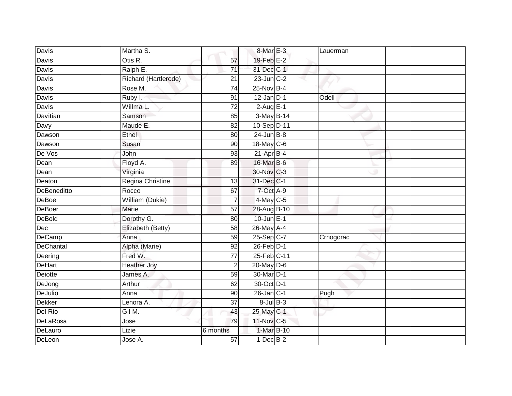| Davis              | Martha S.            |                 | 8-Mar E-3               | Lauerman  |  |
|--------------------|----------------------|-----------------|-------------------------|-----------|--|
| Davis              | Otis R.              | 57              | $19$ -Feb $E-2$         |           |  |
| Davis              | Ralph E.             | $\overline{71}$ | 31-Dec C-1              |           |  |
| Davis              | Richard (Hartlerode) | 21              | $23$ -Jun $C-2$         |           |  |
| Davis              | Rose M.              | $\overline{74}$ | 25-Nov B-4              |           |  |
| Davis              | Ruby I.              | 91              | $12$ -Jan D-1           | Odell     |  |
| Davis              | Willma L.            | $\overline{72}$ | $2-AugE-1$              |           |  |
| <b>Davitian</b>    | Samson               | 85              | 3-May B-14              |           |  |
| Davy               | Maude E.             | 82              | 10-Sep D-11             |           |  |
| Dawson             | <b>Ethel</b>         | 80              | $24$ -Jun $B-8$         |           |  |
| Dawson             | Susan                | 90              | 18-May C-6              |           |  |
| De Vos             | John                 | 93              | $21-Apr$ B-4            |           |  |
| Dean               | Floyd A.             | 89              | 16-Mar B-6              |           |  |
| Dean               | Virginia             |                 | 30-Nov C-3              |           |  |
| Deaton             | Regina Christine     | $\overline{13}$ | 31-Dec C-1              |           |  |
| <b>DeBeneditto</b> | Rocco                | 67              | 7-Oct A-9               |           |  |
| <b>DeBoe</b>       | William (Dukie)      |                 | $4$ -May C-5            |           |  |
| DeBoer             | Marie                | 57              | 28-Aug B-10             |           |  |
| DeBold             | Dorothy G.           | 80              | 10-Jun E-1              |           |  |
| Dec                | Elizabeth (Betty)    | 58              | 26-May A-4              |           |  |
| DeCamp             | Anna                 | 59              | $25-Sep$ <sub>C-7</sub> | Crnogorac |  |
| DeChantal          | Alpha (Marie)        | 92              | $26$ -Feb $D-1$         |           |  |
| Deering            | Fred W.              | 77              | $25$ -Feb $C-11$        |           |  |
| DeHart             | <b>Heather Joy</b>   | $\overline{2}$  | $20$ -May $D-6$         |           |  |
| Deiotte            | James A.             | 59              | 30-Mar D-1              |           |  |
| DeJong             | Arthur               | 62              | 30-Oct D-1              |           |  |
| DeJulio            | Anna                 | 90              | $26$ -Jan $ C-1 $       | Pugh      |  |
| Dekker             | Lenora A.            | 37              | $8$ -Jul $B-3$          |           |  |
| Del Rio            | Gil M.               | 43              | 25-May C-1              |           |  |
| <b>DeLaRosa</b>    | Jose                 | 79              | 11-Nov C-5              |           |  |
| DeLauro            | Lizie                | 6 months        | 1-Mar B-10              |           |  |
| DeLeon             | Jose A.              | $\overline{57}$ | $1-Dec$ B-2             |           |  |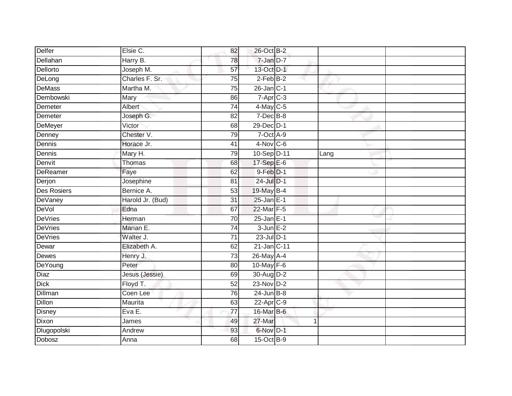| Delfer             | Elsie C.         | 82              | 26-Oct B-2        |              |      |  |
|--------------------|------------------|-----------------|-------------------|--------------|------|--|
| Dellahan           | Harry B.         | 78              | $7 - Jan$ $D-7$   |              |      |  |
| Dellorto           | Joseph M.        | 57              | 13-Oct D-1        |              |      |  |
| DeLong             | Charles F. Sr.   | 75              | $2-FebB-2$        |              |      |  |
| DeMass             | Martha M.        | $\overline{75}$ | $26$ -Jan $ C-1 $ |              |      |  |
| Dembowski          | Mary             | 86              | $7 - Apr$ $C - 3$ |              |      |  |
| Demeter            | Albert           | $\overline{74}$ | $4$ -May C-5      |              |      |  |
| Demeter            | Joseph G.        | 82              | $7$ -Dec $B$ -8   |              |      |  |
| DeMeyer            | Victor           | 68              | 29-Dec D-1        |              |      |  |
| Denney             | Chester V.       | 79              | 7-Oct A-9         |              |      |  |
| Dennis             | Horace Jr.       | 41              | $4-Nov$ C-6       |              |      |  |
| Dennis             | Mary H.          | 79              | 10-Sep D-11       |              | Lang |  |
| Denvit             | Thomas           | 68              | 17-Sep E-6        |              |      |  |
| <b>DeReamer</b>    | Faye             | 62              | $9$ -Feb $D-1$    |              |      |  |
| Derjon             | Josephine        | 81              | 24-Jul D-1        |              |      |  |
| <b>Des Rosiers</b> | Bernice A.       | 53              | 19-May B-4        |              |      |  |
| DeVaney            | Harold Jr. (Bud) | $\overline{31}$ | $25$ -Jan $E-1$   |              |      |  |
| DeVol              | Edna             | 67              | 22-Mar F-5        |              |      |  |
| <b>DeVries</b>     | Herman           | 70              | $25$ -Jan $E-1$   |              |      |  |
| <b>DeVries</b>     | Marian E.        | 74              | $3$ -Jun $E-2$    |              |      |  |
| <b>DeVries</b>     | Walter J.        | $\overline{71}$ | $23$ -Jul $D-1$   |              |      |  |
| Dewar              | Elizabeth A.     | 62              | 21-Jan C-11       |              |      |  |
| <b>Dewes</b>       | Henry J.         | 73              | 26-May A-4        |              |      |  |
| DeYoung            | Peter            | 80              | 10-May F-6        |              |      |  |
| Diaz               | Jesus (Jessie)   | 69              | $30$ -Aug $D-2$   |              |      |  |
| <b>Dick</b>        | Floyd T.         | 52              | $23-Nov$ D-2      |              |      |  |
| Dillman            | Coen Lee         | 76              | $24$ -Jun $B-8$   |              |      |  |
| Dillon             | Maurita          | 63              | 22-Apr C-9        |              |      |  |
| <b>Disney</b>      | EvaE.            | 77              | 16-Mar B-6        |              |      |  |
| Dixon              | James            | 49              | 27-Mar            | $\mathbf{1}$ |      |  |
| Dlugopolski        | Andrew           | 93              | 6-Nov D-1         |              |      |  |
| Dobosz             | Anna             | $\overline{68}$ | 15-Oct B-9        |              |      |  |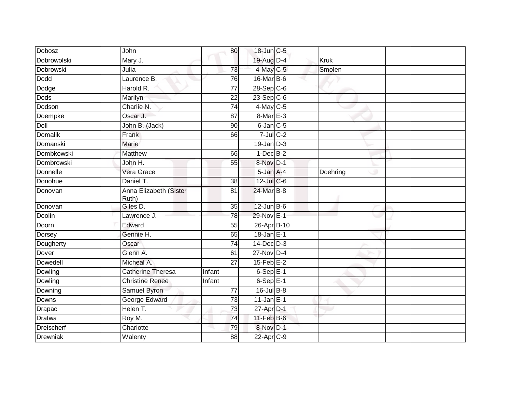| Dobosz            | John                            | 80              | 18-Jun C-5       |             |  |
|-------------------|---------------------------------|-----------------|------------------|-------------|--|
| Dobrowolski       | Mary J.                         |                 | 19-Aug D-4       | <b>Kruk</b> |  |
| Dobrowski         | Julia                           | 73              | 4-May C-5        | Smolen      |  |
| Dodd              | Laurence B.                     | 76              | 16-Mar B-6       |             |  |
| Dodge             | Harold R.                       | $\overline{77}$ | $28-Sep$ C-6     |             |  |
| Dods              | Marilyn                         | 22              | $23-Sep$ C-6     |             |  |
| Dodson            | Charlie N.                      | 74              | 4-May C-5        |             |  |
| Doempke           | Oscar J.                        | 87              | 8-Mar E-3        |             |  |
| Doll              | John B. (Jack)                  | 90              | 6-Jan C-5        |             |  |
| <b>Domalik</b>    | Frank                           | 66              | $7$ -Jul $C$ -2  |             |  |
| Domanski          | Marie                           |                 | $19$ -Jan $D-3$  |             |  |
| Dombkowski        | Matthew                         | 66              | $1-Dec$ B-2      |             |  |
| Dombrowski        | John H.                         | 55              | 8-Nov D-1        |             |  |
| Donnelle          | Vera Grace                      |                 | 5-Jan A-4        | Doehring    |  |
| Donohue           | Daniel T.                       | 38              | $12$ -Jul C-6    |             |  |
| Donovan           | Anna Elizabeth (Sister<br>Ruth) | 81              | 24-Mar B-8       |             |  |
| Donovan           | Giles D.                        | 35              | $12$ -Jun B-6    |             |  |
| Doolin            | Lawrence J.                     | 78              | 29-Nov E-1       |             |  |
| Doorn             | Edward                          | 55              | 26-Apr B-10      |             |  |
| Dorsey            | Gennie H.                       | 65              | $18$ -Jan E-1    |             |  |
| Dougherty         | Oscar                           | 74              | $14$ -Dec $D-3$  |             |  |
| Dover             | Glenn A.                        | 61              | 27-Nov D-4       |             |  |
| <b>Dowedell</b>   | Micheal A.                      | $\overline{27}$ | $15$ -Feb $E-2$  |             |  |
| Dowling           | Catherine Theresa               | Infant          | $6-SepE-1$       |             |  |
| Dowling           | <b>Christine Renee</b>          | Infant          | $6-SepE-1$       |             |  |
| Downing           | Samuel Byron                    | $\overline{77}$ | $16$ -Jul B-8    |             |  |
| Downs             | George Edward                   | 73              | $11$ -Jan E-1    |             |  |
| Drapac            | Helen T.                        | $\overline{73}$ | 27-Apr D-1       |             |  |
| <b>Dratwa</b>     | Roy M.                          | 74              | $11$ -Feb $B$ -6 |             |  |
| <b>Dreischerf</b> | Charlotte                       | 79              | 8-Nov D-1        |             |  |
| Drewniak          | Walenty                         | 88              | $22$ -Apr $C-9$  |             |  |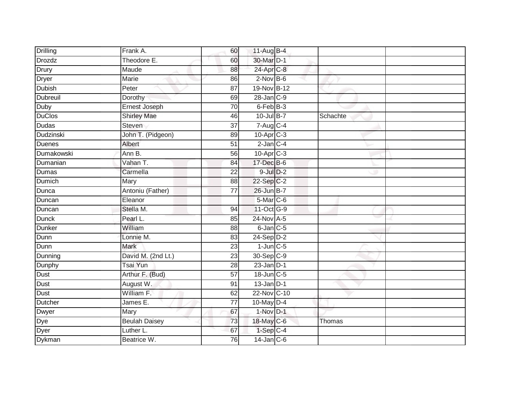| Drilling         | Frank A.             | 60              | $11 - \overline{Aug}$ B-4 |          |  |
|------------------|----------------------|-----------------|---------------------------|----------|--|
| Drozdz           | Theodore E.          | 60              | 30-Mar D-1                |          |  |
| Drury            | Maude                | 88              | 24-Apr C-8                |          |  |
| Dryer            | Marie                | 86              | $2$ -Nov $B-6$            |          |  |
| Dubish           | Peter                | $\overline{87}$ | 19-Nov B-12               |          |  |
| Dubreuil         | Dorothy              | 69              | $28 - Jan$ <sub>C-9</sub> |          |  |
| Duby             | Ernest Joseph        | $\overline{70}$ | 6-Feb B-3                 |          |  |
| <b>DuClos</b>    | <b>Shirley Mae</b>   | 46              | $10$ -Jul B-7             | Schachte |  |
| Dudas            | <b>Steven</b>        | $\overline{37}$ | $7 - Aug$ <sub>C-4</sub>  |          |  |
| <b>Dudzinski</b> | John T. (Pidgeon)    | 89              | $10$ -Apr $C-3$           |          |  |
| Duenes           | Albert               | 51              | $2$ -Jan $C-4$            |          |  |
| Dumakowski       | Ann B.               | 56              | 10-Apr C-3                |          |  |
| Dumanian         | Vahan T.             | 84              | 17-Dec B-6                |          |  |
| Dumas            | Carmella             | 22              | $9$ -Jul $D-2$            |          |  |
| Dumich           | <b>Mary</b>          | 88              | $22-Sep C-2$              |          |  |
| Dunca            | Antoniu (Father)     | 77              | 26-Jun B-7                |          |  |
| Duncan           | Eleanor              |                 | 5-Mar C-6                 |          |  |
| Duncan           | Stella M.            | 94              | 11-Oct G-9                |          |  |
| <b>Dunck</b>     | Pearl L.             | 85              | 24-Nov A-5                |          |  |
| Dunker           | William              | 88              | 6-Jan C-5                 |          |  |
| Dunn             | Lonnie M.            | 83              | $24-Sep D-2$              |          |  |
| Dunn             | <b>Mark</b>          | 23              | $1$ -Jun $C - 5$          |          |  |
| Dunning          | David M. (2nd Lt.)   | 23              | 30-Sep C-9                |          |  |
| Dunphy           | <b>Tsai Yun</b>      | 28              | $23$ -Jan $D-1$           |          |  |
| Dust             | Arthur F. (Bud)      | 57              | 18-Jun C-5                |          |  |
| Dust             | August W.            | 91              | $13$ -Jan D-1             |          |  |
| Dust             | William F.           | 62              | 22-Nov C-10               |          |  |
| Dutcher          | James E.             | $\overline{77}$ | $10$ -May $D-4$           |          |  |
| Dwyer            | Mary                 | 67              | 1-Nov D-1                 |          |  |
| Dye              | <b>Beulah Daisey</b> | 73              | 18-May C-6                | Thomas   |  |
| Dyer             | Luther L.            | 67              | $1-Sep$ $C-4$             |          |  |
| Dykman           | Beatrice W.          | 76              | $14$ -Jan $C-6$           |          |  |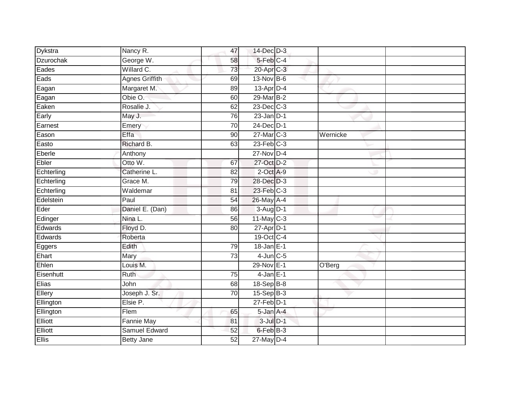| Dykstra          | Nancy R.              | 47              | $14$ -Dec $D-3$ |          |
|------------------|-----------------------|-----------------|-----------------|----------|
| <b>Dzurochak</b> | George W.             | 58              | $5$ -Feb $C-4$  |          |
| Eades            | Willard C.            | 73              | 20-Apr C-3      |          |
| Eads             | <b>Agnes Griffith</b> | 69              | 13-Nov B-6      |          |
| Eagan            | Margaret M.           | 89              | $13$ -Apr $D-4$ |          |
| Eagan            | Obie O.               | 60              | 29-Mar B-2      |          |
| Eaken            | Rosalie J.            | 62              | $23$ -Dec $C-3$ |          |
| Early            | May J.                | 76              | $23$ -Jan $D-1$ |          |
| Earnest          | Emery                 | 70              | 24-Dec D-1      |          |
| Eason            | Effa                  | 90              | 27-Mar C-3      | Wernicke |
| Easto            | Richard B.            | 63              | $23$ -Feb $C-3$ |          |
| Eberle           | Anthony               |                 | $27$ -Nov D-4   |          |
| Ebler            | Otto W.               | 67              | 27-Oct D-2      |          |
| Echterling       | Catherine L.          | 82              | $2$ -Oct $A-9$  |          |
| Echterling       | Grace M.              | 79              | 28-Dec D-3      |          |
| Echterling       | Waldemar              | 81              | 23-Feb C-3      |          |
| Edelstein        | Paul                  | 54              | 26-May A-4      |          |
| Eder             | Daniel E. (Dan)       | 86              | 3-Aug D-1       |          |
| Edinger          | Nina L.               | 56              | $11$ -May C-3   |          |
| Edwards          | Floyd D.              | $\overline{80}$ | $27$ -Apr $D-1$ |          |
| Edwards          | Roberta               |                 | 19-Oct C-4      |          |
| Eggers           | Edith                 | 79              | $18$ -Jan $E-1$ |          |
| Ehart            | Mary                  | 73              | $4$ -Jun $C$ -5 |          |
| Ehlen            | Louis M.              |                 | 29-Nov E-1      | O'Berg   |
| Eisenhutt        | Ruth                  | 75              | $4$ -Jan $E-1$  |          |
| Elias            | John                  | 68              | 18-Sep B-8      |          |
| Ellery           | Joseph J. Sr.         | $\overline{70}$ | $15-Sep$ B-3    |          |
| Ellington        | Elsie P.              |                 | $27$ -Feb $D-1$ |          |
| Ellington        | Flem                  | 65              | 5-Jan A-4       |          |
| Elliott          | <b>Fannie May</b>     | 81              | $3$ -Jul $D-1$  |          |
| Elliott          | <b>Samuel Edward</b>  | 52              | 6-Feb B-3       |          |
| <b>Ellis</b>     | <b>Betty Jane</b>     | $\overline{52}$ | $27$ -May $D-4$ |          |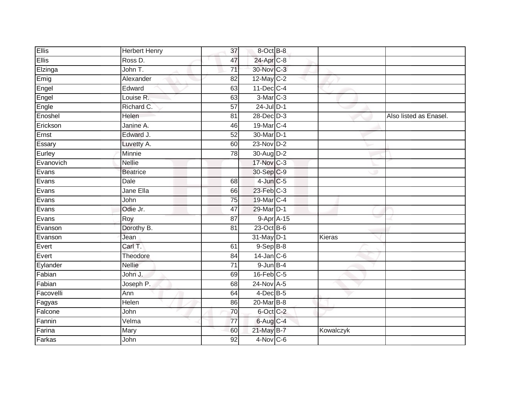| <b>Ellis</b> | <b>Herbert Henry</b> | $\overline{37}$ | 8-Oct B-8        |           |                        |
|--------------|----------------------|-----------------|------------------|-----------|------------------------|
| <b>Ellis</b> | Ross D.              | 47              | 24-Apr C-8       |           |                        |
| Elzinga      | John T.              | $\overline{71}$ | 30-Nov C-3       |           |                        |
| Emig         | Alexander            | 82              | $12$ -May C-2    |           |                        |
| Engel        | Edward               | 63              | $11$ -Dec $C-4$  |           |                        |
| Engel        | Louise R.            | 63              | 3-Mar C-3        |           |                        |
| Engle        | Richard C.           | 57              | $24$ -Jul $D-1$  |           |                        |
| Enoshel      | Helen                | 81              | $28$ -Dec $D-3$  |           | Also listed as Enasel. |
| Erickson     | Janine A.            | 46              | 19-Mar C-4       |           |                        |
| Ernst        | Edward J.            | 52              | 30-Mar D-1       |           |                        |
| Essary       | Luvetty A.           | 60              | $23-Nov$ D-2     |           |                        |
| Eurley       | Minnie               | 78              | 30-Aug D-2       |           |                        |
| Evanovich    | <b>Nellie</b>        |                 | 17-Nov C-3       |           |                        |
| Evans        | <b>Beatrice</b>      |                 | 30-Sep C-9       |           |                        |
| Evans        | <b>Dale</b>          | 68              | $4$ -Jun $C$ -5  |           |                        |
| Evans        | Jane Ella            | 66              | 23-Feb C-3       |           |                        |
| Evans        | John                 | $\overline{75}$ | 19-Mar C-4       |           |                        |
| Evans        | Odie Jr.             | 47              | 29-Mar D-1       |           |                        |
| Evans        | Roy                  | 87              | 9-Apr A-15       |           |                        |
| Evanson      | Dorothy B.           | 81              | $23$ -Oct B-6    |           |                        |
| Evanson      | Jean                 |                 | 31-May D-1       | Kieras    |                        |
| Evert        | Carl T.              | 61              | $9-$ Sep $B-8$   |           |                        |
| Evert        | Theodore             | 84              | $14$ -Jan $C$ -6 |           |                        |
| Eylander     | <b>Nellie</b>        | $\overline{71}$ | $9$ -Jun $B-4$   |           |                        |
| Fabian       | John J.              | 69              | $16$ -Feb $C-5$  |           |                        |
| Fabian       | Joseph P.            | 68              | 24-Nov A-5       |           |                        |
| Facovelli    | Ann                  | 64              | $4$ -Dec B-5     |           |                        |
| Fagyas       | Helen                | 86              | 20-Mar B-8       |           |                        |
| Falcone      | John                 | 70              | 6-Oct C-2        |           |                        |
| Fannin       | Velma                | $\overline{77}$ | 6-Aug C-4        |           |                        |
| Farina       | Mary                 | 60              | 21-May B-7       | Kowalczyk |                        |
| Farkas       | John                 | $\overline{92}$ | $4-Nov$ C-6      |           |                        |
|              |                      |                 |                  |           |                        |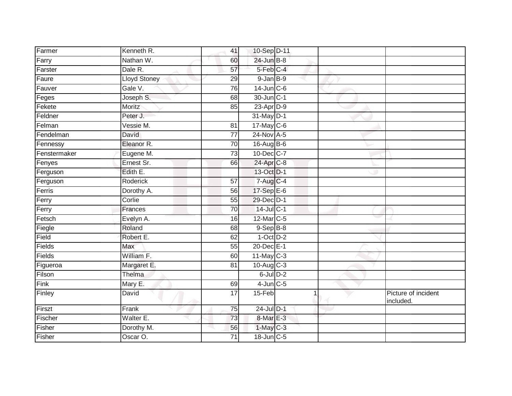| Kenneth R.          | 41              |  |                                                                                                                                                                                                                                                                                                                                                                                                                                                                              |                                  |
|---------------------|-----------------|--|------------------------------------------------------------------------------------------------------------------------------------------------------------------------------------------------------------------------------------------------------------------------------------------------------------------------------------------------------------------------------------------------------------------------------------------------------------------------------|----------------------------------|
| Nathan W.           | 60              |  |                                                                                                                                                                                                                                                                                                                                                                                                                                                                              |                                  |
| Dale R.             | $\overline{57}$ |  |                                                                                                                                                                                                                                                                                                                                                                                                                                                                              |                                  |
| <b>Lloyd Stoney</b> | 29              |  |                                                                                                                                                                                                                                                                                                                                                                                                                                                                              |                                  |
| Gale V.             | 76              |  |                                                                                                                                                                                                                                                                                                                                                                                                                                                                              |                                  |
| Joseph S.           | 68              |  |                                                                                                                                                                                                                                                                                                                                                                                                                                                                              |                                  |
| Moritz              | 85              |  |                                                                                                                                                                                                                                                                                                                                                                                                                                                                              |                                  |
| Peter J.            |                 |  |                                                                                                                                                                                                                                                                                                                                                                                                                                                                              |                                  |
| Vessie M.           | 81              |  |                                                                                                                                                                                                                                                                                                                                                                                                                                                                              |                                  |
| <b>David</b>        | $\overline{77}$ |  |                                                                                                                                                                                                                                                                                                                                                                                                                                                                              |                                  |
| Eleanor R.          | 70              |  |                                                                                                                                                                                                                                                                                                                                                                                                                                                                              |                                  |
| Eugene M.           | 73              |  |                                                                                                                                                                                                                                                                                                                                                                                                                                                                              |                                  |
| Ernest Sr.          | 66              |  |                                                                                                                                                                                                                                                                                                                                                                                                                                                                              |                                  |
| Edith E.            |                 |  |                                                                                                                                                                                                                                                                                                                                                                                                                                                                              |                                  |
| <b>Roderick</b>     | 57              |  |                                                                                                                                                                                                                                                                                                                                                                                                                                                                              |                                  |
| Dorothy A.          | 56              |  |                                                                                                                                                                                                                                                                                                                                                                                                                                                                              |                                  |
| Corlie              | 55              |  |                                                                                                                                                                                                                                                                                                                                                                                                                                                                              |                                  |
| Frances             | 70              |  |                                                                                                                                                                                                                                                                                                                                                                                                                                                                              |                                  |
| Evelyn A.           | 16              |  |                                                                                                                                                                                                                                                                                                                                                                                                                                                                              |                                  |
| Roland              | 68              |  |                                                                                                                                                                                                                                                                                                                                                                                                                                                                              |                                  |
| Robert E.           | 62              |  |                                                                                                                                                                                                                                                                                                                                                                                                                                                                              |                                  |
| Max                 | $\overline{55}$ |  |                                                                                                                                                                                                                                                                                                                                                                                                                                                                              |                                  |
| William F.          | 60              |  |                                                                                                                                                                                                                                                                                                                                                                                                                                                                              |                                  |
| Margaret E.         | 81              |  |                                                                                                                                                                                                                                                                                                                                                                                                                                                                              |                                  |
| Thelma              |                 |  |                                                                                                                                                                                                                                                                                                                                                                                                                                                                              |                                  |
| Mary E.             | 69              |  |                                                                                                                                                                                                                                                                                                                                                                                                                                                                              |                                  |
| David               | $\overline{17}$ |  |                                                                                                                                                                                                                                                                                                                                                                                                                                                                              | Picture of incident<br>included. |
| Frank               | $\overline{75}$ |  |                                                                                                                                                                                                                                                                                                                                                                                                                                                                              |                                  |
| Walter E.           | 73              |  |                                                                                                                                                                                                                                                                                                                                                                                                                                                                              |                                  |
| Dorothy M.          | 56              |  |                                                                                                                                                                                                                                                                                                                                                                                                                                                                              |                                  |
| Oscar O.            | 71              |  |                                                                                                                                                                                                                                                                                                                                                                                                                                                                              |                                  |
|                     |                 |  | 10-Sep D-11<br>24-Jun B-8<br>5-Feb C-4<br>$9$ -Jan $B-9$<br>$14$ -Jun $C-6$<br>30-Jun C-1<br>23-Apr D-9<br>31-May D-1<br>17-May C-6<br>24-Nov A-5<br>16-Aug B-6<br>10-Dec C-7<br>24-Apr C-8<br>13-Oct D-1<br>7-Aug C-4<br>17-Sep E-6<br>29-Dec D-1<br>$14$ -Jul C-1<br>12-Mar C-5<br>$9-Sep$ $B-8$<br>$1-Oct$ $D-2$<br>20-Dec E-1<br>$11$ -May C-3<br>$10$ -Aug $C-3$<br>$6$ -Jul $D-2$<br>$4$ -Jun $C$ -5<br>15-Feb<br>24-Jul D-1<br>8-Mar E-3<br>$1-May$ C-3<br>18-Jun C-5 |                                  |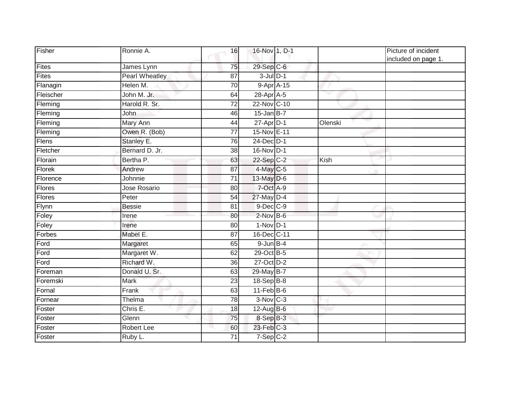| Fisher       | Ronnie A.             | 16              | 16-Nov 1, D-1           |         | Picture of incident<br>included on page 1. |
|--------------|-----------------------|-----------------|-------------------------|---------|--------------------------------------------|
| Fites        | James Lynn            | 75              | $29-Sep$ <sub>C-6</sub> |         |                                            |
| <b>Fites</b> | <b>Pearl Wheatley</b> | 87              | $3$ -Jul $D-1$          |         |                                            |
| Flanagin     | Helen M.              | 70              | 9-Apr A-15              |         |                                            |
| Fleischer    | John M. Jr.           | 64              | 28-Apr A-5              |         |                                            |
| Fleming      | Harold R. Sr.         | 72              | 22-Nov C-10             |         |                                            |
| Fleming      | John                  | 46              | $15$ -Jan B-7           |         |                                            |
| Fleming      | Mary Ann              | 44              | $27 - Apr$ D-1          | Olenski |                                            |
| Fleming      | Owen R. (Bob)         | 77              | 15-Nov E-11             |         |                                            |
| Flens        | Stanley E.            | 76              | 24-Dec D-1              |         |                                            |
| Fletcher     | Bernard D. Jr.        | $\overline{38}$ | 16-Nov D-1              |         |                                            |
| Florain      | Bertha P.             | 63              | 22-Sep C-2              | Kish    |                                            |
| Florek       | Andrew                | 87              | 4-May C-5               |         |                                            |
| Florence     | Johnnie               | 71              | $13$ -May $D-6$         |         |                                            |
| Flores       | Jose Rosario          | 80              | 7-Oct A-9               |         |                                            |
| Flores       | Peter                 | 54              | 27-May D-4              |         |                                            |
| Flynn        | <b>Bessie</b>         | 81              | 9-Dec C-9               |         |                                            |
| Foley        | Irene                 | 80              | $2$ -Nov $B-6$          |         |                                            |
| Foley        | Irene                 | 80              | $1-Nov$ D-1             |         |                                            |
| Forbes       | Mabel E.              | 87              | 16-Dec C-11             |         |                                            |
| Ford         | Margaret              | 65              | $9$ -Jun $B-4$          |         |                                            |
| Ford         | Margaret W.           | 62              | 29-Oct B-5              |         |                                            |
| Ford         | Richard W.            | 36              | 27-Oct D-2              |         |                                            |
| Foreman      | Donald U. Sr.         | 63              | 29-May B-7              |         |                                            |
| Foremski     | <b>Mark</b>           | $\overline{23}$ | 18-Sep B-8              |         |                                            |
| Fornal       | Frank                 | 63              | $11-Feb$ B-6            |         |                                            |
| Fornear      | Thelma                | 78              | $3-Nov$ $C-3$           |         |                                            |
| Foster       | Chris E.              | 18              | $12$ -Aug $B$ -6        |         |                                            |
| Foster       | Glenn                 | 75              | 8-Sep B-3               |         |                                            |
| Foster       | Robert Lee            | 60              | $23$ -Feb $C-3$         |         |                                            |
| Foster       | Ruby L.               | 71              | $7-Sep$ $C-2$           |         |                                            |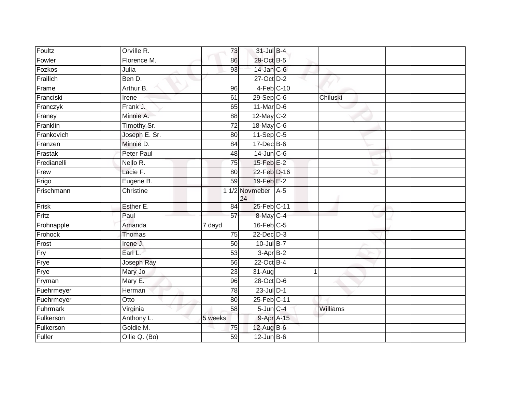| Foultz      | Orville R.        | 73              | 31-Jul B-4              |       |          |  |
|-------------|-------------------|-----------------|-------------------------|-------|----------|--|
| Fowler      | Florence M.       | 86              | 29-Oct B-5              |       |          |  |
| Fozkos      | Julia             | 93              | 14-Jan C-6              |       |          |  |
| Frailich    | Ben D.            |                 | 27-Oct D-2              |       |          |  |
| Frame       | Arthur B.         | 96              | 4-Feb C-10              |       |          |  |
| Franciski   | Irene             | 61              | $29-Sep$ <sub>C-6</sub> |       | Chiluski |  |
| Franczyk    | Frank J.          | 65              | 11-Mar D-6              |       |          |  |
| Franey      | Minnie A.         | 88              | 12-May C-2              |       |          |  |
| Franklin    | Timothy Sr.       | 72              | 18-May C-6              |       |          |  |
| Frankovich  | Joseph E. Sr.     | 80              | $11-Sep$ C-5            |       |          |  |
| Franzen     | Minnie D.         | 84              | $17 - Dec$ B-6          |       |          |  |
| Frastak     | <b>Peter Paul</b> | 48              | $14$ -Jun $C$ -6        |       |          |  |
| Fredianelli | Nello R.          | 75              | 15-Feb E-2              |       |          |  |
| Frew        | Lacie F.          | 80              | 22-Feb <sup>D-16</sup>  |       |          |  |
| Frigo       | Eugene B.         | 59              | 19-Feb E-2              |       |          |  |
| Frischmann  | Christine         |                 | 1 1/2 Novmeber<br>24    | $A-5$ |          |  |
| Frisk       | Esther E.         | $\overline{84}$ | 25-Feb C-11             |       |          |  |
| Fritz       | Paul              | 57              | 8-May C-4               |       |          |  |
| Frohnapple  | Amanda            | 7 dayd          | $16$ -Feb $C-5$         |       |          |  |
| Frohock     | Thomas            | 75              | $22$ -Dec $D-3$         |       |          |  |
| Frost       | Irene J.          | 50              | $10$ -Jul B-7           |       |          |  |
| Fry         | Earl L.           | 53              | 3-Apr B-2               |       |          |  |
| Frye        | Joseph Ray        | 56              | 22-Oct B-4              |       |          |  |
| Frye        | Mary Jo           | 23              | 31-Aug                  |       | 1        |  |
| Fryman      | Mary E.           | 96              | 28-Oct D-6              |       |          |  |
| Fuehrmeyer  | Herman            | 78              | $23$ -Jul $D-1$         |       |          |  |
| Fuehrmeyer  | Otto              | 80              | 25-Feb C-11             |       |          |  |
| Fuhrmark    | Virginia          | 58              | 5-Jun C-4               |       | Williams |  |
| Fulkerson   | Anthony L.        | 5 weeks         | 9-Apr A-15              |       |          |  |
| Fulkerson   | Goldie M.         | 75              | $12$ -Aug B-6           |       |          |  |
| Fuller      | Ollie Q. (Bo)     | 59              | $12$ -Jun $B$ -6        |       |          |  |
|             |                   |                 |                         |       |          |  |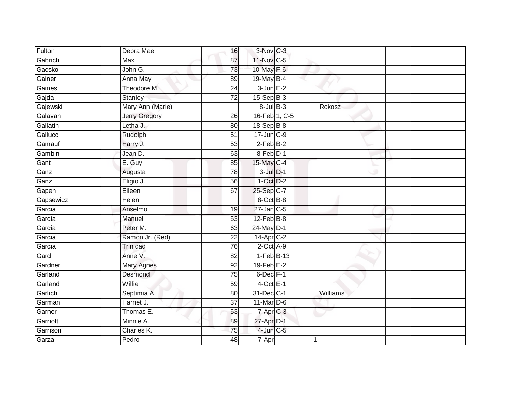| Fulton    | Debra Mae            | 16              | 3-Nov C-3         |          |  |
|-----------|----------------------|-----------------|-------------------|----------|--|
| Gabrich   | Max                  | 87              | 11-Nov C-5        |          |  |
| Gacsko    | John G.              | 73              | 10-May F-6        |          |  |
| Gainer    | Anna May             | 89              | 19-May $B-4$      |          |  |
| Gaines    | Theodore M.          | $\overline{24}$ | $3$ -Jun $E-2$    |          |  |
| Gajda     | Stanley              | $\overline{72}$ | $15-Sep$ B-3      |          |  |
| Gajewski  | Mary Ann (Marie)     |                 | $8$ -Jul $B$ -3   | Rokosz   |  |
| Galavan   | <b>Jerry Gregory</b> | $\overline{26}$ | 16-Feb 1, C-5     |          |  |
| Gallatin  | Letha J.             | 80              | 18-Sep B-8        |          |  |
| Gallucci  | Rudolph              | 51              | 17-Jun C-9        |          |  |
| Gamauf    | Harry J.             | 53              | $2-FebB-2$        |          |  |
| Gambini   | Jean D.              | 63              | 8-Feb D-1         |          |  |
| Gant      | E. Guy               | 85              | 15-May C-4        |          |  |
| Ganz      | Augusta              | 78              | $3$ -Jul $D-1$    |          |  |
| Ganz      | Eligio J.            | 56              | $1-Oct$ $D-2$     |          |  |
| Gapen     | Eileen               | 67              | 25-Sep C-7        |          |  |
| Gapsewicz | <b>Helen</b>         |                 | 8-Oct B-8         |          |  |
| Garcia    | Anselmo              | 19              | $27$ -Jan $C-5$   |          |  |
| Garcia    | Manuel               | 53              | 12-Feb B-8        |          |  |
| Garcia    | Peter M.             | 63              | 24-May D-1        |          |  |
| Garcia    | Ramon Jr. (Red)      | $\overline{22}$ | $14$ -Apr $C-2$   |          |  |
| Garcia    | <b>Trinidad</b>      | 76              | 2-Oct A-9         |          |  |
| Gard      | Anne V.              | 82              | $1-Feb$ B-13      |          |  |
| Gardner   | <b>Mary Agnes</b>    | 92              | $19$ -Feb $E-2$   |          |  |
| Garland   | Desmond              | 75              | $6$ -Dec $F-1$    |          |  |
| Garland   | Willie               | 59              | $4$ -Oct E-1      |          |  |
| Garlich   | Septimia A.          | 80              | 31-Dec C-1        | Williams |  |
| Garman    | Harriet J.           | 37              | $11$ -Mar $D-6$   |          |  |
| Garner    | Thomas E.            | 53              | $7 - Apr$ $C - 3$ |          |  |
| Garriott  | Minnie A.            | 89              | 27-Apr D-1        |          |  |
| Garrison  | Charles K.           | $\overline{75}$ | $4$ -Jun $C$ -5   |          |  |
| Garza     | Pedro                | 48              | 7-Apr             |          |  |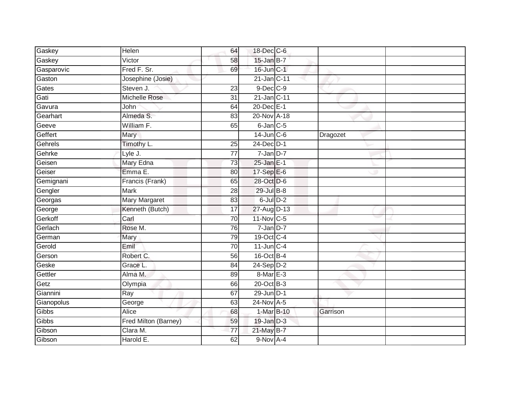| Gaskey     | Helen                | 64              | 18-Dec C-6      |          |
|------------|----------------------|-----------------|-----------------|----------|
| Gaskey     | Victor               | 58              | 15-Jan B-7      |          |
| Gasparovic | Fred F. Sr.          | 69              | 16-Jun C-1      |          |
| Gaston     | Josephine (Josie)    |                 | 21-Jan C-11     |          |
| Gates      | Steven J.            | $\overline{23}$ | $9$ -Dec $C$ -9 |          |
| Gati       | <b>Michelle Rose</b> | 31              | 21-Jan C-11     |          |
| Gavura     | John                 | 64              | 20-Dec E-1      |          |
| Gearhart   | Almeda S.            | 83              | 20-Nov A-18     |          |
| Geeve      | William F.           | 65              | $6$ -Jan $C$ -5 |          |
| Geffert    | Mary                 |                 | $14$ -Jun $C-6$ | Dragozet |
| Gehrels    | Timothy L.           | 25              | 24-Dec D-1      |          |
| Gehrke     | Lyle J.              | 77              | $7$ -Jan $D-7$  |          |
| Geisen     | Mary Edna            | 73              | $25$ -Jan E-1   |          |
| Geiser     | Emma E.              | 80              | $17-SepE-6$     |          |
| Gemignani  | Francis (Frank)      | 65              | 28-Oct D-6      |          |
| Gengler    | Mark                 | 28              | 29-Jul B-8      |          |
| Georgas    | <b>Mary Margaret</b> | 83              | $6$ -Jul $D-2$  |          |
| George     | Kenneth (Butch)      | 17              | 27-Aug D-13     |          |
| Gerkoff    | Carl                 | 70              | 11-Nov C-5      |          |
| Gerlach    | Rose M.              | 76              | $7$ -Jan $D-7$  |          |
| German     | Mary                 | 79              | 19-Oct C-4      |          |
| Gerold     | Emil                 | 70              | $11$ -Jun $C-4$ |          |
| Gerson     | Robert C.            | 56              | $16$ -Oct B-4   |          |
| Geske      | Grace L.             | 84              | $24-Sep D-2$    |          |
| Gettler    | Alma M.              | 89              | 8-Mar E-3       |          |
| Getz       | Olympia              | 66              | $20$ -Oct $B-3$ |          |
| Giannini   | Ray                  | 67              | 29-Jun D-1      |          |
| Gianopolus | George               | 63              | 24-Nov A-5      |          |
| Gibbs      | Alice                | 68              | 1-Mar B-10      | Garrison |
| Gibbs      | Fred Milton (Barney) | 59              | 19-Jan D-3      |          |
| Gibson     | Clara M.             | $\overline{77}$ | 21-May B-7      |          |
| Gibson     | Harold E.            | 62              | 9-Nov A-4       |          |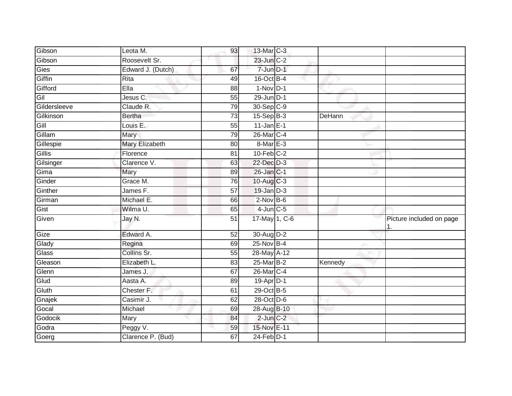| Gibson       | Leota M.          | 93 | 13-Mar C-3      |         |                          |
|--------------|-------------------|----|-----------------|---------|--------------------------|
| Gibson       | Roosevelt Sr.     |    | $23$ -Jun $C-2$ |         |                          |
| Gies         | Edward J. (Dutch) | 67 | 7-Jun D-1       |         |                          |
| Giffin       | Rita              | 49 | 16-Oct B-4      |         |                          |
| Gifford      | Ella              | 88 | $1-Nov$ D-1     |         |                          |
| Gil          | Jesus C.          | 55 | $29$ -Jun $D-1$ |         |                          |
| Gildersleeve | Claude R.         | 79 | 30-Sep C-9      |         |                          |
| Gilkinson    | <b>Bertha</b>     | 73 | 15-Sep B-3      | DeHann  |                          |
| Gill         | Louis E.          | 55 | $11$ -Jan E-1   |         |                          |
| Gillam       | Mary              | 79 | 26-Mar C-4      |         |                          |
| Gillespie    | Mary Elizabeth    | 80 | 8-Mar E-3       |         |                          |
| Gillis       | Florence          | 81 | $10$ -Feb $C-2$ |         |                          |
| Gilsinger    | Clarence V.       | 63 | 22-Dec D-3      |         |                          |
| Gima         | Mary              | 89 | 26-Jan C-1      |         |                          |
| Ginder       | Grace M.          | 76 | 10-Aug $C-3$    |         |                          |
| Ginther      | James F.          | 57 | $19$ -Jan $D-3$ |         |                          |
| Girman       | Michael E.        | 66 | $2$ -Nov $B-6$  |         |                          |
| Gist         | Wilma U.          | 65 | $4$ -Jun $C$ -5 |         |                          |
| Given        | Jay N.            | 51 | 17-May 1, C-6   |         | Picture included on page |
| Gize         | Edward A.         | 52 | 30-Aug D-2      |         |                          |
| Glady        | Regina            | 69 | 25-Nov B-4      |         |                          |
| Glass        | Collins Sr.       | 55 | 28-May A-12     |         |                          |
| Gleason      | Elizabeth L.      | 83 | 25-Mar B-2      | Kennedy |                          |
| Glenn        | James J.          | 67 | 26-Mar C-4      |         |                          |
| Glud         | Aasta A.          | 89 | 19-Apr D-1      |         |                          |
| Gluth        | Chester F.        | 61 | 29-Oct B-5      |         |                          |
| Gnajek       | Casimir J.        | 62 | 28-Oct D-6      |         |                          |
| Gocal        | Michael           | 69 | 28-Aug B-10     |         |                          |
| Godocik      | Mary              | 84 | $2$ -Jun $C-2$  |         |                          |
| Godra        | Peggy V.          | 59 | 15-Nov E-11     |         |                          |
| Goerg        | Clarence P. (Bud) | 67 | $24$ -Feb $D-1$ |         |                          |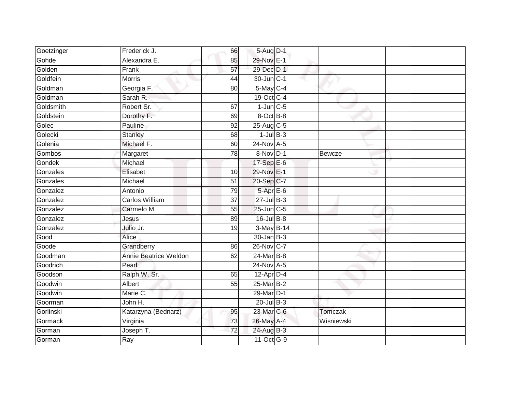| Goetzinger | Frederick J.          | 66              | 5-Aug D-1        |            |  |
|------------|-----------------------|-----------------|------------------|------------|--|
| Gohde      | Alexandra E.          | 85              | 29-Nov E-1       |            |  |
| Golden     | Frank                 | 57              | 29-Dec D-1       |            |  |
| Goldfein   | <b>Morris</b>         | 44              | 30-Jun C-1       |            |  |
| Goldman    | Georgia F.            | $\overline{80}$ | $5$ -May $C-4$   |            |  |
| Goldman    | Sarah R.              |                 | 19-Oct C-4       |            |  |
| Goldsmith  | Robert Sr.            | 67              | $1$ -Jun $C$ -5  |            |  |
| Goldstein  | Dorothy F.            | 69              | 8-Oct B-8        |            |  |
| Golec      | Pauline               | 92              | 25-Aug C-5       |            |  |
| Golecki    | Stanley               | 68              | $1$ -Jul B-3     |            |  |
| Golenia    | Michael F.            | 60              | 24-Nov A-5       |            |  |
| Gombos     | Margaret              | 78              | 8-Nov D-1        | Bewcze     |  |
| Gondek     | Michael               |                 | 17-Sep E-6       |            |  |
| Gonzales   | Elisabet              | 10              | 29-Nov E-1       |            |  |
| Gonzales   | Michael               | 51              | 20-Sep C-7       |            |  |
| Gonzalez   | Antonio               | 79              | 5-Apr E-6        |            |  |
| Gonzalez   | Carlos William        | $\overline{37}$ | $27$ -Jul B-3    |            |  |
| Gonzalez   | Carmelo M.            | 55              | $25$ -Jun $C$ -5 |            |  |
| Gonzalez   | Jesus                 | 89              | 16-Jul B-8       |            |  |
| Gonzalez   | Julio Jr.             | $\overline{19}$ | 3-May B-14       |            |  |
| Good       | Alice                 |                 | $30 - Jan$ $B-3$ |            |  |
| Goode      | Grandberry            | 86              | 26-Nov C-7       |            |  |
| Goodman    | Annie Beatrice Weldon | 62              | 24-Mar B-8       |            |  |
| Goodrich   | Pearl                 |                 | 24-Nov A-5       |            |  |
| Goodson    | Ralph W. Sr.          | 65              | $12$ -Apr $D-4$  |            |  |
| Goodwin    | Albert                | 55              | 25-Mar B-2       |            |  |
| Goodwin    | Marie C.              |                 | 29-Mar D-1       |            |  |
| Goorman    | John H.               |                 | $20$ -Jul B-3    |            |  |
| Gorlinski  | Katarzyna (Bednarz)   | 95              | 23-Mar C-6       | Tomczak    |  |
| Gormack    | Virginia              | 73              | 26-May A-4       | Wisniewski |  |
| Gorman     | Joseph T.             | $\overline{72}$ | 24-Aug B-3       |            |  |
| Gorman     | Ray                   |                 | 11-Oct G-9       |            |  |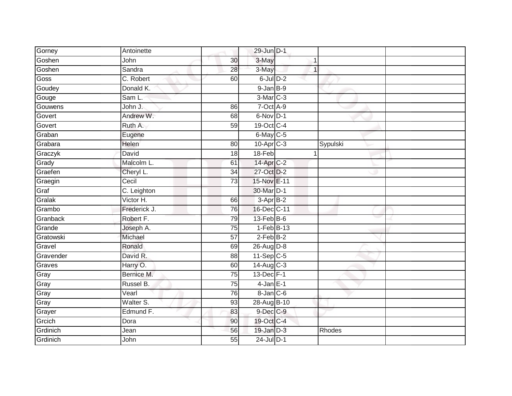| Gorney    | Antoinette   |                 | 29-Jun D-1           |              |          |  |
|-----------|--------------|-----------------|----------------------|--------------|----------|--|
| Goshen    | John         | 30              | 3-May                |              |          |  |
| Goshen    | Sandra       | 28              | 3-May                | $\mathbf{1}$ |          |  |
| Goss      | C. Robert    | 60              | $6$ -Jul $D-2$       |              |          |  |
| Goudey    | Donald K.    |                 | $9$ -Jan $B-9$       |              |          |  |
| Gouge     | Sam L.       |                 | 3-Mar <sub>C-3</sub> |              |          |  |
| Gouwens   | John J.      | 86              | 7-Oct A-9            |              |          |  |
| Govert    | Andrew W.    | 68              | 6-Nov D-1            |              |          |  |
| Govert    | Ruth A.      | 59              | 19-Oct C-4           |              |          |  |
| Graban    | Eugene       |                 | $6$ -May $C$ -5      |              |          |  |
| Grabara   | Helen        | 80              | 10-Apr C-3           |              | Sypulski |  |
| Graczyk   | David        | 18              | 18-Feb               | $\mathbf{1}$ |          |  |
| Grady     | Malcolm L.   | 61              | 14-Apr C-2           |              |          |  |
| Graefen   | Cheryl L.    | 34              | 27-Oct D-2           |              |          |  |
| Graegin   | Cecil        | $\overline{73}$ | 15-Nov E-11          |              |          |  |
| Graf      | C. Leighton  |                 | 30-Mar D-1           |              |          |  |
| Gralak    | Victor H.    | 66              | $3-AprB-2$           |              |          |  |
| Grambo    | Frederick J. | 76              | 16-Dec C-11          |              |          |  |
| Granback  | Robert F.    | 79              | 13-Feb B-6           |              |          |  |
| Grande    | Joseph A.    | 75              | $1-FebB-13$          |              |          |  |
| Gratowski | Michael      | 57              | $2$ -Feb $B-2$       |              |          |  |
| Gravel    | Ronald       | 69              | 26-Aug D-8           |              |          |  |
| Gravender | David R.     | 88              | $11-Sep C-5$         |              |          |  |
| Graves    | Harry O.     | 60              | $14$ -Aug C-3        |              |          |  |
| Gray      | Bernice M.   | 75              | 13-Dec F-1           |              |          |  |
| Gray      | Russel B.    | 75              | $4$ -Jan $E-1$       |              |          |  |
| Gray      | Vearl        | 76              | 8-Jan C-6            |              |          |  |
| Gray      | Walter S.    | 93              | 28-Aug B-10          |              |          |  |
| Grayer    | Edmund F.    | 83              | 9-Dec C-9            |              |          |  |
| Grcich    | Dora         | 90              | 19-Oct C-4           |              |          |  |
| Grdinich  | Jean         | 56              | 19-Jan D-3           |              | Rhodes   |  |
| Grdinich  | John         | 55              | $24$ -Jul $D-1$      |              |          |  |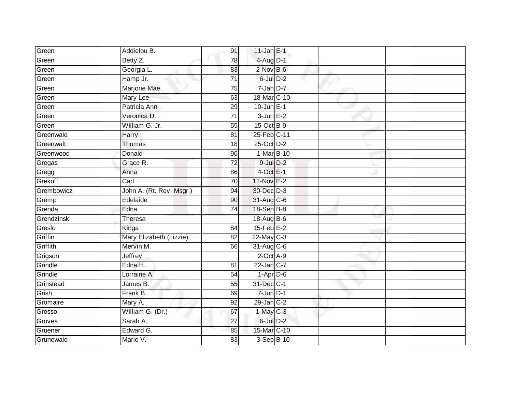| Green       | Addielou B.              | 91              | 11-Jan $E-1$      |  |  |
|-------------|--------------------------|-----------------|-------------------|--|--|
| Green       | Betty Z.                 | 78              | $4$ -Aug $D-1$    |  |  |
| Green       | Georgia L.               | 83              | 2-Nov B-6         |  |  |
| Green       | Hamp Jr.                 | 71              | $6$ -Jul $D-2$    |  |  |
| Green       | Marjorie Mae             | $\overline{75}$ | $7$ -Jan $D-7$    |  |  |
| Green       | Mary Lee                 | 63              | 18-Mar C-10       |  |  |
| Green       | Patricia Ann             | 29              | $10$ -Jun $E-1$   |  |  |
| Green       | Veronica D.              | 71              | $3$ -Jun $E-2$    |  |  |
| Green       | William G. Jr.           | 55              | 15-Oct B-9        |  |  |
| Greenwald   | Harry                    | 81              | 25-Feb C-11       |  |  |
| Greenwalt   | Thomas                   | 18              | 25-Oct D-2        |  |  |
| Greenwood   | Donald                   | 96              | 1-Mar B-10        |  |  |
| Gregas      | Grace R.                 | 72              | $9$ -Jul $D-2$    |  |  |
| Gregg       | Anna                     | 86              | $4$ -Oct E-1      |  |  |
| Grekoff     | Carl                     | 70              | 12-Nov E-2        |  |  |
| Grembowicz  | John A. (Rt. Rev. Msgr.) | 94              | 30-Dec D-3        |  |  |
| Gremp       | Edelaide                 | $\overline{90}$ | 31-Aug C-6        |  |  |
| Grenda      | Edna                     | 74              | 18-Sep B-8        |  |  |
| Grendzinski | Theresa                  |                 | 18-Aug B-6        |  |  |
| Greslo      | Kinga                    | $\overline{84}$ | $15$ -Feb $E-2$   |  |  |
| Griffin     | Mary Elizabeth (Lizzie)  | 82              | 22-May C-3        |  |  |
| Griffith    | Mervin M.                | 66              | 31-Aug C-6        |  |  |
| Grigson     | Jeffrey                  |                 | $2$ -Oct $A-9$    |  |  |
| Grindle     | Edna H.                  | 81              | $22$ -Jan $ C-7 $ |  |  |
| Grindle     | Lorraine A.              | 54              | $1-Apr$ D-6       |  |  |
| Grinstead   | James B.                 | 55              | 31-Dec C-1        |  |  |
| Grish       | Frank B.                 | 69              | $7 - Jun$ $D-1$   |  |  |
| Gromaire    | Mary A.                  | 92              | $29$ -Jan $C-2$   |  |  |
| Grosso      | William G. (Dr.)         | 67              | $1-May$ C-3       |  |  |
| Groves      | Sarah A.                 | $\overline{27}$ | 6-Jul D-2         |  |  |
| Gruener     | Edward G.                | 85              | 15-Mar C-10       |  |  |
| Grunewald   | Marie V.                 | $\overline{83}$ | 3-Sep B-10        |  |  |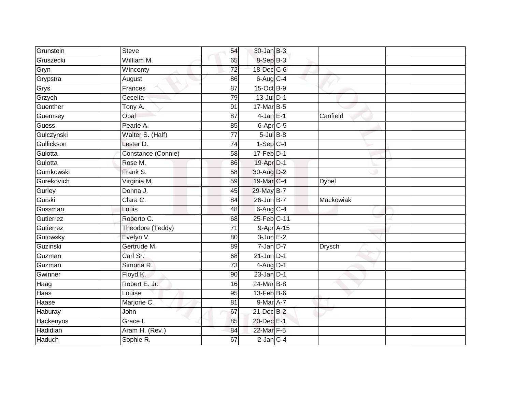| Grunstein     | <b>Steve</b>       | 54              | $30 - Jan$ $B-3$  |                  |  |
|---------------|--------------------|-----------------|-------------------|------------------|--|
| Gruszecki     | William M.         | 65              | 8-Sep B-3         |                  |  |
| Gryn          | Wincenty           | $\overline{72}$ | 18-Dec C-6        |                  |  |
| Grypstra      | August             | 86              | $6$ -Aug $C$ -4   |                  |  |
| Grys          | Frances            | $\overline{87}$ | 15-Oct B-9        |                  |  |
| Grzych        | Cecelia            | 79              | $13$ -Jul $D-1$   |                  |  |
| Guenther      | Tony A.            | 91              | 17-Mar B-5        |                  |  |
| Guernsey      | Opal               | 87              | $4$ -Jan $E-1$    | Canfield         |  |
| Guess         | Pearle A.          | 85              | $6 - Apr$ $C - 5$ |                  |  |
| Gulczynski    | Walter S. (Half)   | $\overline{77}$ | $5$ -Jul $B$ -8   |                  |  |
| Gullickson    | Lester D.          | 74              | $1-SepC-4$        |                  |  |
| Gulotta       | Constance (Connie) | 58              | $17$ -Feb $D-1$   |                  |  |
| Gulotta       | Rose M.            | 86              | 19-Apr D-1        |                  |  |
| Gumkowski     | Frank S.           | 58              | 30-Aug D-2        |                  |  |
| Gurekovich    | Virginia M.        | 59              | 19-Mar C-4        | <b>Dybel</b>     |  |
| Gurley        | Donna J.           | 45              | 29-May B-7        |                  |  |
| Gurski        | Clara C.           | 84              | 26-Jun B-7        | <b>Mackowiak</b> |  |
| Gussman       | Louis              | 48              | $6$ -Aug $C$ -4   |                  |  |
| Gutierrez     | Roberto C.         | 68              | 25-Feb C-11       |                  |  |
| Gutierrez     | Theodore (Teddy)   | 71              | 9-Apr A-15        |                  |  |
| Gutowsky      | Evelyn V.          | 80              | $3$ -Jun $E-2$    |                  |  |
| Guzinski      | Gertrude M.        | 89              | $7 - Jan$ $D-7$   | <b>Drysch</b>    |  |
| Guzman        | Carl Sr.           | 68              | $21$ -Jun $D-1$   |                  |  |
| Guzman        | Simona R.          | 73              | $4$ -Aug D-1      |                  |  |
| Gwinner       | Floyd K.           | 90              | $23$ -Jan $D-1$   |                  |  |
| Haag          | Robert E. Jr.      | 16              | $24$ -Mar $B-8$   |                  |  |
| Haas          | Louise             | 95              | $13$ -Feb $ B-6 $ |                  |  |
| Haase         | Marjorie C.        | 81              | 9-Mar A-7         |                  |  |
| Haburay       | John               | 67              | 21-Dec B-2        |                  |  |
| Hackenyos     | Grace I.           | 85              | 20-Dec E-1        |                  |  |
| Hadidian      | Aram H. (Rev.)     | 84              | 22-Mar F-5        |                  |  |
| <b>Haduch</b> | Sophie R.          | 67              | $2$ -Jan $C-4$    |                  |  |
|               |                    |                 |                   |                  |  |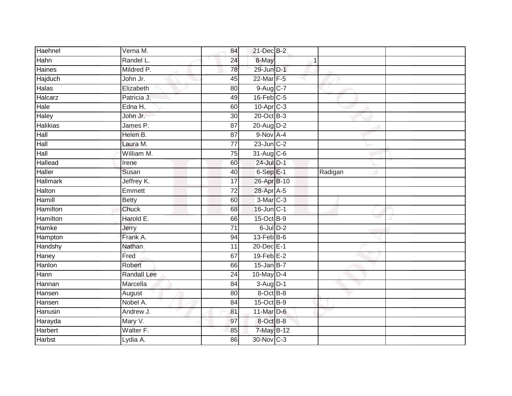| Haehnel         | Verna M.           | 84              | $21$ -Dec $B-2$         |         |  |
|-----------------|--------------------|-----------------|-------------------------|---------|--|
| Hahn            | Randel L.          | 24              | 8-May                   |         |  |
| <b>Haines</b>   | Mildred P.         | 78              | 29-Jun D-1              |         |  |
| Hajduch         | John Jr.           | 45              | 22-Mar F-5              |         |  |
| <b>Halas</b>    | Elizabeth          | $\overline{80}$ | 9-Aug C-7               |         |  |
| Halcarz         | Patricia J.        | 49              | $16$ -Feb $C-5$         |         |  |
| Hale            | Edna H.            | 60              | $10-Apr$ <sub>C-3</sub> |         |  |
| Haley           | John Jr.           | 30              | $20$ -Oct $B-3$         |         |  |
| <b>Halikias</b> | James P.           | 87              | 20-Aug D-2              |         |  |
| Hall            | Helen B.           | 87              | $9-Nov$ A-4             |         |  |
| Hall            | Laura M.           | $\overline{77}$ | $23$ -Jun $C-2$         |         |  |
| Hall            | William M.         | 75              | 31-Aug C-6              |         |  |
| Hallead         | Irene              | 60              | 24-Jul D-1              |         |  |
| Haller          | Susan              | 40              | $6-SepE-1$              | Radigan |  |
| <b>Hallmark</b> | Jeffrey K.         | $\overline{17}$ | 26-Apr B-10             |         |  |
| Halton          | Emmett             | 72              | 28-Apr A-5              |         |  |
| Hamill          | <b>Betty</b>       | 60              | $3-Mar$ C-3             |         |  |
| Hamilton        | Chuck              | 68              | $16$ -Jun $C-1$         |         |  |
| <b>Hamilton</b> | Harold E.          | 66              | 15-Oct B-9              |         |  |
| Hamke           | Jerry              | $\overline{71}$ | $6$ -Jul $D-2$          |         |  |
| Hampton         | Frank A.           | 94              | $13$ -Feb $B$ -6        |         |  |
| Handshy         | Nathan             | 11              | 20-Dec E-1              |         |  |
| Haney           | Fred               | 67              | $19$ -Feb $E-2$         |         |  |
| Hanlon          | Robert             | 66              | $15$ -Jan B-7           |         |  |
| Hann            | <b>Randall Lee</b> | 24              | $10$ -May $D-4$         |         |  |
| Hannan          | Marcella           | 84              | $3-Aug$ D-1             |         |  |
| Hansen          | August             | 80              | 8-Oct B-8               |         |  |
| Hansen          | Nobel A.           | 84              | 15-Oct B-9              |         |  |
| Hanusin         | Andrew J.          | 81              | 11-Mar D-6              |         |  |
| Harayda         | Mary V.            | 97              | 8-Oct B-8               |         |  |
| <b>Harbert</b>  | Walter F.          | 85              | 7-May B-12              |         |  |
| <b>Harbst</b>   | Lydia A.           | 86              | 30-Nov C-3              |         |  |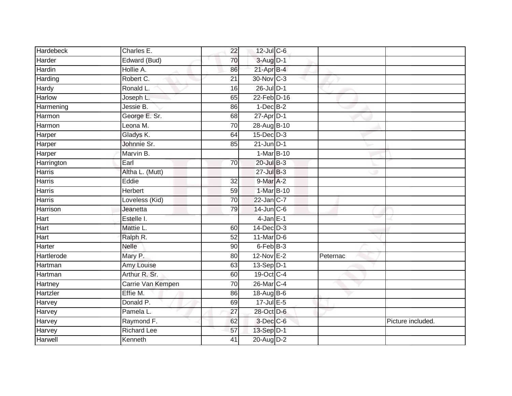| Hardebeck     | Charles E.         | 22              | $12$ -Jul C-6   |          |                   |
|---------------|--------------------|-----------------|-----------------|----------|-------------------|
| Harder        | Edward (Bud)       | 70              | 3-Aug D-1       |          |                   |
| Hardin        | Hollie A.          | 86              | 21-Apr B-4      |          |                   |
| Harding       | Robert C.          | 21              | 30-Nov C-3      |          |                   |
| Hardy         | Ronald L.          | 16              | 26-Jul D-1      |          |                   |
| Harlow        | Joseph L.          | 65              | 22-Feb D-16     |          |                   |
| Harmening     | Jessie B.          | 86              | $1-Dec$ B-2     |          |                   |
| Harmon        | George E. Sr.      | 68              | $27$ -Apr $D-1$ |          |                   |
| Harmon        | Leona M.           | 70              | 28-Aug B-10     |          |                   |
| Harper        | Gladys K.          | 64              | $15$ -Dec $D-3$ |          |                   |
| Harper        | Johnnie Sr.        | 85              | $21$ -Jun $D-1$ |          |                   |
| Harper        | Marvin B.          |                 | 1-Mar B-10      |          |                   |
| Harrington    | Earl               | 70              | $20$ -Jul $B-3$ |          |                   |
| Harris        | Altha L. (Mutt)    |                 | $27 -$ Jul B-3  |          |                   |
| <b>Harris</b> | Eddie              | $\overline{32}$ | 9-Mar A-2       |          |                   |
| Harris        | Herbert            | 59              | 1-Mar B-10      |          |                   |
| Harris        | Loveless (Kid)     | 70              | 22-Jan C-7      |          |                   |
| Harrison      | Jeanetta           | 79              | 14-Jun C-6      |          |                   |
| Hart          | Estelle I.         |                 | $4$ -Jan $E-1$  |          |                   |
| Hart          | Mattie L.          | 60              | $14$ -Dec $D-3$ |          |                   |
| Hart          | Ralph R.           | 52              | $11$ -Mar $D-6$ |          |                   |
| Harter        | <b>Nelle</b>       | $\overline{90}$ | 6-Feb B-3       |          |                   |
| Hartlerode    | Mary P.            | 80              | 12-Nov E-2      | Peternac |                   |
| Hartman       | Amy Louise         | 63              | $13-Sep$ $D-1$  |          |                   |
| Hartman       | Arthur R. Sr.      | 60              | 19-Oct C-4      |          |                   |
| Hartney       | Carrie Van Kempen  | 70              | 26-Mar C-4      |          |                   |
| Hartzler      | Effie M.           | 86              | 18-Aug B-6      |          |                   |
| Harvey        | Donald P.          | 69              | 17-Jul E-5      |          |                   |
| Harvey        | Pamela L.          | 27              | 28-Oct D-6      |          |                   |
| Harvey        | Raymond F.         | 62              | $3$ -Dec $C$ -6 |          | Picture included. |
| Harvey        | <b>Richard Lee</b> | 57              | 13-Sep D-1      |          |                   |
| Harwell       | Kenneth            | 41              | 20-Aug D-2      |          |                   |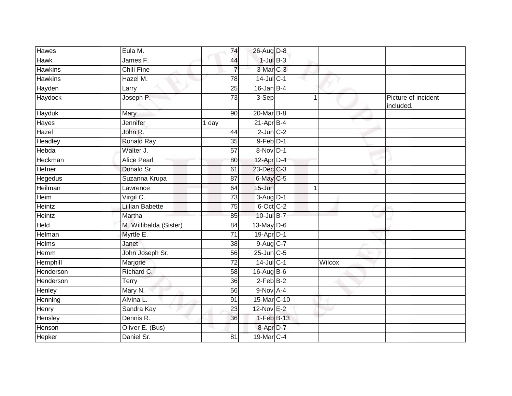| <b>Hawes</b>   | Eula M.                | 74              | 26-Aug D-8             |        |                                  |
|----------------|------------------------|-----------------|------------------------|--------|----------------------------------|
| <b>Hawk</b>    | James F.               | 44              | $1$ -Jul $B-3$         |        |                                  |
| <b>Hawkins</b> | <b>Chili Fine</b>      | $\overline{7}$  | 3-Mar C-3              |        |                                  |
| <b>Hawkins</b> | Hazel M.               | 78              | 14-Jul C-1             |        |                                  |
| Hayden         | Larry                  | 25              | $16$ -Jan B-4          |        |                                  |
| Haydock        | Joseph P.              | $\overline{73}$ | 3-Sep                  |        | Picture of incident<br>included. |
| <b>Hayduk</b>  | Mary                   | 90              | 20-Mar B-8             |        |                                  |
| Hayes          | Jennifer               | 1 day           | $21-AprB-4$            |        |                                  |
| Hazel          | John R.                | 44              | $2$ -Jun $C-2$         |        |                                  |
| Headley        | Ronald Ray             | 35              | $9$ -Feb $D-1$         |        |                                  |
| Hebda          | Walter J.              | 57              | 8-Nov D-1              |        |                                  |
| Heckman        | <b>Alice Pearl</b>     | 80              | $12$ -Apr $D-4$        |        |                                  |
| Hefner         | Donald Sr.             | 61              | 23-Dec C-3             |        |                                  |
| Hegedus        | Suzanna Krupa          | 87              | 6-May C-5              |        |                                  |
| Heilman        | Lawrence               | 64              | $15 - Jun$             | 1      |                                  |
| Heim           | Virgil C.              | 73              | $3-Aug$ D-1            |        |                                  |
| Heintz         | Lillian Babette        | 75              | 6-Oct C-2              |        |                                  |
| Heintz         | Martha                 | 85              | 10-Jul B-7             |        |                                  |
| Held           | M. Willibalda (Sister) | 84              | $13$ -May $D-6$        |        |                                  |
| Helman         | Myrtle E.              | 71              | 19-Apr <sub>D-1</sub>  |        |                                  |
| <b>Helms</b>   | Janet                  | 38              | $9-Aug$ <sub>C-7</sub> |        |                                  |
| Hemm           | John Joseph Sr.        | 56              | $25$ -Jun $C$ -5       |        |                                  |
| Hemphill       | Marjorie               | 72              | 14-Jul C-1             | Wilcox |                                  |
| Henderson      | Richard C.             | 58              | $16$ -Aug B-6          |        |                                  |
| Henderson      | Terry                  | $\overline{36}$ | $2$ -Feb $B-2$         |        |                                  |
| Henley         | Mary N.                | 56              | $9-Nov$ A-4            |        |                                  |
| Henning        | Alvina L.              | 91              | 15-Mar C-10            |        |                                  |
| Henry          | Sandra Kay             | 23              | 12-Nov E-2             |        |                                  |
| Hensley        | Dennis R.              | 36              | 1-Feb B-13             |        |                                  |
| Henson         | Oliver E. (Bus)        |                 | 8-Apr <sub>D-7</sub>   |        |                                  |
| <b>Hepker</b>  | Daniel Sr.             | 81              | 19-Mar C-4             |        |                                  |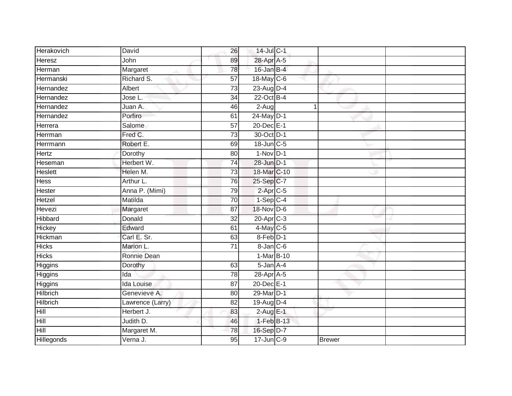| Herakovich        | David             | 26              | 14-Jul C-1        |               |  |
|-------------------|-------------------|-----------------|-------------------|---------------|--|
| Heresz            | John              | 89              | 28-Apr A-5        |               |  |
| Herman            | Margaret          | 78              | $16$ -Jan B-4     |               |  |
| Hermanski         | Richard S.        | 57              | 18-May C-6        |               |  |
| Hernandez         | Albert            | 73              | $23$ -Aug $D-4$   |               |  |
| Hernandez         | Jose L.           | $\overline{34}$ | 22-Oct B-4        |               |  |
| Hernandez         | Juan A.           | 46              | $2-Aug$           | 1             |  |
| Hernandez         | Porfiro           | 61              | $24$ -May $D-1$   |               |  |
| Herrera           | Salome            | $\overline{57}$ | 20-Dec E-1        |               |  |
| Herrman           | Fred C.           | 73              | 30-Oct D-1        |               |  |
| Herrmann          | Robert E.         | 69              | $18$ -Jun $C - 5$ |               |  |
| Hertz             | Dorothy           | 80              | $1-Nov$ D-1       |               |  |
| Heseman           | Herbert W.        | 74              | 28-Jun D-1        |               |  |
| Heslett           | Helen M.          | 73              | 18-Mar C-10       |               |  |
| <b>Hess</b>       | Arthur L.         | 76              | 25-Sep C-7        |               |  |
| Hester            | Anna P. (Mimi)    | 79              | $2-AprC-5$        |               |  |
| Hetzel            | Matilda           | 70              | $1-SepC-4$        |               |  |
| Hevezi            | Margaret          | 87              | 18-Nov D-6        |               |  |
| Hibbard           | Donald            | 32              | $20$ -Apr $C-3$   |               |  |
| Hickey            | Edward            | 61              | $4$ -May C-5      |               |  |
| Hickman           | Carl E. Sr.       | 63              | 8-Feb D-1         |               |  |
| <b>Hicks</b>      | Marion L.         | $\overline{71}$ | 8-Jan C-6         |               |  |
| <b>Hicks</b>      | Ronnie Dean       |                 | 1-Mar B-10        |               |  |
| Higgins           | Dorothy           | 63              | 5-Jan A-4         |               |  |
| Higgins           | Ida               | 78              | 28-Apr A-5        |               |  |
| Higgins           | <b>Ida Louise</b> | $\overline{87}$ | 20-Dec E-1        |               |  |
| Hilbrich          | Genevieve A.      | 80              | 29-Mar D-1        |               |  |
| <b>Hilbrich</b>   | Lawrence (Larry)  | 82              | 19-Aug D-4        |               |  |
| Hill              | Herbert J.        | 83              | $2$ -Aug $E-1$    |               |  |
| Hill              | Judith D.         | 46              | 1-Feb B-13        |               |  |
| Hill              | Margaret M.       | 78              | 16-Sep D-7        |               |  |
| <b>Hillegonds</b> | Verna J.          | 95              | $17$ -Jun $C-9$   | <b>Brewer</b> |  |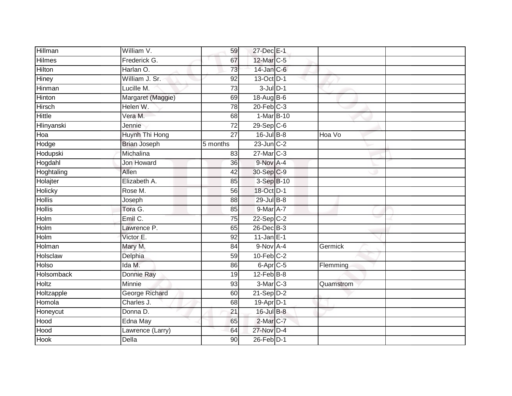| Hillman       | William V.          | 59              | 27-Dec E-1              |           |  |
|---------------|---------------------|-----------------|-------------------------|-----------|--|
| <b>Hilmes</b> | Frederick G.        | 67              | 12-Mar C-5              |           |  |
| <b>Hilton</b> | Harlan O.           | 73              | $14$ -Jan $C$ -6        |           |  |
| <b>Hiney</b>  | William J. Sr.      | 92              | 13-Oct D-1              |           |  |
| Hinman        | Lucille M.          | 73              | $3$ -Jul $D-1$          |           |  |
| Hinton        | Margaret (Maggie)   | 69              | 18-Aug B-6              |           |  |
| <b>Hirsch</b> | Helen W.            | 78              | $20$ -Feb $C-3$         |           |  |
| Hittle        | Vera M.             | 68              | 1-Mar B-10              |           |  |
| Hlinyanski    | Jennie              | $\overline{72}$ | $29-Sep$ <sub>C-6</sub> |           |  |
| Hoa           | Huynh Thi Hong      | $\overline{27}$ | $16$ -Jul $B-8$         | Hoa Vo    |  |
| Hodge         | <b>Brian Joseph</b> | 5 months        | $23$ -Jun $C-2$         |           |  |
| Hodupski      | Michalina           | 83              | $27$ -Mar $C-3$         |           |  |
| Hogdahl       | Jon Howard          | 36              | 9-Nov A-4               |           |  |
| Hoghtaling    | Allen               | 42              | 30-Sep C-9              |           |  |
| Holajter      | Elizabeth A.        | 85              | 3-Sep B-10              |           |  |
| Holicky       | Rose M.             | 56              | 18-Oct D-1              |           |  |
| <b>Hollis</b> | Joseph              | $\overline{88}$ | 29-Jul B-8              |           |  |
| <b>Hollis</b> | Tora G.             | 85              | 9-Mar A-7               |           |  |
| Holm          | Emil C.             | 75              | $22-Sep C-2$            |           |  |
| Holm          | Lawrence P.         | 65              | 26-Dec B-3              |           |  |
| Holm          | Victor E.           | 92              | $11$ -Jan E-1           |           |  |
| Holman        | Mary M.             | $\overline{84}$ | $9-Nov$ $A-4$           | Germick   |  |
| Holsclaw      | Delphia             | 59              | $10$ -Feb $C-2$         |           |  |
| Holso         | Ida M.              | 86              | $6 - Apr$ $C - 5$       | Flemming  |  |
| Holsomback    | Donnie Ray          | 19              | $12$ -Feb $B$ -8        |           |  |
| Holtz         | Minnie              | 93              | 3-Mar C-3               | Quamstrom |  |
| Holtzapple    | George Richard      | 60              | $21-Sep D-2$            |           |  |
| Homola        | Charles J.          | 68              | 19-Apr D-1              |           |  |
| Honeycut      | Donna D.            | $\overline{21}$ | 16-Jul B-8              |           |  |
| Hood          | Edna May            | 65              | 2-Mar C-7               |           |  |
| Hood          | Lawrence (Larry)    | 64              | 27-Nov D-4              |           |  |
| <b>Hook</b>   | Della               | 90              | $26$ -Feb $D-1$         |           |  |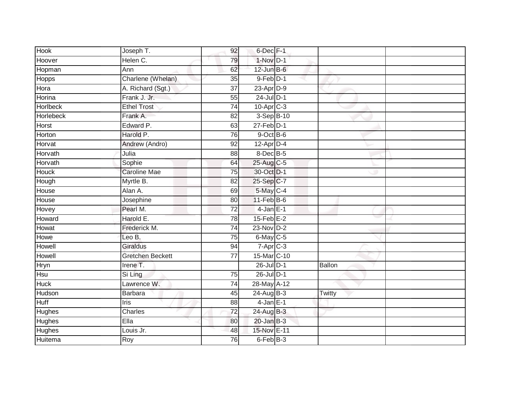| Hook             | Joseph T.               | 92              | 6-Dec F-1              |               |
|------------------|-------------------------|-----------------|------------------------|---------------|
| Hoover           | Helen C.                | 79              | $1-Nov$ D-1            |               |
| Hopman           | Ann                     | 62              | $12$ -Jun $B$ -6       |               |
| <b>Hopps</b>     | Charlene (Whelan)       | 35              | $9$ -Feb $D-1$         |               |
| Hora             | A. Richard (Sgt.)       | $\overline{37}$ | 23-Apr D-9             |               |
| Horina           | Frank J. Jr.            | 55              | $24$ -Jul $D-1$        |               |
| <b>Horlbeck</b>  | <b>Ethel Trost</b>      | $\overline{74}$ | $10-Apr$ $C-3$         |               |
| <b>Horlebeck</b> | Frank A.                | 82              | 3-Sep B-10             |               |
| Horst            | Edward P.               | 63              | $27$ -Feb $D-1$        |               |
| Horton           | Harold P.               | 76              | $9$ -Oct $B$ -6        |               |
| Horvat           | Andrew (Andro)          | 92              | 12-Apr D-4             |               |
| Horvath          | Julia                   | 88              | 8-Dec B-5              |               |
| Horvath          | Sophie                  | 64              | 25-Aug C-5             |               |
| <b>Houck</b>     | <b>Caroline Mae</b>     | 75              | 30-Oct D-1             |               |
| Hough            | Myrtle B.               | $\overline{82}$ | 25-Sep C-7             |               |
| House            | Alan A.                 | 69              | $5$ -May $C-4$         |               |
| House            | Josephine               | 80              | $11$ -Feb $B$ -6       |               |
| Hovey            | Pearl M.                | $\overline{72}$ | $4$ -Jan $E-1$         |               |
| Howard           | Harold E.               | 78              | $15$ -Feb $E-2$        |               |
| Howat            | Frederick M.            | 74              | $23-Nov$ D-2           |               |
| Howe             | Leo B.                  | 75              | 6-May C-5              |               |
| Howell           | <b>Giraldus</b>         | 94              | $7-Apr$ <sub>C-3</sub> |               |
| Howell           | <b>Gretchen Beckett</b> | 77              | 15-Mar C-10            |               |
| Hryn             | Irene T.                |                 | $26$ -Jul $D-1$        | <b>Ballon</b> |
| Hsu              | Si Ling                 | 75              | 26-Jul D-1             |               |
| <b>Huck</b>      | Lawrence W.             | 74              | 28-May A-12            |               |
| Hudson           | <b>Barbara</b>          | 45              | 24-Aug B-3             | Twitty        |
| Huff             | Iris                    | 88              | $4$ -Jan $E-1$         |               |
| Hughes           | Charles                 | 72              | 24-Aug B-3             |               |
| <b>Hughes</b>    | Ella                    | 80              | $20$ -Jan $B-3$        |               |
| Hughes           | Louis Jr.               | 48              | 15-Nov E-11            |               |
| Huitema          | Roy                     | 76              | 6-Feb B-3              |               |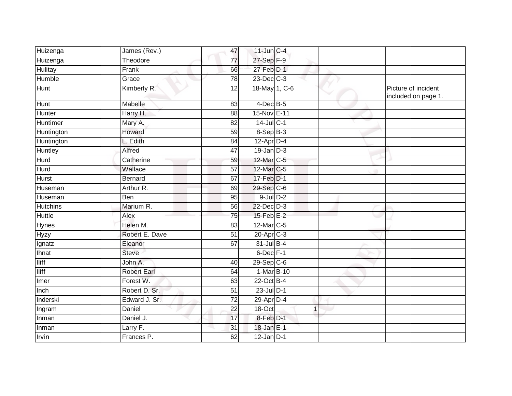| Huizenga        | James (Rev.)       | 47              | $11$ -Jun $C-4$         |   |                                            |
|-----------------|--------------------|-----------------|-------------------------|---|--------------------------------------------|
| Huizenga        | Theodore           | $\overline{77}$ | 27-Sep F-9              |   |                                            |
| <b>Hulitay</b>  | Frank              | 66              | 27-Feb D-1              |   |                                            |
| Humble          | Grace              | 78              | $23$ -Dec $C-3$         |   |                                            |
| Hunt            | Kimberly R.        | 12              | 18-May 1, C-6           |   | Picture of incident<br>included on page 1. |
| Hunt            | Mabelle            | 83              | $4$ -Dec B-5            |   |                                            |
| Hunter          | Harry H.           | 88              | 15-Nov E-11             |   |                                            |
| <b>Huntimer</b> | Mary A.            | $\overline{82}$ | $14$ -Jul C-1           |   |                                            |
| Huntington      | Howard             | 59              | 8-Sep B-3               |   |                                            |
| Huntington      | L. Edith           | 84              | $12-Apr$ D-4            |   |                                            |
| Huntley         | Alfred             | 47              | $19$ -Jan $D-3$         |   |                                            |
| <b>Hurd</b>     | Catherine          | 59              | 12-Mar C-5              |   |                                            |
| Hurd            | Wallace            | $\overline{57}$ | 12-Mar C-5              |   |                                            |
| Hurst           | <b>Bernard</b>     | 67              | 17-Feb D-1              |   |                                            |
| Huseman         | Arthur R.          | 69              | 29-Sep C-6              |   |                                            |
| Huseman         | <b>Ben</b>         | 95              | $9$ -Jul $D-2$          |   |                                            |
| <b>Hutchins</b> | Marium R.          | 56              | 22-Dec D-3              |   |                                            |
| <b>Huttle</b>   | Alex               | 75              | $15$ -Feb $E-2$         |   |                                            |
| Hynes           | Helen M.           | 83              | 12-Mar C-5              |   |                                            |
| <b>Hyzy</b>     | Robert E. Dave     | 51              | $20$ -Apr $C-3$         |   |                                            |
| Ignatz          | Eleanor            | 67              | $31$ -Jul B-4           |   |                                            |
| Ihnat           | <b>Steve</b>       |                 | 6-Dec F-1               |   |                                            |
| <b>Iliff</b>    | John A.            | 40              | $29-Sep$ <sub>C-6</sub> |   |                                            |
| <b>Iliff</b>    | <b>Robert Earl</b> | 64              | 1-Mar B-10              |   |                                            |
| Imer            | Forest W.          | 63              | $22$ -Oct B-4           |   |                                            |
| Inch            | Robert D. Sr.      | 51              | $23$ -Jul $D-1$         |   |                                            |
| Inderski        | Edward J. Sr.      | $\overline{72}$ | 29-Apr D-4              |   |                                            |
| Ingram          | Daniel             | 22              | 18-Oct                  | 1 |                                            |
| Inman           | Daniel J.          | 17              | 8-Feb D-1               |   |                                            |
| Inman           | Larry F.           | 31              | 18-Jan E-1              |   |                                            |
| Irvin           | Frances P.         | 62              | $12$ -Jan D-1           |   |                                            |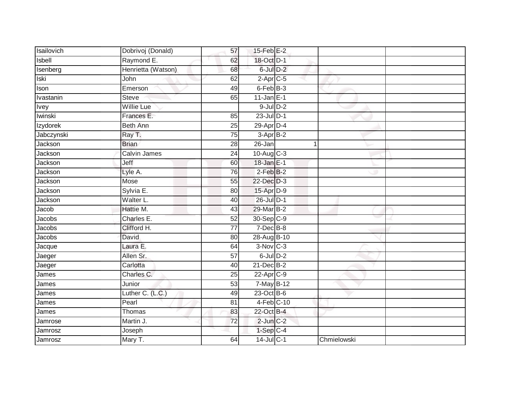| Isailovich  | Dobrivoj (Donald)  | 57              | $15$ -Feb $E-2$ |             |  |
|-------------|--------------------|-----------------|-----------------|-------------|--|
| Isbell      | Raymond E.         | 62              | 18-Oct D-1      |             |  |
| Isenberg    | Henrietta (Watson) | 68              | 6-Jul D-2       |             |  |
| Iski        | John               | 62              | $2-Apr$ C-5     |             |  |
| Ison        | Emerson            | 49              | 6-Feb B-3       |             |  |
| Ivastanin   | <b>Steve</b>       | 65              | $11$ -Jan E-1   |             |  |
| <b>Ivey</b> | <b>Willie Lue</b>  |                 | $9$ -Jul $D-2$  |             |  |
| Iwinski     | Frances E.         | 85              | $23$ -Jul $D-1$ |             |  |
| Izydorek    | <b>Beth Ann</b>    | 25              | 29-Apr D-4      |             |  |
| Jabczynski  | Ray T.             | $\overline{75}$ | 3-Apr B-2       |             |  |
| Jackson     | <b>Brian</b>       | 28              | 26-Jan          | 1           |  |
| Jackson     | Calvin James       | 24              | $10-Aug$ $C-3$  |             |  |
| Jackson     | Jeff               | 60              | 18-Jan E-1      |             |  |
| Jackson     | Lyle A.            | 76              | $2-FebB-2$      |             |  |
| Jackson     | Mose               | $\overline{55}$ | 22-Dec D-3      |             |  |
| Jackson     | Sylvia E.          | 80              | 15-Apr D-9      |             |  |
| Jackson     | Walter L.          | 40              | 26-Jul D-1      |             |  |
| Jacob       | Hattie M.          | 43              | 29-Mar B-2      |             |  |
| Jacobs      | Charles E.         | 52              | 30-Sep C-9      |             |  |
| Jacobs      | Clifford H.        | 77              | $7$ -Dec $B-8$  |             |  |
| Jacobs      | David              | 80              | 28-Aug B-10     |             |  |
| Jacque      | Laura E.           | 64              | $3-Nov$ C-3     |             |  |
| Jaeger      | Allen Sr.          | 57              | $6$ -Jul $D-2$  |             |  |
| Jaeger      | Carlotta           | 40              | $21$ -Dec $B-2$ |             |  |
| James       | Charles C.         | 25              | $22$ -Apr $C-9$ |             |  |
| James       | Junior             | 53              | 7-May B-12      |             |  |
| James       | Luther C. (L.C.)   | 49              | 23-Oct B-6      |             |  |
| James       | Pearl              | 81              | $4-Feb$ C-10    |             |  |
| James       | Thomas             | 83              | 22-Oct B-4      |             |  |
| Jamrose     | Martin J.          | 72              | $2$ -Jun $C-2$  |             |  |
| Jamrosz     | Joseph             |                 | $1-Sep$ C-4     |             |  |
| Jamrosz     | Mary T.            | 64              | $14$ -Jul C-1   | Chmielowski |  |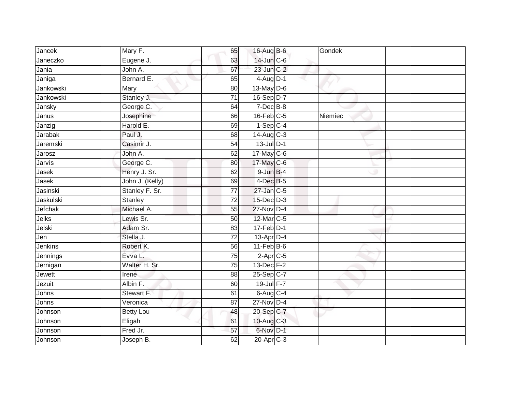| <b>Jancek</b> | Mary F.         | 65              | 16-Aug B-6             | Gondek  |  |
|---------------|-----------------|-----------------|------------------------|---------|--|
| Janeczko      | Eugene J.       | 63              | 14-Jun C-6             |         |  |
| Jania         | John A.         | 67              | $23$ -Jun $C-2$        |         |  |
| Janiga        | Bernard E.      | 65              | $4$ -Aug $D-1$         |         |  |
| Jankowski     | <b>Mary</b>     | $\overline{80}$ | 13-May D-6             |         |  |
| Jankowski     | Stanley J.      | $\overline{71}$ | 16-Sep D-7             |         |  |
| Jansky        | George C.       | 64              | $7$ -Dec $B$ -8        |         |  |
| Janus         | Josephine       | 66              | $16$ -Feb $C-5$        | Niemiec |  |
| Janzig        | Harold E.       | 69              | $1-Sep C-4$            |         |  |
| Jarabak       | Paul J.         | 68              | $14-Aug$ C-3           |         |  |
| Jaremski      | Casimir J.      | 54              | $13$ -Jul $D-1$        |         |  |
| Jarosz        | John A.         | 62              | $17$ -May C-6          |         |  |
| Jarvis        | George C.       | 80              | 17-May C-6             |         |  |
| Jasek         | Henry J. Sr.    | 62              | $9$ -Jun $B-4$         |         |  |
| Jasek         | John J. (Kelly) | 69              | $4$ -Dec $B$ -5        |         |  |
| Jasinski      | Stanley F. Sr.  | 77              | 27-Jan C-5             |         |  |
| Jaskulski     | <b>Stanley</b>  | 72              | $15$ -Dec $D-3$        |         |  |
| Jefchak       | Michael A.      | 55              | 27-Nov D-4             |         |  |
| Jelks         | Lewis Sr.       | 50              | 12-Mar C-5             |         |  |
| Jelski        | Adam Sr.        | 83              | $17$ -Feb $D-1$        |         |  |
| Jen           | Stella J.       | 72              | 13-Apr D-4             |         |  |
| Jenkins       | Robert K.       | 56              | $11-Feb$ B-6           |         |  |
| Jennings      | Evva L.         | 75              | $2-Apr$ <sub>C-5</sub> |         |  |
| Jernigan      | Walter H. Sr.   | $\overline{75}$ | $13$ -Dec $F-2$        |         |  |
| Jewett        | Irene           | 88              | $25 - Sep$ C-7         |         |  |
| Jezuit        | Albin F.        | 60              | $19$ -Jul $F - 7$      |         |  |
| Johns         | Stewart F.      | 61              | $6-Aug$ $C-4$          |         |  |
| Johns         | Veronica        | 87              | $27$ -Nov D-4          |         |  |
| Johnson       | Betty Lou       | 48              | 20-Sep C-7             |         |  |
| Johnson       | Eligah          | 61              | 10-Aug C-3             |         |  |
| Johnson       | Fred Jr.        | 57              | 6-Nov D-1              |         |  |
| Johnson       | Joseph B.       | 62              | $20$ -Apr $C-3$        |         |  |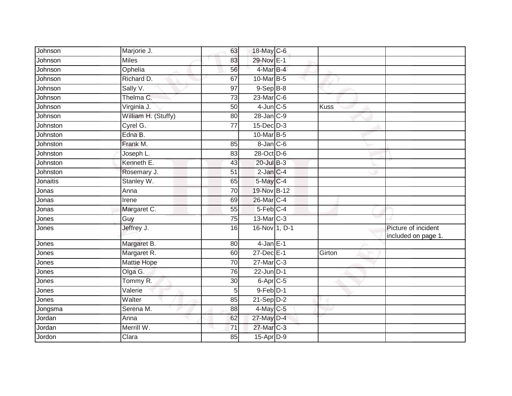| Johnson  | Marjorie J.         | 63              | 18-May C-6        |             |                                            |
|----------|---------------------|-----------------|-------------------|-------------|--------------------------------------------|
| Johnson  | <b>Miles</b>        | 83              | 29-Nov E-1        |             |                                            |
| Johnson  | Ophelia             | 56              | 4-Mar B-4         |             |                                            |
| Johnson  | Richard D.          | 67              | 10-Mar B-5        |             |                                            |
| Johnson  | Sally V.            | $\overline{97}$ | $9-Sep$ $B-8$     |             |                                            |
| Johnson  | Thelma C.           | 73              | 23-Mar C-6        |             |                                            |
| Johnson  | Virginia J.         | 50              | $4$ -Jun $C$ -5   | <b>Kuss</b> |                                            |
| Johnson  | William H. (Stuffy) | 80              | $28$ -Jan $C-9$   |             |                                            |
| Johnston | Cyrel G.            | 77              | $15$ -Dec $D-3$   |             |                                            |
| Johnston | Edna B.             |                 | 10-Mar B-5        |             |                                            |
| Johnston | Frank M.            | 85              | $8 - Jan$ $C - 6$ |             |                                            |
| Johnston | Joseph L.           | 83              | 28-Oct D-6        |             |                                            |
| Johnston | Kenneth E.          | 43              | 20-Jul B-3        |             |                                            |
| Johnston | Rosemary J.         | 51              | $2$ -Jan $C-4$    |             |                                            |
| Jonaitis | Stanley W.          | 65              | 5-May C-4         |             |                                            |
| Jonas    | Anna                | 70              | 19-Nov B-12       |             |                                            |
| Jonas    | Irene               | 69              | 26-Mar C-4        |             |                                            |
| Jonas    | Margaret C.         | 55              | $5$ -Feb $ C-4 $  |             |                                            |
| Jones    | Guy                 | 75              | 13-Mar C-3        |             |                                            |
| Jones    | Jeffrey J.          | 16              | 16-Nov 1, D-1     |             | Picture of incident<br>included on page 1. |
| Jones    | Margaret B.         | 80              | $4$ -Jan $E-1$    |             |                                            |
| Jones    | Margaret R.         | 60              | 27-Dec E-1        | Girton      |                                            |
| Jones    | Mattie Hope         | 70              | 27-Mar C-3        |             |                                            |
| Jones    | Olga G.             | 76              | $22$ -Jun $D-1$   |             |                                            |
| Jones    | Tommy R.            | 30              | $6 -$ Apr $C - 5$ |             |                                            |
| Jones    | Valerie             | 5               | $9$ -Feb $D-1$    |             |                                            |
| Jones    | Walter              | 85              | $21-Sep$ D-2      |             |                                            |
| Jongsma  | Serena M.           | 88              | 4-May C-5         |             |                                            |
| Jordan   | Anna                | 62              | 27-May D-4        |             |                                            |
| Jordan   | Merrill W.          | 71              | 27-Mar C-3        |             |                                            |
| Jordon   | Clara               | 85              | $15$ -Apr $D-9$   |             |                                            |
|          |                     |                 |                   |             |                                            |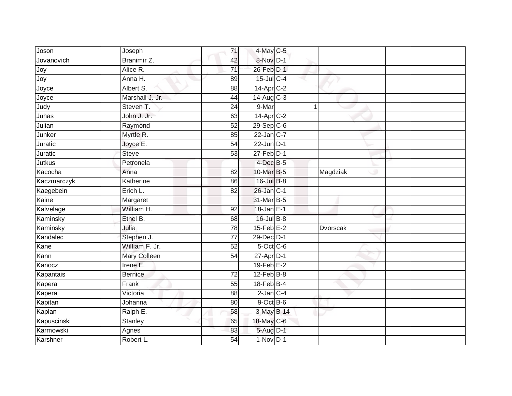| Joson       | Joseph          | 71              | 4-May C-5        |          |
|-------------|-----------------|-----------------|------------------|----------|
| Jovanovich  | Branimir Z.     | 42              | 8-Nov D-1        |          |
| Joy         | Alice R.        | $\overline{71}$ | 26-Feb D-1       |          |
| Joy         | Anna H.         | 89              | $15$ -Jul C-4    |          |
| Joyce       | Albert S.       | $\overline{88}$ | 14-Apr C-2       |          |
| Joyce       | Marshall J. Jr. | 44              | 14-Aug C-3       |          |
| Judy        | Steven T.       | 24              | 9-Mar            |          |
| Juhas       | John J. Jr.     | 63              | 14-Apr C-2       |          |
| Julian      | Raymond         | 52              | 29-Sep C-6       |          |
| Junker      | Myrtle R.       | 85              | $22$ -Jan C-7    |          |
| Juratic     | Joyce E.        | 54              | $22$ -Jun $D-1$  |          |
| Juratic     | <b>Steve</b>    | 53              | $27$ -Feb $D-1$  |          |
| Jutkus      | Petronela       |                 | 4-Dec B-5        |          |
| Kacocha     | Anna            | 82              | 10-Mar B-5       | Magdziak |
| Kaczmarczyk | Katherine       | 86              | 16-Jul B-8       |          |
| Kaegebein   | Erich L.        | 82              | $26$ -Jan $C-1$  |          |
| Kaine       | Margaret        |                 | 31-Mar B-5       |          |
| Kalvelage   | William H.      | 92              | 18-Jan E-1       |          |
| Kaminsky    | Ethel B.        | 68              | 16-Jul B-8       |          |
| Kaminsky    | Julia           | 78              | $15$ -Feb $E-2$  | Dvorscak |
| Kandalec    | Stephen J.      | 77              | 29-Dec D-1       |          |
| Kane        | William F. Jr.  | 52              | $5$ -Oct C-6     |          |
| Kann        | Mary Colleen    | 54              | $27$ -Apr $D-1$  |          |
| Kanocz      | Irene E.        |                 | $19$ -Feb $E-2$  |          |
| Kapantais   | <b>Bernice</b>  | 72              | $12$ -Feb $B$ -8 |          |
| Kapera      | Frank           | 55              | $18$ -Feb $B$ -4 |          |
| Kapera      | Victoria        | 88              | $2$ -Jan $C-4$   |          |
| Kapitan     | Johanna         | 80              | $9$ -Oct B-6     |          |
| Kaplan      | Ralph E.        | 58              | 3-May B-14       |          |
| Kapuscinski | <b>Stanley</b>  | 65              | 18-May C-6       |          |
| Karmowski   | Agnes           | 83              | 5-Aug D-1        |          |
| Karshner    | Robert L.       | $\overline{54}$ | $1-Nov$ D-1      |          |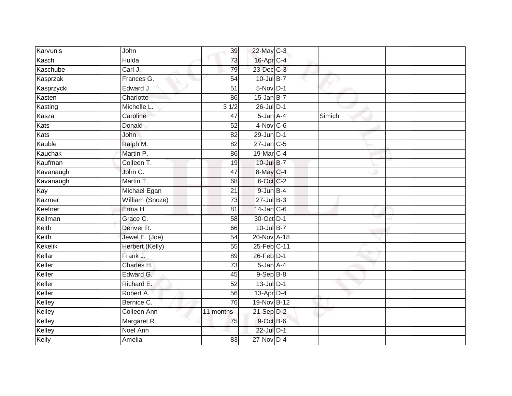| Karvunis       | John                   | 39              | 22-May C-3       |        |  |
|----------------|------------------------|-----------------|------------------|--------|--|
| Kasch          | Hulda                  | 73              | 16-Apr C-4       |        |  |
| Kaschube       | Carl J.                | 79              | 23-Dec C-3       |        |  |
| Kasprzak       | Frances G.             | $\overline{54}$ | 10-Jul B-7       |        |  |
| Kasprzycki     | Edward J.              | $\overline{51}$ | $5-Nov$ D-1      |        |  |
| Kasten         | Charlotte              | 86              | $15$ -Jan B-7    |        |  |
| Kasting        | Michelle L.            | 31/2            | $26$ -Jul $D-1$  |        |  |
| Kasza          | Caroline               | 47              | 5-Jan A-4        | Simich |  |
| <b>Kats</b>    | Donald                 | 52              | $4-Nov$ C-6      |        |  |
| Kats           | <b>John</b>            | $\overline{82}$ | 29-Jun D-1       |        |  |
| Kauble         | Ralph M.               | $\overline{82}$ | $27$ -Jan C-5    |        |  |
| Kauchak        | Martin P.              | 86              | 19-Mar C-4       |        |  |
| Kaufman        | Colleen T.             | 19              | 10-Jul B-7       |        |  |
| Kavanaugh      | John C.                | 47              | 8-May C-4        |        |  |
| Kavanaugh      | Martin T.              | 68              | 6-Oct C-2        |        |  |
| Kay            | Michael Egan           | 21              | $9$ -Jun $B-4$   |        |  |
| Kazmer         | William (Snoze)        | 73              | 27-Jul B-3       |        |  |
| Keefner        | Erma H.                | 81              | $14$ -Jan $C$ -6 |        |  |
| Keilman        | Grace C.               | 58              | 30-Oct D-1       |        |  |
| Keith          | Denver R.              | 66              | 10-Jul B-7       |        |  |
| Keith          | Jewel E. (Joe)         | 54              | 20-Nov A-18      |        |  |
| <b>Kekelik</b> | <b>Herbert (Kelly)</b> | 55              | 25-Feb C-11      |        |  |
| Kellar         | Frank J.               | 89              | 26-Feb D-1       |        |  |
| Keller         | Charles H.             | $\overline{73}$ | 5-Jan A-4        |        |  |
| Keller         | Edward G.              | 45              | $9-Sep$ $B-8$    |        |  |
| Keller         | Richard E.             | $\overline{52}$ | $13$ -Jul $D-1$  |        |  |
| Keller         | Robert A.              | 56              | $13$ -Apr $D-4$  |        |  |
| Kelley         | Bernice C.             | 76              | 19-Nov B-12      |        |  |
| Kelley         | Colleen Ann            | 11 months       | $21-Sep$ D-2     |        |  |
| Kelley         | Margaret R.            | 75              | 9-Oct B-6        |        |  |
| Kelley         | Noel Ann               |                 | 22-Jul D-1       |        |  |
| Kelly          | Amelia                 | 83              | $27$ -Nov D-4    |        |  |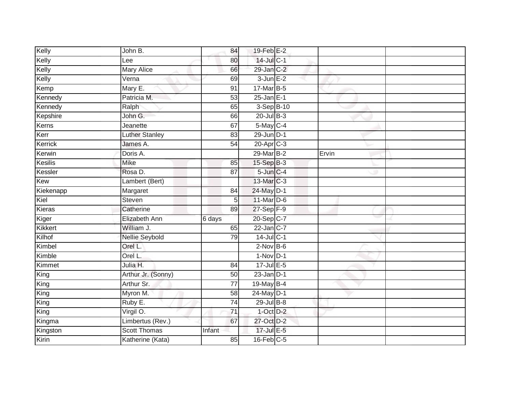| Kelly          | John B.               | 84              | $19$ -Feb $E-2$             |       |  |
|----------------|-----------------------|-----------------|-----------------------------|-------|--|
| Kelly          | Lee                   | 80              | 14-Jul C-1                  |       |  |
| Kelly          | <b>Mary Alice</b>     | 66              | 29-Jan C-2                  |       |  |
| Kelly          | Verna                 | 69              | $3$ -Jun $E-2$              |       |  |
| Kemp           | Mary E.               | 91              | 17-Mar B-5                  |       |  |
| Kennedy        | Patricia M.           | 53              | $25$ -Jan E-1               |       |  |
| Kennedy        | Ralph                 | 65              | 3-Sep B-10                  |       |  |
| Kepshire       | John G.               | 66              | $20$ -Jul $B-3$             |       |  |
| Kerns          | Jeanette              | 67              | $5$ -May C-4                |       |  |
| Kerr           | <b>Luther Stanley</b> | $\overline{83}$ | $29$ -Jun $D-1$             |       |  |
| Kerrick        | James A.              | 54              | 20-Apr C-3                  |       |  |
| Kerwin         | Doris A.              |                 | 29-Mar B-2                  | Ervin |  |
| Kesilis        | <b>Mike</b>           | 85              | $15-Sep$ $B-3$              |       |  |
| Kessler        | Rosa D.               | 87              | $5$ -Jun $C-4$              |       |  |
| Kew            | Lambert (Bert)        |                 | 13-Mar C-3                  |       |  |
| Kiekenapp      | Margaret              | 84              | 24-May D-1                  |       |  |
| Kiel           | Steven                | 5 <sup>1</sup>  | 11-Mar D-6                  |       |  |
| Kieras         | Catherine             | 89              | $27 - Sep$ $\overline{F-9}$ |       |  |
| Kiger          | Elizabeth Ann         | 6 days          | 20-Sep C-7                  |       |  |
| <b>Kikkert</b> | William J.            | 65              | $22$ -Jan $C-7$             |       |  |
| Kilhof         | <b>Nellie Seybold</b> | 79              | $14$ -Jul C-1               |       |  |
| Kimbel         | Orel L.               |                 | $2$ -Nov $B-6$              |       |  |
| Kimble         | Orel L.               |                 | $1-Nov$ D-1                 |       |  |
| Kimmet         | Julia H.              | 84              | $17 -$ Jul E-5              |       |  |
| King           | Arthur Jr. (Sonny)    | 50              | $23$ -Jan $D-1$             |       |  |
| King           | Arthur Sr.            | 77              | 19-May B-4                  |       |  |
| King           | Myron M.              | 58              | 24-May D-1                  |       |  |
| King           | Ruby E.               | $\overline{74}$ | 29-Jul B-8                  |       |  |
| King           | Virgil O.             | $\overline{71}$ | $1$ -Oct $D-2$              |       |  |
| Kingma         | Limbertus (Rev.)      | 67              | 27-Oct D-2                  |       |  |
| Kingston       | <b>Scott Thomas</b>   | Infant          | 17-Jul E-5                  |       |  |
| Kirin          | Katherine (Kata)      | 85              | $16$ -Feb $C-5$             |       |  |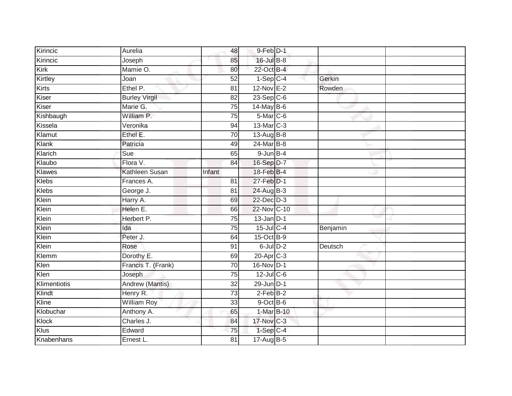| Kirincic      | Aurelia                | 48              | 9-Feb D-1              |            |          |  |
|---------------|------------------------|-----------------|------------------------|------------|----------|--|
| Kirincic      | Joseph                 | 85              | 16-Jul B-8             |            |          |  |
| Kirk          | Mamie O.               | 80              | 22-Oct B-4             |            |          |  |
| Kirtley       | Joan                   | $\overline{52}$ | $1-Sep$ <sub>C-4</sub> |            | Gerkin   |  |
| <b>Kirts</b>  | Ethel P.               | $\overline{81}$ | $12$ -Nov $E-2$        |            | Rowden   |  |
| Kiser         | <b>Burley Virgil</b>   | 82              | $23-Sep C-6$           |            |          |  |
| Kiser         | Marie G.               | 75              | $14$ -May B-6          |            |          |  |
| Kishbaugh     | William P.             | 75              | 5-Mar C-6              |            |          |  |
| Kissela       | Veronika               | 94              | 13-Mar C-3             |            |          |  |
| Klamut        | Ethel E.               | 70              | 13-Aug B-8             |            |          |  |
| Klank         | Patricia               | 49              | 24-Mar B-8             |            |          |  |
| Klarich       | Sue                    | 65              | $9$ -Jun $B - 4$       |            |          |  |
| Klaubo        | Flora V.               | 84              | 16-Sep D-7             |            |          |  |
| <b>Klawes</b> | Kathleen Susan         | Infant          | 18-Feb B-4             |            |          |  |
| <b>Klebs</b>  | Frances A.             | 81              | 27-Feb D-1             |            |          |  |
| <b>Klebs</b>  | George J.              | 81              | 24-Aug B-3             |            |          |  |
| Klein         | Harry A.               | 69              | 22-Dec D-3             |            |          |  |
| Klein         | Helen E.               | 66              | 22-Nov C-10            |            |          |  |
| Klein         | Herbert P.             | 75              | $13$ -Jan D-1          |            |          |  |
| Klein         | Ida                    | 75              | 15-Jul C-4             |            | Benjamin |  |
| Klein         | Peter J.               | 64              | 15-Oct B-9             |            |          |  |
| Klein         | Rose                   | 91              | $6$ -Jul $D-2$         |            | Deutsch  |  |
| Klemm         | Dorothy E.             | 69              | 20-Apr C-3             |            |          |  |
| Klen          | Francis T. (Frank)     | 70              | 16-Nov D-1             |            |          |  |
| Klen          | Joseph                 | 75              | 12-Jul C-6             |            |          |  |
| Klimentiotis  | <b>Andrew (Mantis)</b> | $\overline{32}$ | $29$ -Jun $D-1$        |            |          |  |
| Klindt        | Henry R.               | 73              | $2-Feb$ B-2            |            |          |  |
| Kline         | <b>William Roy</b>     | 33              | $9$ -Oct $B$ -6        |            |          |  |
| Klobuchar     | Anthony A.             | 65              |                        | 1-Mar B-10 |          |  |
| Klock         | Charles J.             | 84              | 17-Nov C-3             |            |          |  |
| Klus          | Edward                 | 75              | $1-Sep$ $C-4$          |            |          |  |
| Knabenhans    | Ernest L.              | 81              | 17-Aug B-5             |            |          |  |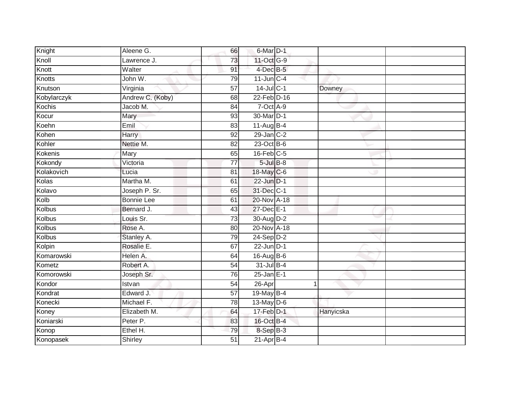| Knight        | Aleene G.         | 66              | 6-Mar D-1        |           |  |
|---------------|-------------------|-----------------|------------------|-----------|--|
| Knoll         | Lawrence J.       | 73              | 11-Oct G-9       |           |  |
| Knott         | Walter            | 91              | $4$ -Dec B-5     |           |  |
| Knotts        | John W.           | 79              | $11$ -Jun $C-4$  |           |  |
| Knutson       | Virginia          | $\overline{57}$ | $14$ -Jul C-1    | Downey    |  |
| Kobylarczyk   | Andrew C. (Koby)  | 68              | 22-Feb D-16      |           |  |
| Kochis        | Jacob M.          | 84              | $7$ -Oct $A-9$   |           |  |
| Kocur         | Mary              | 93              | 30-Mar D-1       |           |  |
| Koehn         | Emil              | 83              | $11-Aug$ B-4     |           |  |
| Kohen         | Harry             | $\overline{92}$ | 29-Jan C-2       |           |  |
| Kohler        | Nettie M.         | $\overline{82}$ | 23-Oct B-6       |           |  |
| Kokenis       | Mary              | 65              | $16$ -Feb $C$ -5 |           |  |
| Kokondy       | Victoria          | 77              | $5$ -Jul $B$ -8  |           |  |
| Kolakovich    | Lucia             | 81              | 18-May C-6       |           |  |
| Kolas         | Martha M.         | 61              | $22$ -Jun $D-1$  |           |  |
| Kolavo        | Joseph P. Sr.     | 65              | 31-Dec C-1       |           |  |
| Kolb          | <b>Bonnie Lee</b> | 61              | 20-Nov A-18      |           |  |
| <b>Kolbus</b> | Bernard J.        | 43              | 27-Dec E-1       |           |  |
| Kolbus        | Louis Sr.         | 73              | 30-Aug D-2       |           |  |
| <b>Kolbus</b> | Rose A.           | 80              | 20-Nov A-18      |           |  |
| Kolbus        | Stanley A.        | 79              | $24-Sep$ D-2     |           |  |
| Kolpin        | Rosalie E.        | 67              | $22$ -Jun $D-1$  |           |  |
| Komarowski    | Helen A.          | 64              | 16-Aug B-6       |           |  |
| Kometz        | Robert A.         | $\overline{54}$ | 31-Jul B-4       |           |  |
| Komorowski    | Joseph Sr.        | 76              | $25$ -Jan $E-1$  |           |  |
| Kondor        | Istvan            | $\overline{54}$ | 26-Apr           | 1         |  |
| Kondrat       | Edward J.         | $\overline{57}$ | 19-May B-4       |           |  |
| Konecki       | Michael F.        | 78              | 13-May D-6       |           |  |
| Koney         | Elizabeth M.      | 64              | $17$ -Feb $D-1$  | Hanyicska |  |
| Koniarski     | Peter P.          | 83              | 16-Oct B-4       |           |  |
| Konop         | Ethel H.          | 79              | 8-Sep B-3        |           |  |
| Konopasek     | Shirley           | 51              | $21-AprB-4$      |           |  |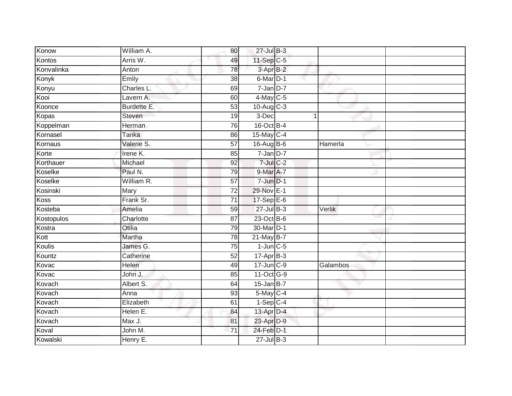| Konow         | William A.  | 80              | 27-Jul B-3       |          |
|---------------|-------------|-----------------|------------------|----------|
| Kontos        | Arris W.    | 49              | 11-Sep C-5       |          |
| Konvalinka    | Anton       | 78              | 3-Apr B-2        |          |
| Konyk         | Emily       | 38              | 6-Mar D-1        |          |
| Konyu         | Charles L.  | 69              | $7 - Jan$ $D-7$  |          |
| Kooi          | Lavern A.   | 60              | $4$ -May C-5     |          |
| Koonce        | Burdette E. | $\overline{53}$ | $10-Aug$ $C-3$   |          |
| Kopas         | Steven      | 19              | 3-Dec            |          |
| Koppelman     | Herman      | 76              | 16-Oct B-4       |          |
| Kornasel      | Tanka       | 86              | 15-May C-4       |          |
| Kornaus       | Valerie S.  | 57              | 16-Aug B-6       | Hamerla  |
| Korte         | Irene K.    | 85              | $7 - Jan$ $D-7$  |          |
| Korthauer     | Michael     | 92              | $7$ -Jul $C$ -2  |          |
| Koselke       | Paul N.     | 79              | 9-Mar A-7        |          |
| Koselke       | William R.  | $\overline{57}$ | $7 - Jun$ $D-1$  |          |
| Kosinski      | Mary        | 72              | 29-Nov E-1       |          |
| <b>Koss</b>   | Frank Sr.   | 71              | $17-SepE-6$      |          |
| Kosteba       | Amelia      | 59              | $27$ -Jul B-3    | Verlik   |
| Kostopulos    | Charlotte   | 87              | 23-Oct B-6       |          |
| Kostra        | Otilia      | 79              | 30-Mar D-1       |          |
| Kott          | Martha      | 78              | $21$ -May B-7    |          |
| <b>Koulis</b> | James G.    | 75              | $1$ -Jun $C$ -5  |          |
| Kountz        | Catherine   | 52              | $17$ -Apr $B$ -3 |          |
| Kovac         | Helen       | 49              | 17-Jun C-9       | Galambos |
| Kovac         | John J.     | 85              | 11-Oct G-9       |          |
| Kovach        | Albert S.   | 64              | $15$ -Jan B-7    |          |
| Kovach        | Anna        | 93              | 5-May C-4        |          |
| Kovach        | Elizabeth   | 61              | $1-Sep$ C-4      |          |
| Kovach        | Helen E.    | 84              | 13-Apr D-4       |          |
| Kovach        | Max J.      | 81              | 23-Apr D-9       |          |
| Koval         | John M.     | 71              | 24-Feb D-1       |          |
| Kowalski      | Henry E.    |                 | $27$ -Jul B-3    |          |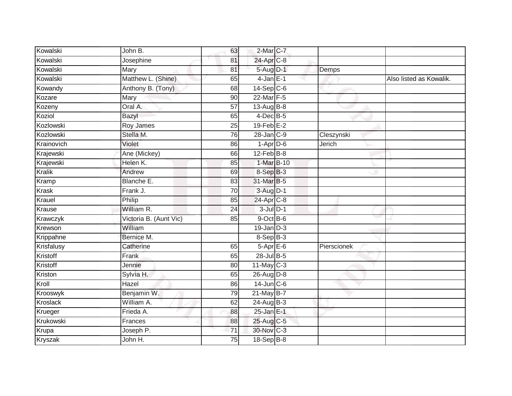| Kowalski       | John B.                | 63              | 2-Mar C-7                |             |                         |
|----------------|------------------------|-----------------|--------------------------|-------------|-------------------------|
| Kowalski       | Josephine              | 81              | 24-Apr <sub>C-8</sub>    |             |                         |
| Kowalski       | Mary                   | 81              | 5-Aug D-1                | Demps       |                         |
|                |                        |                 |                          |             |                         |
| Kowalski       | Matthew L. (Shine)     | 65              | $4$ -Jan $E-1$           |             | Also listed as Kowalik. |
| Kowandy        | Anthony B. (Tony)      | 68              | $14-Sep C-6$             |             |                         |
| Kozare         | Mary                   | 90              | 22-Mar F-5               |             |                         |
| Kozeny         | Oral A.                | 57              | 13-Aug $B-8$             |             |                         |
| Koziol         | Bazyl                  | 65              | 4-Dec B-5                |             |                         |
| Kozlowski      | Roy James              | 25              | $19$ -Feb $E-2$          |             |                         |
| Kozlowski      | Stella M.              | 76              | 28-Jan C-9               | Cleszynski  |                         |
| Krainovich     | Violet                 | 86              | $1-Apr$ D-6              | Jerich      |                         |
| Krajewski      | Ane (Mickey)           | 66              | $12$ -Feb $B$ -8         |             |                         |
| Krajewski      | Helen K.               | 85              | 1-Mar B-10               |             |                         |
| <b>Kralik</b>  | Andrew                 | 69              | 8-Sep B-3                |             |                         |
| Kramp          | Blanche E.             | 83              | 31-Mar B-5               |             |                         |
| <b>Krask</b>   | Frank J.               | 70              | 3-Aug D-1                |             |                         |
| Krauel         | Philip                 | 85              | 24-Apr C-8               |             |                         |
| Krause         | William R.             | 24              | $3$ -Jul $D-1$           |             |                         |
| Krawczyk       | Victoria B. (Aunt Vic) | 85              | $9$ -Oct $B$ -6          |             |                         |
| Krewson        | William                |                 | $19 - Jan$ $D-3$         |             |                         |
| Krippahne      | Bernice M.             |                 | $8-SepB-3$               |             |                         |
| Krisfalusy     | Catherine              | 65              | $5-AprE-6$               | Pierscionek |                         |
| Kristoff       | Frank                  | 65              | 28-Jul B-5               |             |                         |
| Kristoff       | Jennie                 | 80              | $11$ -May C-3            |             |                         |
| Kriston        | Sylvia H.              | 65              | 26-Aug D-8               |             |                         |
| Kroll          | Hazel                  | 86              | $14$ -Jun $C-6$          |             |                         |
| Krooswyk       | Benjamin W.            | 79              | $21$ -May B-7            |             |                         |
| Kroslack       | William A.             | 62              | $\overline{24}$ -Aug B-3 |             |                         |
| Krueger        | Frieda A.              | 88              | 25-Jan E-1               |             |                         |
| Krukowski      | Frances                | 88              | 25-Aug C-5               |             |                         |
| Krupa          | Joseph P.              | 71              | 30-Nov C-3               |             |                         |
| <b>Kryszak</b> | John H.                | $\overline{75}$ | $18-Sep$ B-8             |             |                         |
|                |                        |                 |                          |             |                         |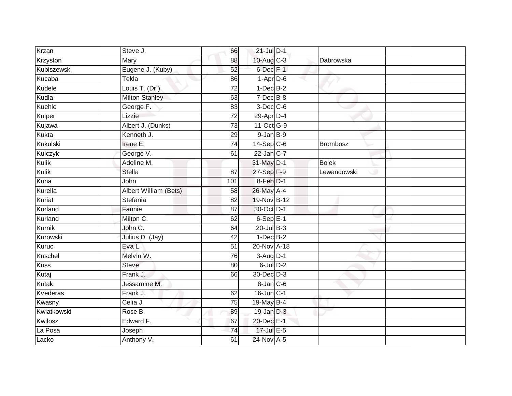| Krzan       | Steve J.              | 66              | $21$ -Jul $D-1$      |                 |
|-------------|-----------------------|-----------------|----------------------|-----------------|
| Krzyston    | Mary                  | 88              | $10$ -Aug C-3        | Dabrowska       |
| Kubiszewski | Eugene J. (Kuby)      | 52              | 6-Dec F-1            |                 |
| Kucaba      | Tekla                 | 86              | $1-Apr$ D-6          |                 |
| Kudele      | Louis T. (Dr.)        | $\overline{72}$ | $1-Dec$ B-2          |                 |
| Kudla       | <b>Milton Stanley</b> | 63              | $7$ -Dec $B$ -8      |                 |
| Kuehle      | George F.             | 83              | $3$ -Dec $C$ -6      |                 |
| Kuiper      | Lizzie                | $\overline{72}$ | 29-Apr D-4           |                 |
| Kujawa      | Albert J. (Dunks)     | $\overline{73}$ | 11-Oct G-9           |                 |
| Kukta       | Kenneth J.            | 29              | $9$ -Jan $B-9$       |                 |
| Kukulski    | Irene E.              | 74              | $14-Sep$ C-6         | <b>Brombosz</b> |
| Kulczyk     | George V.             | 61              | $22$ -Jan C-7        |                 |
| Kulik       | Adeline M.            |                 | 31-May D-1           | <b>Bolek</b>    |
| Kulik       | <b>Stella</b>         | 87              | 27-Sep F-9           | Lewandowski     |
| Kuna        | John                  | 101             | 8-Feb D-1            |                 |
| Kurella     | Albert William (Bets) | 58              | 26-May A-4           |                 |
| Kuriat      | Stefania              | $\overline{82}$ | 19-Nov B-12          |                 |
| Kurland     | Fannie                | 87              | 30-Oct D-1           |                 |
| Kurland     | Milton C.             | 62              | 6-Sep <sub>E-1</sub> |                 |
| Kurnik      | John C.               | 64              | $20$ -Jul $B-3$      |                 |
| Kurowski    | Julius D. (Jay)       | 42              | $1-Dec$ B-2          |                 |
| Kuruc       | Eva L.                | $\overline{51}$ | 20-Nov A-18          |                 |
| Kuschel     | Melvin W.             | 76              | $3-Aug$ D-1          |                 |
| Kuss        | <b>Steve</b>          | 80              | $6$ -Jul $D-2$       |                 |
| Kutaj       | Frank J.              | 66              | 30-Dec D-3           |                 |
| Kutak       | Jessamine M.          |                 | $8$ -Jan $C$ -6      |                 |
| Kvederas    | Frank J.              | 62              | 16-Jun C-1           |                 |
| Kwasny      | Celia J.              | 75              | 19-May B-4           |                 |
| Kwiatkowski | Rose B.               | 89              | $19$ -Jan $D-3$      |                 |
| Kwilosz     | Edward F.             | 67              | 20-Dec E-1           |                 |
| La Posa     | Joseph                | 74              | 17-Jul E-5           |                 |
| Lacko       | Anthony V.            | 61              | 24-Nov A-5           |                 |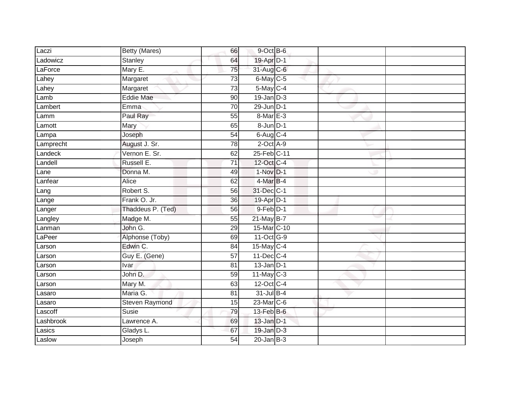| Laczi     | Betty (Mares)     | 66              | 9-Oct B-6         |  |
|-----------|-------------------|-----------------|-------------------|--|
| Ladowicz  | <b>Stanley</b>    | 64              | 19-Apr D-1        |  |
| LaForce   | Mary E.           | 75              | 31-Aug C-6        |  |
| Lahey     | Margaret          | $\overline{73}$ | 6-May C-5         |  |
| Lahey     | Margaret          | $\overline{73}$ | $5$ -May $C-4$    |  |
| Lamb      | <b>Eddie Mae</b>  | 90              | $19$ -Jan $D-3$   |  |
| Lambert   | Emma              | 70              | $29$ -Jun $ D-1 $ |  |
| Lamm      | Paul Ray          | 55              | 8-Mar E-3         |  |
| Lamott    | Mary              | 65              | 8-Jun D-1         |  |
| Lampa     | Joseph            | $\overline{54}$ | $6$ -Aug $C-4$    |  |
| Lamprecht | August J. Sr.     | 78              | $2$ -Oct $A-9$    |  |
| Landeck   | Vernon E. Sr.     | 62              | 25-Feb C-11       |  |
| Landell   | Russell E.        | 71              | 12-Oct C-4        |  |
| Lane      | Donna M.          | 49              | $1-Nov1 - 1$      |  |
| Lanfear   | <b>Alice</b>      | 62              | 4-Mar B-4         |  |
| Lang      | Robert S.         | 56              | 31-Dec C-1        |  |
| Lange     | Frank O. Jr.      | $\overline{36}$ | 19-Apr D-1        |  |
| Langer    | Thaddeus P. (Ted) | 56              | $9$ -Feb $D-1$    |  |
| Langley   | Madge M.          | 55              | 21-May B-7        |  |
| Lanman    | John G.           | 29              | 15-Mar C-10       |  |
| LaPeer    | Alphonse (Toby)   | 69              | 11-Oct G-9        |  |
| Larson    | Edwin C.          | 84              | 15-May C-4        |  |
| Larson    | Guy E. (Gene)     | 57              | $11$ -Dec $C-4$   |  |
| Larson    | Ivar              | 81              | $13$ -Jan $D-1$   |  |
| Larson    | John D.           | $\overline{59}$ | $11$ -May C-3     |  |
| Larson    | Mary M.           | 63              | 12-Oct C-4        |  |
| Lasaro    | Maria G.          | 81              | 31-Jul B-4        |  |
| Lasaro    | Steven Raymond    | 15              | 23-Mar C-6        |  |
| Lascoff   | Susie             | 79              | $13$ -Feb $B$ -6  |  |
| Lashbrook | Lawrence A.       | 69              | $13$ -Jan $D-1$   |  |
| Lasics    | Gladys L.         | 67              | 19-Jan D-3        |  |
| Laslow    | Joseph            | $\overline{54}$ | $20$ -Jan $B-3$   |  |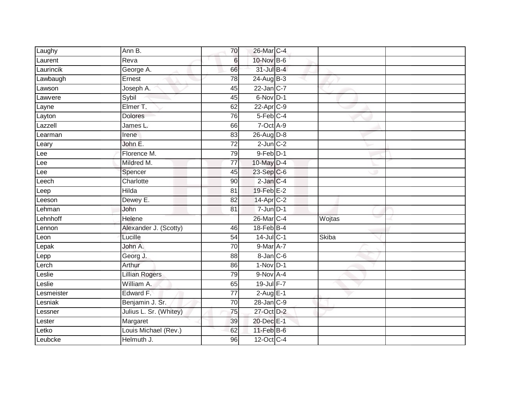| Laughy     | Ann B.                 | 70              | 26-Mar C-4            |              |  |
|------------|------------------------|-----------------|-----------------------|--------------|--|
| Laurent    | Reva                   | $6\phantom{1}$  | 10-Nov B-6            |              |  |
| Laurincik  | George A.              | 66              | $31$ -Jul B-4         |              |  |
| Lawbaugh   | Ernest                 | 78              | $24$ -Aug B-3         |              |  |
| Lawson     | Joseph A.              | 45              | 22-Jan C-7            |              |  |
| Lawvere    | Sybil                  | 45              | 6-Nov D-1             |              |  |
| Layne      | Elmer T.               | 62              | $22-AprC-9$           |              |  |
| Layton     | <b>Dolores</b>         | 76              | $5$ -Feb $C-4$        |              |  |
| Lazzell    | James L.               | 66              | $7-Oct$ $A-9$         |              |  |
| Learman    | Irene                  | 83              | 26-Aug D-8            |              |  |
| Leary      | John E.                | $\overline{72}$ | $2$ -Jun $C-2$        |              |  |
| Lee        | Florence M.            | 79              | $9$ -Feb $D-1$        |              |  |
| Lee        | Mildred M.             | 77              | 10-May D-4            |              |  |
| Lee        | Spencer                | 45              | 23-Sep C-6            |              |  |
| Leech      | Charlotte              | 90              | $2$ -Jan $C-4$        |              |  |
| Leep       | <b>Hilda</b>           | $\overline{81}$ | 19-Feb E-2            |              |  |
| Leeson     | Dewey E.               | 82              | 14-Apr C-2            |              |  |
| Lehman     | John                   | 81              | $7 - Jun$ $D-1$       |              |  |
| Lehnhoff   | Helene                 |                 | 26-Mar C-4            | Wojtas       |  |
| Lennon     | Alexander J. (Scotty)  | 46              | $18$ -Feb $B$ -4      |              |  |
| Leon       | Lucille                | 54              | $14$ -Jul C-1         | <b>Skiba</b> |  |
| Lepak      | John A.                | 70              | 9-Mar A-7             |              |  |
| Lepp       | Georg J.               | 88              | $8 - Jan$ $C - 6$     |              |  |
| Lerch      | Arthur                 | 86              | $1-Nov$ D-1           |              |  |
| Leslie     | <b>Lillian Rogers</b>  | 79              | 9-Nov A-4             |              |  |
| Leslie     | William A.             | 65              | $19 - \text{Jul}$ F-7 |              |  |
| Lesmeister | Edward F.              | $\overline{77}$ | $2-Aug$ E-1           |              |  |
| Lesniak    | Benjamin J. Sr.        | 70              | $28$ -Jan $C-9$       |              |  |
| Lessner    | Julius L. Sr. (Whitey) | 75              | 27-Oct D-2            |              |  |
| Lester     | Margaret               | 39              | 20-Dec E-1            |              |  |
| Letko      | Louis Michael (Rev.)   | 62              | $11$ -Feb $B$ -6      |              |  |
| Leubcke    | Helmuth J.             | 96              | $12$ -Oct C-4         |              |  |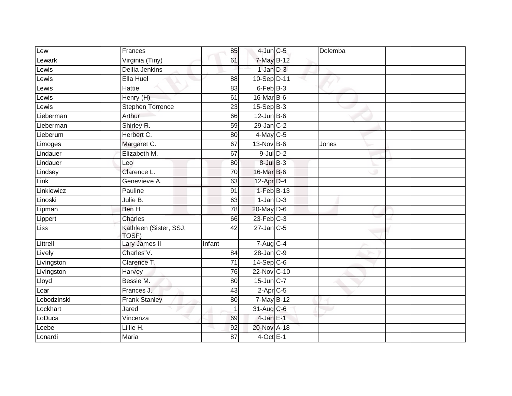| Lew         | Frances                         | 85              | $4$ -Jun $C$ -5         | Dolemba |  |
|-------------|---------------------------------|-----------------|-------------------------|---------|--|
| Lewark      | Virginia (Tiny)                 | 61              | 7-May B-12              |         |  |
| Lewis       | <b>Dellia Jenkins</b>           |                 | $1$ -Jan $D-3$          |         |  |
| Lewis       | Ella Huel                       | 88              | 10-Sep D-11             |         |  |
| Lewis       | <b>Hattie</b>                   | 83              | 6-Feb B-3               |         |  |
| Lewis       | Henry (H)                       | 61              | 16-Mar B-6              |         |  |
| Lewis       | <b>Stephen Torrence</b>         | 23              | $15-Sep$ B-3            |         |  |
| Lieberman   | Arthur                          | 66              | $12$ -Jun B-6           |         |  |
| Lieberman   | Shirley R.                      | 59              | $29$ -Jan $C-2$         |         |  |
| Lieberum    | Herbert C.                      | 80              | $4$ -May C-5            |         |  |
| Limoges     | Margaret C.                     | 67              | 13-Nov B-6              | Jones   |  |
| Lindauer    | Elizabeth M.                    | 67              | $9$ -Jul $D-2$          |         |  |
| Lindauer    | Leo                             | 80              | $8$ -Jul $B$ -3         |         |  |
| Lindsey     | Clarence L.                     | 70              | 16-Mar B-6              |         |  |
| Link        | Genevieve A.                    | 63              | 12-Apr D-4              |         |  |
| Linkiewicz  | Pauline                         | 91              | $1-FebB-13$             |         |  |
| Linoski     | Julie B.                        | 63              | $1$ -Jan $D-3$          |         |  |
| Lipman      | Ben H.                          | 78              | $20$ -May $D-6$         |         |  |
| Lippert     | Charles                         | 66              | $23$ -Feb $C-3$         |         |  |
| Liss        | Kathleen (Sister, SSJ,<br>TOSF) | 42              | $27$ -Jan $C$ -5        |         |  |
| Littrell    | Lary James II                   | Infant          | $7 - \overline{AugC-4}$ |         |  |
| Lively      | Charles V.                      | 84              | 28-Jan C-9              |         |  |
| Livingston  | Clarence T.                     | 71              | $14-Sep C-6$            |         |  |
| Livingston  | Harvey                          | 76              | 22-Nov C-10             |         |  |
| Lloyd       | Bessie M.                       | $\overline{80}$ | 15-Jun C-7              |         |  |
| Loar        | Frances J.                      | 43              | $2-AprC-5$              |         |  |
| Lobodzinski | <b>Frank Stanley</b>            | 80              | 7-May B-12              |         |  |
| Lockhart    | Jared                           |                 | $31$ -Aug C-6           |         |  |
| LoDuca      | Vincenza                        | 69              | $4$ -Jan E-1            |         |  |
| Loebe       | Lillie H.                       | 92              | 20-Nov A-18             |         |  |
| Lonardi     | <b>Maria</b>                    | 87              | $4$ -Oct E-1            |         |  |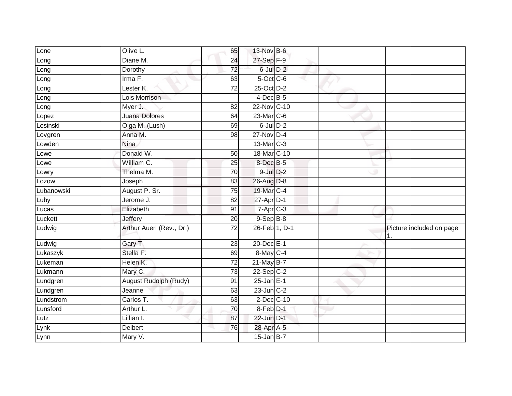| Lone       | Olive L.                     | 65              | 13-Nov B-6       |  |                          |
|------------|------------------------------|-----------------|------------------|--|--------------------------|
| Long       | Diane M.                     | 24              | 27-Sep F-9       |  |                          |
| Long       | Dorothy                      | 72              | 6-Jul D-2        |  |                          |
| Long       | Irma F.                      | 63              | $5$ -Oct $C$ -6  |  |                          |
| Long       | Lester K.                    | $\overline{72}$ | 25-Oct D-2       |  |                          |
| Long       | Lois Morrison                |                 | $4$ -Dec B-5     |  |                          |
| Long       | Myer J.                      | 82              | 22-Nov C-10      |  |                          |
| Lopez      | <b>Juana Dolores</b>         | 64              | 23-Mar C-6       |  |                          |
| Losinski   | Olga M. (Lush)               | 69              | $6$ -Jul $D-2$   |  |                          |
| Lovgren    | Anna M.                      | $\overline{98}$ | $27$ -Nov D-4    |  |                          |
| Lowden     | <b>Nina</b>                  |                 | 13-Mar C-3       |  |                          |
| Lowe       | Donald W.                    | 50              | 18-Mar C-10      |  |                          |
| Lowe       | William C.                   | 25              | 8-Dec B-5        |  |                          |
| Lowry      | Thelma M.                    | 70              | $9$ -Jul $D-2$   |  |                          |
| Lozow      | Joseph                       | 83              | 26-Aug D-8       |  |                          |
| Lubanowski | August P. Sr.                | 75              | 19-Mar C-4       |  |                          |
| Luby       | Jerome J.                    | 82              | $27$ -Apr $D-1$  |  |                          |
| Lucas      | Elizabeth                    | 91              | $7-Apr$ C-3      |  |                          |
| Luckett    | Jeffery                      | 20              | $9-$ Sep $B-8$   |  |                          |
| Ludwig     | Arthur Auerl (Rev., Dr.)     | 72              | 26-Feb 1, D-1    |  | Picture included on page |
| Ludwig     | Gary T.                      | $\overline{23}$ | 20-Dec E-1       |  |                          |
| Lukaszyk   | Stella F.                    | 69              | 8-May C-4        |  |                          |
| Lukeman    | Helen K.                     | 72              | 21-May B-7       |  |                          |
| Lukmann    | Mary C.                      | 73              | $22 - Sep$ C-2   |  |                          |
| Lundgren   | <b>August Rudolph (Rudy)</b> | 91              | $25$ -Jan $E-1$  |  |                          |
| Lundgren   | Jeanne                       | 63              | $23$ -Jun $C-2$  |  |                          |
| Lundstrom  | Carlos T.                    | 63              | $2$ -Dec $C$ -10 |  |                          |
| Lunsford   | Arthur L.                    | 70              | 8-Feb D-1        |  |                          |
| Lutz       | Lillian I.                   | 87              | 22-Jun D-1       |  |                          |
| Lynk       | <b>Delbert</b>               | 76              | 28-Apr A-5       |  |                          |
| Lynn       | Mary V.                      |                 | $15$ -Jan B-7    |  |                          |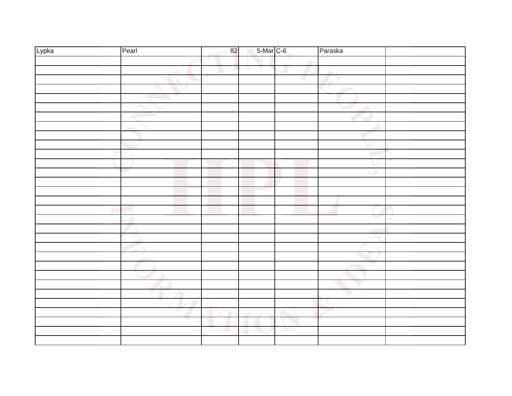| Lypka | Pearl | 82 | 5-Mar C-6 |   | Paraska |  |
|-------|-------|----|-----------|---|---------|--|
|       |       |    |           |   |         |  |
|       |       |    | a.<br>٦.  |   |         |  |
|       |       |    |           |   |         |  |
|       |       |    |           |   |         |  |
|       |       |    |           |   |         |  |
|       |       |    |           |   |         |  |
|       |       |    |           |   |         |  |
|       |       |    |           |   |         |  |
|       |       |    |           |   |         |  |
|       |       |    |           |   |         |  |
|       |       |    |           |   |         |  |
|       |       |    |           |   |         |  |
|       |       |    |           |   | ۰       |  |
|       |       |    |           |   |         |  |
|       |       |    |           |   |         |  |
|       |       |    |           |   |         |  |
|       |       |    |           |   |         |  |
|       |       |    |           |   |         |  |
|       |       |    |           |   |         |  |
|       |       |    |           |   |         |  |
|       |       |    |           |   |         |  |
|       |       |    |           |   |         |  |
|       |       |    |           |   |         |  |
|       |       |    |           |   |         |  |
|       |       |    |           |   |         |  |
|       |       |    |           |   |         |  |
|       |       |    |           |   |         |  |
|       |       |    |           |   |         |  |
|       |       |    |           |   |         |  |
|       |       |    |           | ≻ |         |  |
|       |       |    |           |   |         |  |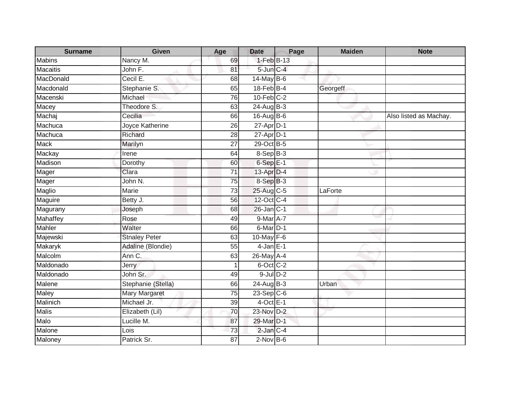| <b>Surname</b>  | <b>Given</b>         | Age             | <b>Date</b>      | Page | <b>Maiden</b> | <b>Note</b>            |
|-----------------|----------------------|-----------------|------------------|------|---------------|------------------------|
| <b>Mabins</b>   | Nancy M.             | 69              | 1-Feb B-13       |      |               |                        |
| <b>Macaitis</b> | John F.              | 81              | 5-Jun C-4        |      |               |                        |
| MacDonald       | Cecil E.             | 68              | 14-May B-6       |      |               |                        |
| Macdonald       | Stephanie S.         | 65              | 18-Feb B-4       |      | Georgeff      |                        |
| Macenski        | Michael              | 76              | $10$ -Feb $C-2$  |      |               |                        |
| Macey           | Theodore S.          | 63              | $24-AugB-3$      |      |               |                        |
| Machaj          | Cecilia              | 66              | $16$ -Aug $B$ -6 |      |               | Also listed as Machay. |
| Machuca         | Joyce Katherine      | 26              | $27$ -Apr $D-1$  |      |               |                        |
| Machuca         | Richard              | $\overline{28}$ | $27$ -Apr $D-1$  |      |               |                        |
| Mack            | Marilyn              | $\overline{27}$ | 29-Oct B-5       |      |               |                        |
| Mackay          | Irene                | 64              | 8-Sep B-3        |      |               |                        |
| Madison         | Dorothy              | 60              | $6-Sep$ E-1      |      |               |                        |
| Mager           | Clara                | 71              | 13-Apr D-4       |      |               |                        |
| Mager           | John N.              | $\overline{75}$ | $8-SepB-3$       |      |               |                        |
| <b>Maglio</b>   | Marie                | 73              | 25-Aug C-5       |      | LaForte       |                        |
| Maguire         | Betty J.             | 56              | 12-Oct C-4       |      |               |                        |
| Magurany        | Joseph               | 68              | $26$ -Jan C-1    |      |               |                        |
| Mahaffey        | Rose                 | 49              | 9-Mar A-7        |      |               |                        |
| <b>Mahler</b>   | Walter               | 66              | 6-Mar D-1        |      |               |                        |
| Majewski        | <b>Stnaley Peter</b> | 63              | 10-May F-6       |      |               |                        |
| <b>Makaryk</b>  | Adaline (Blondie)    | 55              | $4-JanE-1$       |      |               |                        |
| Malcolm         | Ann C.               | 63              | 26-May A-4       |      |               |                        |
| Maldonado       | <b>Jerry</b>         | $\overline{1}$  | 6-Oct C-2        |      |               |                        |
| Maldonado       | John Sr.             | 49              | $9$ -Jul $D-2$   |      |               |                        |
| Malene          | Stephanie (Stella)   | 66              | $24$ -Aug $B-3$  |      | Urban         |                        |
| <b>Maley</b>    | <b>Mary Margaret</b> | $\overline{75}$ | $23-Sep C-6$     |      |               |                        |
| Malinich        | Michael Jr.          | 39              | $4$ -Oct $E-1$   |      |               |                        |
| <b>Malis</b>    | Elizabeth (Lil)      | 70              | 23-Nov D-2       |      |               |                        |
| Malo            | Lucille M.           | 87              | 29-Mar D-1       |      |               |                        |
| Malone          | Lois                 | 73              | $2$ -Jan $C-4$   |      |               |                        |
| Maloney         | Patrick Sr.          | $\overline{87}$ | $2$ -Nov $B-6$   |      |               |                        |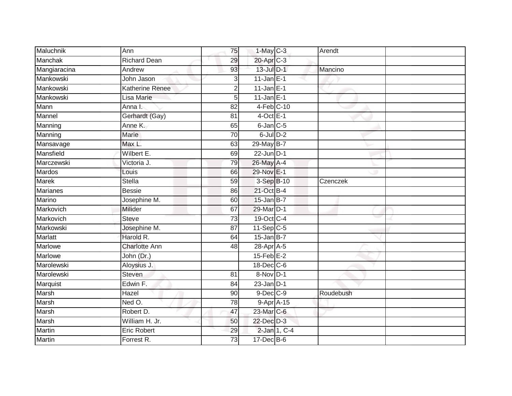| Maluchnik     | Ann                    | 75              | 1-May C-3        | Arendt    |  |
|---------------|------------------------|-----------------|------------------|-----------|--|
| Manchak       | <b>Richard Dean</b>    | 29              | 20-Apr C-3       |           |  |
| Mangiaracina  | Andrew                 | 93              | $13$ -Jul $D-1$  | Mancino   |  |
| Mankowski     | John Jason             | 3               | $11$ -Jan $E-1$  |           |  |
| Mankowski     | <b>Katherine Renee</b> | $\overline{2}$  | $11$ -Jan E-1    |           |  |
| Mankowski     | Lisa Marie             | 5               | $11$ -Jan E-1    |           |  |
| Mann          | Anna I.                | 82              | $4-Feb$ C-10     |           |  |
| Mannel        | Gerhardt (Gay)         | 81              | $4$ -Oct E-1     |           |  |
| Manning       | Anne K.                | 65              | $6$ -Jan $C$ -5  |           |  |
| Manning       | Marie                  | 70              | $6$ -Jul $D-2$   |           |  |
| Mansavage     | Max L.                 | 63              | 29-May B-7       |           |  |
| Mansfield     | Wilbert E.             | 69              | $22$ -Jun $D-1$  |           |  |
| Marczewski    | Victoria J.            | 79              | 26-May A-4       |           |  |
| Mardos        | Louis                  | 66              | 29-Nov E-1       |           |  |
| <b>Marek</b>  | <b>Stella</b>          | 59              | 3-Sep B-10       | Czenczek  |  |
| Marianes      | <b>Bessie</b>          | 86              | 21-Oct B-4       |           |  |
| Marino        | Josephine M.           | 60              | $15$ -Jan B-7    |           |  |
| Markovich     | Milider                | 67              | 29-Mar D-1       |           |  |
| Markovich     | <b>Steve</b>           | 73              | 19-Oct C-4       |           |  |
| Markowski     | Josephine M.           | 87              | $11-Sep$ C-5     |           |  |
| Marlatt       | Harold R.              | 64              | $15$ -Jan B-7    |           |  |
| Marlowe       | <b>Charlotte Ann</b>   | 48              | 28-Apr A-5       |           |  |
| Marlowe       | John (Dr.)             |                 | $15$ -Feb $E-2$  |           |  |
| Marolewski    | Aloysius J.            |                 | 18-Dec C-6       |           |  |
| Marolewski    | <b>Steven</b>          | 81              | 8-Nov D-1        |           |  |
| Marquist      | Edwin F.               | 84              | $23$ -Jan D-1    |           |  |
| Marsh         | Hazel                  | 90              | $9$ -Dec $C$ -9  | Roudebush |  |
| Marsh         | Ned O.                 | $\overline{78}$ | $9-Apr$ A-15     |           |  |
| Marsh         | Robert D.              | 47              | $23$ -Mar $C$ -6 |           |  |
| Marsh         | William H. Jr.         | 50              | 22-Dec D-3       |           |  |
| Martin        | <b>Eric Robert</b>     | 29              | 2-Jan 1, C-4     |           |  |
| <b>Martin</b> | Forrest R.             | 73              | $17 - Dec$ B-6   |           |  |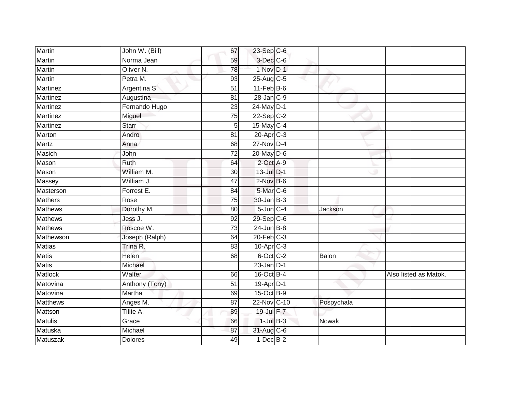| <b>Martin</b>   | John W. (Bill)       | 67              | 23-Sep C-6       |                |                       |
|-----------------|----------------------|-----------------|------------------|----------------|-----------------------|
| <b>Martin</b>   | Norma Jean           | 59              | 3-Dec C-6        |                |                       |
| Martin          | Oliver <sub>N.</sub> | 78              | 1-Nov D-1        |                |                       |
| Martin          | Petra M.             | 93              | $25$ -Aug C-5    |                |                       |
| <b>Martinez</b> | Argentina S.         | $\overline{51}$ | $11$ -Feb $B$ -6 |                |                       |
| Martinez        | Augustina            | 81              | $28$ -Jan $C-9$  |                |                       |
| Martinez        | Fernando Hugo        | 23              | 24-May D-1       |                |                       |
| Martinez        | Miguel               | 75              | $22-Sep$ C-2     |                |                       |
| Martinez        | <b>Starr</b>         | 5               | 15-May C-4       |                |                       |
| Marton          | Andro                | 81              | 20-Apr C-3       |                |                       |
| <b>Martz</b>    | Anna                 | 68              | $27$ -Nov D-4    |                |                       |
| Masich          | John                 | 72              | 20-May D-6       |                |                       |
| Mason           | Ruth                 | 64              | 2-Oct A-9        |                |                       |
| Mason           | William M.           | 30              | $13$ -Jul $D-1$  |                |                       |
| Massey          | William J.           | 47              | $2$ -Nov $B-6$   |                |                       |
| Masterson       | Forrest E.           | 84              | $5$ -Mar $C$ -6  |                |                       |
| <b>Mathers</b>  | Rose                 | 75              | $30 - Jan$ $B-3$ |                |                       |
| <b>Mathews</b>  | Dorothy M.           | 80              | $5$ -Jun $C-4$   | <b>Jackson</b> |                       |
| <b>Mathews</b>  | Jess J.              | 92              | $29-Sep C-6$     |                |                       |
| <b>Mathews</b>  | Roscoe W.            | 73              | $24$ -Jun $B-8$  |                |                       |
| Mathewson       | Joseph (Ralph)       | 64              | $20$ -Feb $C-3$  |                |                       |
| <b>Matias</b>   | Trina R.             | $\overline{83}$ | $10-Apr$ $C-3$   |                |                       |
| <b>Matis</b>    | Helen                | 68              | 6-Oct C-2        | Balon          |                       |
| <b>Matis</b>    | Michael              |                 | $23$ -Jan D-1    |                |                       |
| Matlock         | Walter               | 66              | $16$ -Oct B-4    |                | Also listed as Matok. |
| Matovina        | Anthony (Tony)       | 51              | 19-Apr D-1       |                |                       |
| Matovina        | Martha               | 69              | 15-Oct B-9       |                |                       |
| <b>Matthews</b> | Anges M.             | 87              | 22-Nov C-10      | Pospychala     |                       |
| Mattson         | Tillie A.            | 89              | 19-Jul F-7       |                |                       |
| <b>Matulis</b>  | Grace                | 66              | $1$ -Jul $B-3$   | <b>Nowak</b>   |                       |
| Matuska         | Michael              | 87              | 31-Aug C-6       |                |                       |
| Matuszak        | <b>Dolores</b>       | 49              | $1-Dec$ B-2      |                |                       |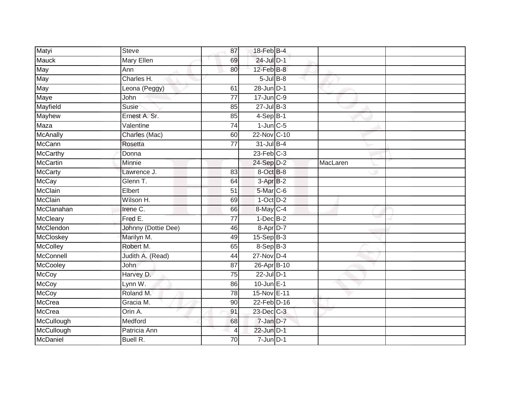| <b>Steve</b>        | 87              |  |                                                                                                                                                                                                                                                                                                                                                                                                                                                                                                                    |  |
|---------------------|-----------------|--|--------------------------------------------------------------------------------------------------------------------------------------------------------------------------------------------------------------------------------------------------------------------------------------------------------------------------------------------------------------------------------------------------------------------------------------------------------------------------------------------------------------------|--|
| <b>Mary Ellen</b>   | 69              |  |                                                                                                                                                                                                                                                                                                                                                                                                                                                                                                                    |  |
| Ann                 | 80              |  |                                                                                                                                                                                                                                                                                                                                                                                                                                                                                                                    |  |
| Charles H.          |                 |  |                                                                                                                                                                                                                                                                                                                                                                                                                                                                                                                    |  |
| Leona (Peggy)       | 61              |  |                                                                                                                                                                                                                                                                                                                                                                                                                                                                                                                    |  |
| John                | 77              |  |                                                                                                                                                                                                                                                                                                                                                                                                                                                                                                                    |  |
| Susie               | 85              |  |                                                                                                                                                                                                                                                                                                                                                                                                                                                                                                                    |  |
| Ernest A. Sr.       | 85              |  |                                                                                                                                                                                                                                                                                                                                                                                                                                                                                                                    |  |
| Valentine           | 74              |  |                                                                                                                                                                                                                                                                                                                                                                                                                                                                                                                    |  |
| Charles (Mac)       | 60              |  |                                                                                                                                                                                                                                                                                                                                                                                                                                                                                                                    |  |
| Rosetta             | 77              |  |                                                                                                                                                                                                                                                                                                                                                                                                                                                                                                                    |  |
| Donna               |                 |  |                                                                                                                                                                                                                                                                                                                                                                                                                                                                                                                    |  |
| Minnie              |                 |  | MacLaren                                                                                                                                                                                                                                                                                                                                                                                                                                                                                                           |  |
| Lawrence J.         | 83              |  |                                                                                                                                                                                                                                                                                                                                                                                                                                                                                                                    |  |
| Glenn T.            | 64              |  |                                                                                                                                                                                                                                                                                                                                                                                                                                                                                                                    |  |
| Elbert              | 51              |  |                                                                                                                                                                                                                                                                                                                                                                                                                                                                                                                    |  |
| Wilson H.           | 69              |  |                                                                                                                                                                                                                                                                                                                                                                                                                                                                                                                    |  |
| Irene C.            | 66              |  |                                                                                                                                                                                                                                                                                                                                                                                                                                                                                                                    |  |
| Fred E.             | $\overline{77}$ |  |                                                                                                                                                                                                                                                                                                                                                                                                                                                                                                                    |  |
| Johnny (Dottie Dee) | 46              |  |                                                                                                                                                                                                                                                                                                                                                                                                                                                                                                                    |  |
| Marilyn M.          | 49              |  |                                                                                                                                                                                                                                                                                                                                                                                                                                                                                                                    |  |
| Robert M.           | 65              |  |                                                                                                                                                                                                                                                                                                                                                                                                                                                                                                                    |  |
| Judith A. (Read)    | 44              |  |                                                                                                                                                                                                                                                                                                                                                                                                                                                                                                                    |  |
| John                | 87              |  |                                                                                                                                                                                                                                                                                                                                                                                                                                                                                                                    |  |
| Harvey D.           | $\overline{75}$ |  |                                                                                                                                                                                                                                                                                                                                                                                                                                                                                                                    |  |
| Lynn W.             | 86              |  |                                                                                                                                                                                                                                                                                                                                                                                                                                                                                                                    |  |
| Roland M.           | 78              |  |                                                                                                                                                                                                                                                                                                                                                                                                                                                                                                                    |  |
| Gracia M.           | 90              |  |                                                                                                                                                                                                                                                                                                                                                                                                                                                                                                                    |  |
| Orin A.             | 91              |  |                                                                                                                                                                                                                                                                                                                                                                                                                                                                                                                    |  |
| Medford             | 68              |  |                                                                                                                                                                                                                                                                                                                                                                                                                                                                                                                    |  |
| Patricia Ann        | 4               |  |                                                                                                                                                                                                                                                                                                                                                                                                                                                                                                                    |  |
| Buell R.            | 70              |  |                                                                                                                                                                                                                                                                                                                                                                                                                                                                                                                    |  |
|                     |                 |  | 18-Feb B-4<br>24-Jul D-1<br>$12$ -Feb $B$ -8<br>$5 -$ Jul B-8<br>28-Jun D-1<br>$17 - Jun$ $C-9$<br>$27$ -Jul B-3<br>$4-Sep$ B-1<br>$1$ -Jun $C$ -5<br>22-Nov C-10<br>$31$ -Jul B-4<br>$23$ -Feb $C-3$<br>24-Sep D-2<br>8-Oct B-8<br>$3-AprB-2$<br>5-Mar C-6<br>$1-Oct$ $D-2$<br>8-May C-4<br>$1-Dec$ B-2<br>8-Apr D-7<br>$15-Sep$ B-3<br>8-Sep B-3<br>$27$ -Nov D-4<br>26-Apr B-10<br>$22$ -Jul $D-1$<br>$10$ -Jun $E-1$<br>15-Nov E-11<br>22-Feb D-16<br>23-Dec C-3<br>7-Jan D-7<br>22-Jun D-1<br>$7 - Jun$ $D-1$ |  |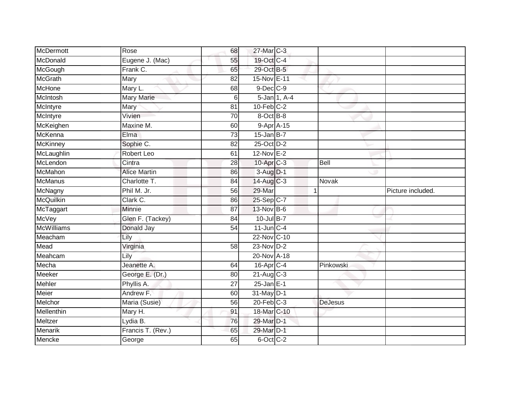| <b>McDermott</b>  | Rose                | 68              | 27-Mar C-3              |              |                |                   |
|-------------------|---------------------|-----------------|-------------------------|--------------|----------------|-------------------|
| McDonald          | Eugene J. (Mac)     | 55              | 19-Oct C-4              |              |                |                   |
| McGough           | Frank C.            | 65              | 29-Oct B-5              |              |                |                   |
| <b>McGrath</b>    | Mary                | 82              | 15-Nov E-11             |              |                |                   |
| <b>McHone</b>     | Mary L.             | 68              | $9$ -Dec $C-9$          |              |                |                   |
| McIntosh          | <b>Mary Marie</b>   | $6 \mid$        |                         | 5-Jan 1, A-4 |                |                   |
| McIntyre          | Mary                | 81              | $10$ -Feb $C-2$         |              |                |                   |
| McIntyre          | Vivien              | 70              | 8-Oct B-8               |              |                |                   |
| McKeighen         | Maxine M.           | 60              | $9-AprA-15$             |              |                |                   |
| McKenna           | Elma                | $\overline{73}$ | $15$ -Jan B-7           |              |                |                   |
| <b>McKinney</b>   | Sophie C.           | 82              | 25-Oct D-2              |              |                |                   |
| McLaughlin        | Robert Leo          | 61              | $12-Nov$ E-2            |              |                |                   |
| McLendon          | Cintra              | 28              | $10$ -Apr $C-3$         |              | <b>Bell</b>    |                   |
| McMahon           | <b>Alice Martin</b> | 86              | $3-AuqD-1$              |              |                |                   |
| <b>McManus</b>    | Charlotte T.        | 84              | 14-Aug C-3              |              | Novak          |                   |
| McNagny           | Phil M. Jr.         | 56              | 29-Mar                  |              |                | Picture included. |
| <b>McQuilkin</b>  | Clark C.            | 86              | 25-Sep C-7              |              |                |                   |
| McTaggart         | Minnie              | 87              | 13-Nov B-6              |              |                |                   |
| <b>McVey</b>      | Glen F. (Tackey)    | 84              | 10-Jul B-7              |              |                |                   |
| <b>McWilliams</b> | Donald Jay          | 54              | $11$ -Jun $C-4$         |              |                |                   |
| Meacham           | Lily                |                 | 22-Nov C-10             |              |                |                   |
| Mead              | Virginia            | 58              | $23-Nov$ D-2            |              |                |                   |
| Meahcam           | Lily                |                 | 20-Nov A-18             |              |                |                   |
| Mecha             | Jeanette A.         | 64              | 16-Apr C-4              |              | Pinkowski      |                   |
| Meeker            | George E. (Dr.)     | 80              | $21-Aug$ <sub>C-3</sub> |              |                |                   |
| Mehler            | Phyllis A.          | 27              | $25$ -Jan E-1           |              |                |                   |
| <b>Meier</b>      | Andrew F.           | 60              | 31-May D-1              |              |                |                   |
| Melchor           | Maria (Susie)       | 56              | $20$ -Feb $C-3$         |              | <b>DeJesus</b> |                   |
| Mellenthin        | Mary H.             | 91              | 18-Mar C-10             |              |                |                   |
| Meltzer           | Lydia B.            | 76              | 29-Mar D-1              |              |                |                   |
| Menarik           | Francis T. (Rev.)   | 65              | 29-Mar D-1              |              |                |                   |
| Mencke            | George              | 65              | $6$ -Oct $C$ -2         |              |                |                   |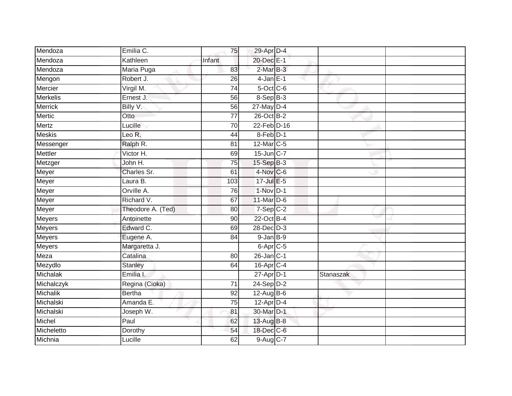| Mendoza         | Emilia C.         | 75              | 29-Apr D-4           |           |  |
|-----------------|-------------------|-----------------|----------------------|-----------|--|
| Mendoza         | Kathleen          | Infant          | 20-Dec E-1           |           |  |
| Mendoza         | Maria Puga        | 83              | $2-MarB-3$           |           |  |
| Mengon          | Robert J.         | 26              | $4$ -Jan $E-1$       |           |  |
| Mercier         | Virgil M.         | $\overline{74}$ | $5$ -Oct C-6         |           |  |
| <b>Merkelis</b> | Ernest J.         | 56              | 8-Sep B-3            |           |  |
| <b>Merrick</b>  | Billy V.          | 56              | $27$ -May D-4        |           |  |
| <b>Mertic</b>   | Otto              | 77              | 26-Oct B-2           |           |  |
| <b>Mertz</b>    | Lucille           | 70              | 22-Feb D-16          |           |  |
| <b>Meskis</b>   | Leo R.            | 44              | $8$ -Feb $D-1$       |           |  |
| Messenger       | Ralph R.          | 81              | 12-Mar C-5           |           |  |
| Mettler         | Victor H.         | 69              | 15-Jun C-7           |           |  |
| Metzger         | John H.           | 75              | $15-Sep$ B-3         |           |  |
| Meyer           | Charles Sr.       | 61              | $4$ -Nov $C$ -6      |           |  |
| Meyer           | Laura B.          | 103             | 17-Jul E-5           |           |  |
| Meyer           | Orville A.        | 76              | $1-Nov$ D-1          |           |  |
| Meyer           | Richard V.        | 67              | 11-Mar D-6           |           |  |
| Meyer           | Theodore A. (Ted) | 80              | $7-Sep$ C-2          |           |  |
| <b>Meyers</b>   | Antoinette        | 90              | 22-Oct B-4           |           |  |
| <b>Meyers</b>   | Edward C.         | 69              | 28-Dec D-3           |           |  |
| Meyers          | Eugene A.         | 84              | $9$ -Jan $B-9$       |           |  |
| <b>Meyers</b>   | Margaretta J.     |                 | 6-Apr <sub>C-5</sub> |           |  |
| Meza            | Catalina          | 80              | $26$ -Jan $C-1$      |           |  |
| Mezydlo         | <b>Stanley</b>    | 64              | $16$ -Apr $C-4$      |           |  |
| Michalak        | Emilia I.         |                 | $27$ -Apr $D-1$      | Stanaszak |  |
| Michalczyk      | Regina (Cioka)    | 71              | $24-Sep$ D-2         |           |  |
| Michalik        | <b>Bertha</b>     | 92              | $12$ -Aug B-6        |           |  |
| Michalski       | Amanda E.         | 75              | $12$ -Apr $D-4$      |           |  |
| Michalski       | Joseph W.         | 81              | 30-Mar D-1           |           |  |
| Michel          | Paul              | 62              | 13-Aug B-8           |           |  |
| Micheletto      | Dorothy           | 54              | 18-Dec C-6           |           |  |
| Michnia         | Lucille           | 62              | 9-Aug C-7            |           |  |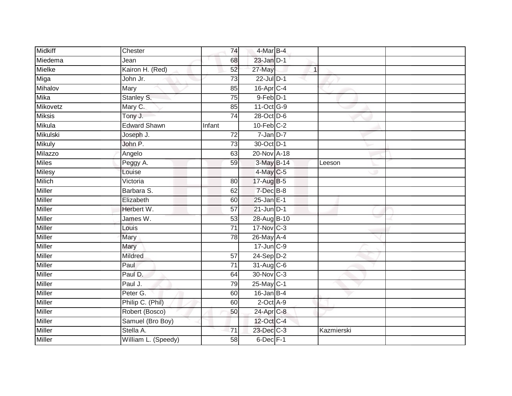| <b>Midkiff</b> | Chester             | 74              | 4-Mar B-4       |            |  |
|----------------|---------------------|-----------------|-----------------|------------|--|
| Miedema        | Jean                | 68              | $23$ -Jan $D-1$ |            |  |
| Mielke         | Kairon H. (Red)     | 52              | 27-May          | 1          |  |
| Miga           | John Jr.            | $\overline{73}$ | 22-Jul D-1      |            |  |
| Mihalov        | Mary                | 85              | $16$ -Apr $C-4$ |            |  |
| <b>Mika</b>    | Stanley S.          | 75              | $9$ -Feb $D-1$  |            |  |
| Mikovetz       | Mary C.             | 85              | 11-Oct G-9      |            |  |
| <b>Miksis</b>  | Tony J.             | 74              | 28-Oct D-6      |            |  |
| Mikula         | <b>Edward Shawn</b> | Infant          | $10$ -Feb $C-2$ |            |  |
| Mikulski       | Joseph J.           | $\overline{72}$ | $7 - Jan$ $D-7$ |            |  |
| <b>Mikuly</b>  | John P.             | 73              | 30-Oct D-1      |            |  |
| Milazzo        | Angelo              | 63              | 20-Nov A-18     |            |  |
| <b>Miles</b>   | Peggy A.            | 59              | 3-May B-14      | Leeson     |  |
| <b>Milesy</b>  | Louise              |                 | 4-May C-5       |            |  |
| <b>Milich</b>  | Victoria            | $\overline{80}$ | 17-Aug B-5      |            |  |
| Miller         | Barbara S.          | 62              | 7-Dec B-8       |            |  |
| Miller         | Elizabeth           | 60              | $25$ -Jan E-1   |            |  |
| <b>Miller</b>  | Herbert W.          | $\overline{57}$ | $21$ -Jun $D-1$ |            |  |
| <b>Miller</b>  | James W.            | 53              | 28-Aug B-10     |            |  |
| <b>Miller</b>  | Louis               | $\overline{71}$ | 17-Nov C-3      |            |  |
| Miller         | Mary                | 78              | 26-May A-4      |            |  |
| Miller         | Mary                |                 | 17-Jun C-9      |            |  |
| <b>Miller</b>  | Mildred             | 57              | $24-Sep D-2$    |            |  |
| <b>Miller</b>  | Paul                | $\overline{71}$ | 31-Aug C-6      |            |  |
| Miller         | Paul D.             | 64              | 30-Nov C-3      |            |  |
| <b>Miller</b>  | Paul J.             | 79              | $25$ -May C-1   |            |  |
| <b>Miller</b>  | Peter G.            | 60              | $16$ -Jan B-4   |            |  |
| <b>Miller</b>  | Philip C. (Phil)    | 60              | $2$ -Oct $A-9$  |            |  |
| <b>Miller</b>  | Robert (Bosco)      | 50              | 24-Apr C-8      |            |  |
| <b>Miller</b>  | Samuel (Bro Boy)    |                 | 12-Oct C-4      |            |  |
| Miller         | Stella A.           | 71              | 23-Dec C-3      | Kazmierski |  |
| Miller         | William L. (Speedy) | 58              | $6$ -Dec $F-1$  |            |  |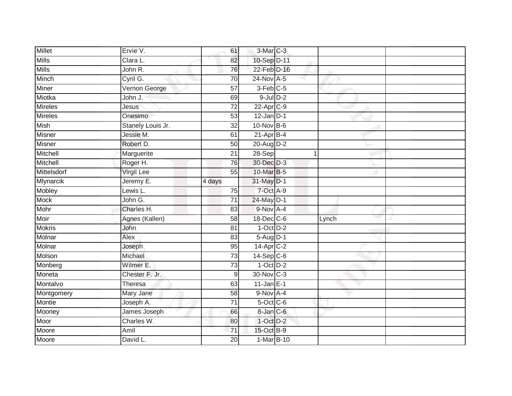| <b>Millet</b>  | Ervie V.          | 61               | 3-Mar C-3             |       |  |
|----------------|-------------------|------------------|-----------------------|-------|--|
| <b>Mills</b>   | Clara L.          | 82               | 10-Sep D-11           |       |  |
| Mills          | John R.           | 76               | 22-Feb D-16           |       |  |
| Minch          | Cyril G.          | $\overline{70}$  | 24-Nov A-5            |       |  |
| Miner          | Vernon George     | $\overline{57}$  | $3-Feb$ $C-5$         |       |  |
| Miotka         | John J.           | 69               | $9$ -Jul $D-2$        |       |  |
| Mireles        | <b>Jesus</b>      | $\overline{72}$  | 22-Apr <sub>C-9</sub> |       |  |
| <b>Mireles</b> | Onesimo           | 53               | $12$ -Jan D-1         |       |  |
| Mish           | Stanely Louis Jr. | 32               | 10-Nov B-6            |       |  |
| Misner         | Jessie M.         | 61               | $21$ -Apr $B-4$       |       |  |
| Misner         | Robert D.         | 50               | 20-Aug D-2            |       |  |
| Mitchell       | Marguerite        | 21               | $28-Sep$              |       |  |
| Mitchell       | Roger H.          | 76               | 30-Dec D-3            |       |  |
| Mittelsdorf    | <b>Virgil Lee</b> | 55               | 10-Mar B-5            |       |  |
| Mlynarcik      | Jeremy E.         | 4 days           | 31-May D-1            |       |  |
| Mobley         | Lewis L.          | 75               | 7-Oct A-9             |       |  |
| Mock           | John G.           | $\overline{71}$  | 24-May D-1            |       |  |
| Mohr           | Charles H.        | 83               | 9-Nov A-4             |       |  |
| Moir           | Agnes (Kallen)    | 58               | 18-Dec C-6            | Lynch |  |
| <b>Mokris</b>  | John              | $\overline{81}$  | $1-Oct$ $D-2$         |       |  |
| Molnar         | Alex              | 83               | $5-Aug$ D-1           |       |  |
| Molnar         | Joseph            | 95               | 14-Apr C-2            |       |  |
| Molson         | Michael           | 73               | 14-Sep C-6            |       |  |
| Monberg        | Wilmer E.         | $\overline{73}$  | $1-Oct$ $D-2$         |       |  |
| Moneta         | Chester F. Jr.    | $\boldsymbol{9}$ | 30-Nov C-3            |       |  |
| Montalvo       | Theresa           | 63               | $11$ -Jan E-1         |       |  |
| Montgomery     | Mary Jane         | $\overline{58}$  | 9-Nov A-4             |       |  |
| Montie         | Joseph A.         | 71               | $5$ -Oct C-6          |       |  |
| Mooney         | James Joseph      | 66               | 8-Jan C-6             |       |  |
| Moor           | Charles W.        | 80               | 1-Oct D-2             |       |  |
| Moore          | Amil              | 71               | 15-Oct B-9            |       |  |
| Moore          | David L.          | 20               | 1-Mar B-10            |       |  |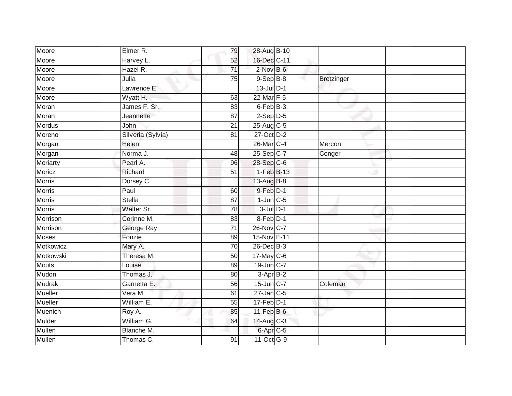| Moore          | Elmer R.          | 79              | 28-Aug B-10             |            |  |
|----------------|-------------------|-----------------|-------------------------|------------|--|
| Moore          | Harvey L.         | 52              | 16-Dec C-11             |            |  |
| Moore          | Hazel R.          | 71              | $2$ -Nov $B-6$          |            |  |
| Moore          | Julia             | 75              | $9-Sep$ $B-8$           | Bretzinger |  |
| Moore          | Lawrence E.       |                 | $13$ -Jul $D-1$         |            |  |
| Moore          | Wyatt H.          | 63              | 22-Mar F-5              |            |  |
| Moran          | James F. Sr.      | 83              | 6-Feb B-3               |            |  |
| Moran          | Jeannette         | 87              | $2-Sep$ $D-5$           |            |  |
| <b>Mordus</b>  | John              | 21              | $25-Aug$ <sub>C-5</sub> |            |  |
| Moreno         | Silveria (Sylvia) | $\overline{81}$ | 27-Oct D-2              |            |  |
| Morgan         | Helen             |                 | 26-Mar C-4              | Mercon     |  |
| Morgan         | Norma J.          | 48              | $25-Sep$ <sub>C-7</sub> | Conger     |  |
| Moriarty       | Pearl A.          | 96              | 28-Sep C-6              |            |  |
| Moricz         | Richard           | $\overline{51}$ | $1-FebB-13$             |            |  |
| <b>Morris</b>  | Dorsey C.         |                 | 13-Aug B-8              |            |  |
| <b>Morris</b>  | Paul              | 60              | 9-Feb D-1               |            |  |
| Morris         | <b>Stella</b>     | $\overline{87}$ | $1$ -Jun $C$ -5         |            |  |
| <b>Morris</b>  | Walter Sr.        | 78              | $3$ -Jul $D-1$          |            |  |
| Morrison       | Corinne M.        | 83              | 8-Feb D-1               |            |  |
| Morrison       | George Ray        | $\overline{71}$ | 26-Nov C-7              |            |  |
| <b>Moses</b>   | Fonzie            | 89              | 15-Nov E-11             |            |  |
| Motkowicz      | Mary A.           | 70              | 26-Dec B-3              |            |  |
| Motkowski      | Theresa M.        | 50              | 17-May C-6              |            |  |
| <b>Mouts</b>   | Louise            | 89              | 19-Jun C-7              |            |  |
| Mudon          | Thomas J.         | 80              | $3-AprB-2$              |            |  |
| <b>Mudrak</b>  | Garnetta E.       | 56              | $15$ -Jun $C-7$         | Coleman    |  |
| <b>Mueller</b> | Vera M.           | 61              | $27$ -Jan C-5           |            |  |
| <b>Mueller</b> | William E.        | 55              | $17$ -Feb $D-1$         |            |  |
| Muenich        | Roy A.            | 85              | $11$ -Feb $B$ -6        |            |  |
| Mulder         | William G.        | 64              | 14-Aug C-3              |            |  |
| Mullen         | Blanche M.        |                 | 6-Apr C-5               |            |  |
| Mullen         | Thomas C.         | 91              | 11-Oct G-9              |            |  |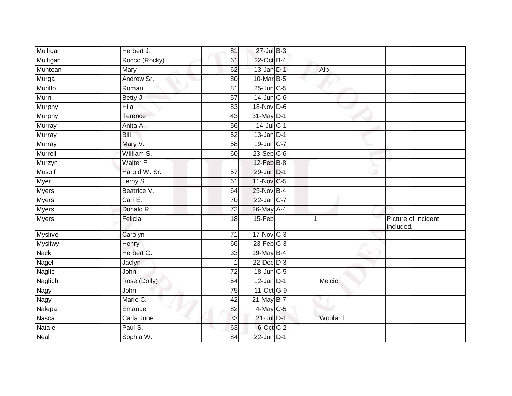| Mulligan       | Herbert J.    | 81              | 27-Jul B-3       |   |               |                                 |
|----------------|---------------|-----------------|------------------|---|---------------|---------------------------------|
| Mulligan       | Rocco (Rocky) | 61              | 22-Oct B-4       |   |               |                                 |
| Muntean        | Mary          | 62              | 13-Jan D-1       |   | Alb           |                                 |
| Murga          | Andrew Sr.    | 80              | 10-Mar B-5       |   |               |                                 |
| <b>Murillo</b> | Roman         | $\overline{81}$ | $25$ -Jun $C$ -5 |   |               |                                 |
| Murn           | Betty J.      | 57              | $14$ -Jun $C-6$  |   |               |                                 |
| Murphy         | Hila          | 83              | 18-Nov D-6       |   |               |                                 |
| Murphy         | Terence       | 43              | 31-May D-1       |   |               |                                 |
| Murray         | Anita A.      | 56              | $14$ -Jul C-1    |   |               |                                 |
| <b>Murray</b>  | Bill          | $\overline{52}$ | $13$ -Jan $D-1$  |   |               |                                 |
| Murray         | Mary V.       | 58              | 19-Jun C-7       |   |               |                                 |
| Murrell        | William S.    | 60              | $23-Sep$ C-6     |   |               |                                 |
| Murzyn         | Walter F.     |                 | 12-Feb B-8       |   |               |                                 |
| <b>Musolf</b>  | Harold W. Sr. | 57              | 29-Jun D-1       |   |               |                                 |
| <b>Myer</b>    | Leroy S.      | 61              | 11-Nov C-5       |   |               |                                 |
| <b>Myers</b>   | Beatrice V.   | 64              | 25-Nov B-4       |   |               |                                 |
| <b>Myers</b>   | Carl E.       | $\overline{70}$ | 22-Jan C-7       |   |               |                                 |
| Myers          | Donald R.     | 72              | 26-May A-4       |   |               |                                 |
| Myers          | Felicia       | 18              | 15-Feb           | 1 |               | Picture of incident<br>included |
| <b>Myslive</b> | Carolyn       | $\overline{71}$ | 17-Nov C-3       |   |               |                                 |
| <b>Mysliwy</b> | Henry         | 66              | $23$ -Feb $C-3$  |   |               |                                 |
| <b>Nack</b>    | Herbert G.    | 33              | 19-May $B-4$     |   |               |                                 |
| Nagel          | Jaclyn        |                 | $22$ -Dec $D-3$  |   |               |                                 |
| <b>Naglic</b>  | John          | 72              | 18-Jun C-5       |   |               |                                 |
| Naglich        | Rose (Dolly)  | $\overline{54}$ | $12$ -Jan D-1    |   | <b>Melcic</b> |                                 |
| <b>Nagy</b>    | John          | 75              | 11-Oct G-9       |   |               |                                 |
| Nagy           | Marie C.      | 42              | $21$ -May B-7    |   |               |                                 |
| Nalepa         | Emanuel       | 82              | 4-May C-5        |   |               |                                 |
| Nasca          | Carla June    | 33              | $21$ -Jul $D-1$  |   | Woolard       |                                 |
| Natale         | Paul S.       | 63              | 6-Oct C-2        |   |               |                                 |
| <b>Neal</b>    | Sophia W.     | 84              | $22$ -Jun $D-1$  |   |               |                                 |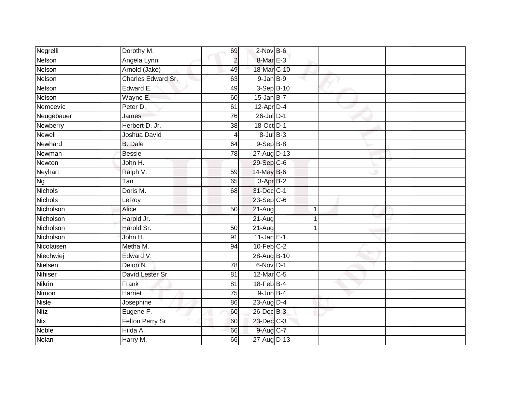| Negrelli                          | Dorothy M.              | 69              | $2$ -Nov $B-6$          |              |  |
|-----------------------------------|-------------------------|-----------------|-------------------------|--------------|--|
| Nelson                            | Angela Lynn             | $\overline{2}$  | $8-MarE-3$              |              |  |
| Nelson                            | Arnold (Jake)           | 49              | 18-Mar C-10             |              |  |
| Nelson                            | Charles Edward Sr.      | 63              | $9$ -Jan $B$ -9         |              |  |
| Nelson                            | Edward E.               | 49              | 3-Sep B-10              |              |  |
| Nelson                            | Wayne E.                | 60              | $15$ -Jan B-7           |              |  |
| Nemcevic                          | Peter D.                | 61              | $12$ -Apr $D-4$         |              |  |
| Neugebauer                        | James                   | 76              | $26$ -Jul $D-1$         |              |  |
| Newberry                          | Herbert D. Jr.          | 38              | 18-Oct D-1              |              |  |
| <b>Newell</b>                     | Joshua David            | 4               | $8$ -Jul $B$ -3         |              |  |
| Newhard                           | <b>B.</b> Dale          | 64              | $9-$ Sep $B-8$          |              |  |
| Newman                            | <b>Bessie</b>           | 78              | 27-Aug D-13             |              |  |
| Newton                            | John H.                 |                 | $29-Sep$ <sub>C-6</sub> |              |  |
| Neyhart                           | Ralph V.                | 59              | 14-May B-6              |              |  |
| $\overline{\mathsf{N}}\mathsf{g}$ | $\overline{\text{Tan}}$ | 65              | $3-AprB-2$              |              |  |
| <b>Nichols</b>                    | Doris M.                | 68              | 31-Dec C-1              |              |  |
| Nichols                           | LeRoy                   |                 | $23-Sep C-6$            |              |  |
| Nicholson                         | Alice                   | 50              | $21-Aug$                | $\mathbf{1}$ |  |
| Nicholson                         | Harold Jr.              |                 | $21-Aug$                |              |  |
| Nicholson                         | Harold Sr.              | $\overline{50}$ | $21 - Aug$              |              |  |
| Nicholson                         | John H.                 | 91              | $11$ -Jan E-1           |              |  |
| Nicolaisen                        | Metha M.                | 94              | $10$ -Feb $C-2$         |              |  |
| Niechwiej                         | Edward V.               |                 | 28-Aug B-10             |              |  |
| Nielsen                           | Deion N.                | 78              | $6-Nov$ D-1             |              |  |
| <b>Nihiser</b>                    | David Lester Sr.        | 81              | $12$ -Mar $ C-5 $       |              |  |
| <b>Nikrin</b>                     | Frank                   | 81              | $18$ -Feb $B-4$         |              |  |
| Nimon                             | Harriet                 | $\overline{75}$ | $9$ -Jun $B-4$          |              |  |
| <b>Nisle</b>                      | Josephine               | 86              | 23-Aug D-4              |              |  |
| <b>Nitz</b>                       | Eugene F.               | 60              | 26-Dec B-3              |              |  |
| <b>Nix</b>                        | Felton Perry Sr.        | 60              | 23-Dec C-3              |              |  |
| <b>Noble</b>                      | Hilda A.                | 66              | 9-Aug C-7               |              |  |
| Nolan                             | Harry M.                | 66              | 27-Aug D-13             |              |  |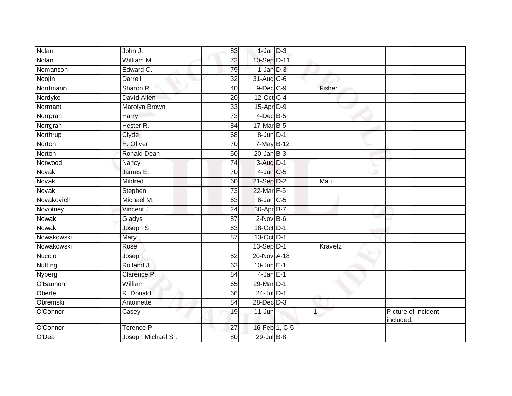| Nolan                          | John J.            | 83              | $1$ -Jan $D-3$  |              |                                  |
|--------------------------------|--------------------|-----------------|-----------------|--------------|----------------------------------|
| Nolan                          | William M.         | $\overline{72}$ | 10-Sep D-11     |              |                                  |
| Nomanson                       | Edward C.          | 79              | $1$ -Jan $D-3$  |              |                                  |
| Noojin                         | Darrell            | $\overline{32}$ | 31-Aug C-6      |              |                                  |
| Nordmann                       | Sharon R.          | $\overline{40}$ | $9$ -Dec $C$ -9 | Fisher       |                                  |
| Nordyke                        | David Allen        | 20              | 12-Oct C-4      |              |                                  |
| Normant                        | Marolyn Brown      | 33              | $15$ -Apr $D-9$ |              |                                  |
| Norrgran                       | Harry              | $\overline{73}$ | $4$ -Dec B-5    |              |                                  |
| Norrgran                       | Hester R.          | 84              | 17-Mar B-5      |              |                                  |
| Northrup                       | Clyde              | 68              | $8 - Jun$ $D-1$ |              |                                  |
| Norton                         | H. Oliver          | 70              | 7-May B-12      |              |                                  |
| Norton                         | Ronald Dean        | 50              | $20$ -Jan $B-3$ |              |                                  |
| Norwood                        | Nancy              | 74              | 3-Aug D-1       |              |                                  |
| Novak                          | James E.           | 70              | $4$ -Jun $C$ -5 |              |                                  |
| Novak                          | Mildred            | 60              | 21-Sep D-2      | Mau          |                                  |
| Novak                          | Stephen            | 73              | 22-Mar F-5      |              |                                  |
| Novakovich                     | Michael M.         | 63              | $6$ -Jan $C$ -5 |              |                                  |
| Novotney                       | Vincent J.         | 24              | 30-Apr B-7      |              |                                  |
| Nowak                          | Gladys             | 87              | $2$ -Nov $B-6$  |              |                                  |
| <b>Nowak</b>                   | Joseph S.          | 63              | 18-Oct D-1      |              |                                  |
| Nowakowski                     | Mary               | 87              | 13-Oct D-1      |              |                                  |
| Nowakowski                     | Rose               |                 | $13-Sep$ D-1    | Kravetz      |                                  |
| Nuccio                         | Joseph             | 52              | 20-Nov A-18     |              |                                  |
| $\overline{\mathsf{N}}$ utting | Rolland J.         | 63              | $10$ -Jun $E-1$ |              |                                  |
| Nyberg                         | Clarence P.        | 84              | $4$ -Jan $E-1$  |              |                                  |
| O'Bannon                       | William            | 65              | 29-Mar D-1      |              |                                  |
| Oberle                         | R. Donald          | 66              | $24$ -Jul $D-1$ |              |                                  |
| Obremski                       | Antoinette         | 84              | $28$ -Dec $D-3$ |              |                                  |
| O'Connor                       | Casey              | 19              | $11$ -Jun       | $\mathbf{1}$ | Picture of incident<br>included. |
| O'Connor                       | Terence P.         | 27              | 16-Feb 1, C-5   |              |                                  |
| O'Dea                          | Joseph Michael Sr. | 80              | 29-Jul B-8      |              |                                  |
|                                |                    |                 |                 |              |                                  |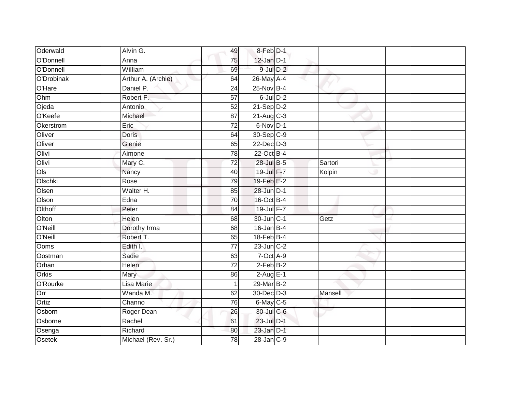| Oderwald     | Alvin G.           | 49              | 8-Feb D-1               |         |  |
|--------------|--------------------|-----------------|-------------------------|---------|--|
| O'Donnell    | Anna               | 75              | $12$ -Jan $D-1$         |         |  |
| O'Donnell    | William            | 69              | $9$ -Jul $D-2$          |         |  |
| O'Drobinak   | Arthur A. (Archie) | 64              | 26-May A-4              |         |  |
| O'Hare       | Daniel P.          | $\overline{24}$ | 25-Nov B-4              |         |  |
| Ohm          | Robert F.          | $\overline{57}$ | $6$ -Jul $D-2$          |         |  |
| Ojeda        | Antonio            | 52              | $21-Sep$ D-2            |         |  |
| O'Keefe      | Michael            | 87              | $21-Aug$ <sub>C-3</sub> |         |  |
| Okerstrom    | Eric               | 72              | 6-Nov D-1               |         |  |
| Oliver       | <b>Doris</b>       | 64              | 30-Sep C-9              |         |  |
| Oliver       | Glenie             | 65              | 22-Dec D-3              |         |  |
| Olivi        | Aimone             | 78              | 22-Oct B-4              |         |  |
| Olivi        | Mary C.            | 72              | 28-Jul B-5              | Sartori |  |
| Ols          | Nancy              | 40              | 19-Jul F-7              | Kolpin  |  |
| Olschki      | Rose               | 79              | 19-Feb E-2              |         |  |
| Olsen        | Walter H.          | 85              | 28-Jun D-1              |         |  |
| Olson        | Edna               | 70              | 16-Oct B-4              |         |  |
| Olthoff      | Peter              | 84              | 19-Jul F-7              |         |  |
| Olton        | Helen              | 68              | 30-Jun C-1              | Getz    |  |
| O'Neill      | Dorothy Irma       | 68              | $16$ -Jan B-4           |         |  |
| O'Neill      | Robert T.          | 65              | $18$ -Feb $B$ -4        |         |  |
| Ooms         | Edith I.           | $\overline{77}$ | $23$ -Jun $C-2$         |         |  |
| Oostman      | Sadie              | 63              | 7-Oct A-9               |         |  |
| Orhan        | Helen              | $\overline{72}$ | $2$ -Feb $B-2$          |         |  |
| <b>Orkis</b> | Mary               | 86              | $2-Aug$ E-1             |         |  |
| O'Rourke     | Lisa Marie         |                 | 29-Mar B-2              |         |  |
| Orr          | Wanda M.           | 62              | 30-Dec D-3              | Mansell |  |
| Ortiz        | Channo             | 76              | 6-May C-5               |         |  |
| Osborn       | Roger Dean         | 26              | 30-Jul C-6              |         |  |
| Osborne      | Rachel             | 61              | 23-Jul D-1              |         |  |
| Osenga       | Richard            | 80              | $23$ -Jan $D-1$         |         |  |
| Osetek       | Michael (Rev. Sr.) | $\overline{78}$ | 28-Jan C-9              |         |  |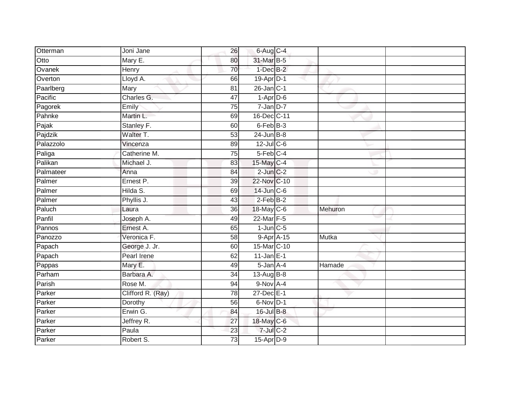| Otterman  | Joni Jane         | 26              | $6$ -Aug $C$ -4   |         |
|-----------|-------------------|-----------------|-------------------|---------|
| Otto      | Mary E.           | 80              | 31-Mar B-5        |         |
| Ovanek    | Henry             | 70              | $1-Dec$ B-2       |         |
| Overton   | Lloyd A.          | 66              | 19-Apr D-1        |         |
| Paarlberg | Mary              | $\overline{81}$ | $26$ -Jan $ C-1 $ |         |
| Pacific   | Charles G.        | 47              | $1-Apr$ D-6       |         |
| Pagorek   | Emily             | $\overline{75}$ | $7$ -Jan $D-7$    |         |
| Pahnke    | Martin L.         | 69              | 16-Dec C-11       |         |
| Pajak     | Stanley F.        | 60              | 6-Feb B-3         |         |
| Pajdzik   | Walter T.         | 53              | $24$ -Jun $B-8$   |         |
| Palazzolo | Vincenza          | 89              | $12$ -Jul C-6     |         |
| Paliga    | Catherine M.      | 75              | 5-Feb C-4         |         |
| Palikan   | Michael J.        | 83              | 15-May C-4        |         |
| Palmateer | Anna              | 84              | $2$ -Jun $C-2$    |         |
| Palmer    | Ernest P.         | $\overline{39}$ | 22-Nov C-10       |         |
| Palmer    | Hilda S.          | 69              | $14$ -Jun $C$ -6  |         |
| Palmer    | Phyllis J.        | 43              | $2$ -Feb $B-2$    |         |
| Paluch    | Laura             | 36              | 18-May C-6        | Mehuron |
| Panfil    | Joseph A.         | 49              | 22-Mar F-5        |         |
| Pannos    | Ernest A.         | 65              | $1$ -Jun $C$ -5   |         |
| Panozzo   | Veronica F.       | 58              | 9-Apr A-15        | Mutka   |
| Papach    | George J. Jr.     | 60              | 15-Mar C-10       |         |
| Papach    | Pearl Irene       | 62              | $11$ -Jan E-1     |         |
| Pappas    | Mary E.           | 49              | $5 - Jan A - 4$   | Hamade  |
| Parham    | Barbara A.        | 34              | 13-Aug $B-8$      |         |
| Parish    | Rose M.           | 94              | 9-Nov A-4         |         |
| Parker    | Clifford R. (Ray) | 78              | 27-Dec E-1        |         |
| Parker    | Dorothy           | 56              | $6$ -Nov $D-1$    |         |
| Parker    | Erwin G.          | 84              | 16-Jul B-8        |         |
| Parker    | Jeffrey R.        | 27              | 18-May C-6        |         |
| Parker    | Paula             | 23              | $7$ -Jul $C$ -2   |         |
| Parker    | Robert S.         | 73              | $15$ -Apr $D-9$   |         |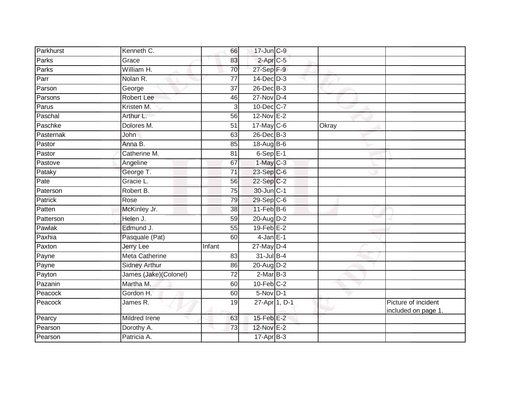| Parkhurst      | Kenneth C.            | 66              | 17-Jun C-9       |       |                                            |
|----------------|-----------------------|-----------------|------------------|-------|--------------------------------------------|
| Parks          | Grace                 | 83              | $2-AprC-5$       |       |                                            |
| Parks          | William H.            | 70              | 27-Sep F-9       |       |                                            |
| Parr           | Nolan R.              | 77              | $14$ -Dec $D-3$  |       |                                            |
| Parson         | George                | $\overline{37}$ | 26-Dec B-3       |       |                                            |
| Parsons        | Robert Lee            | 46              | 27-Nov D-4       |       |                                            |
| Parus          | Kristen M.            | 3               | 10-Dec C-7       |       |                                            |
| Paschal        | Arthur L.             | 56              | $12-Nov$ E-2     |       |                                            |
| Paschke        | Dolores M.            | 51              | $17$ -May $C$ -6 | Okray |                                            |
| Pasternak      | John                  | 63              | 26-Dec B-3       |       |                                            |
| Pastor         | Anna B.               | 85              | $18$ -AugB-6     |       |                                            |
| Pastor         | Catherine M.          | 81              | $6-SepE-1$       |       |                                            |
| Pastove        | Angeline              | 67              | $1-May$ C-3      |       |                                            |
| Pataky         | George T.             | 71              | 23-Sep C-6       |       |                                            |
| Pate           | Gracie L.             | 56              | 22-Sep C-2       |       |                                            |
| Paterson       | Robert B.             | $\overline{75}$ | 30-Jun C-1       |       |                                            |
| <b>Patrick</b> | Rose                  | 79              | 29-Sep C-6       |       |                                            |
| Patten         | McKinley Jr.          | 38              | $11-Feb$ B-6     |       |                                            |
| Patterson      | Helen J.              | 59              | 20-Aug D-2       |       |                                            |
| Pawlak         | Edmund J.             | 55              | $19$ -Feb $E-2$  |       |                                            |
| Paxhia         | Pasquale (Pat)        | 60              | $4$ -Jan $E-1$   |       |                                            |
| Paxton         | Jerry Lee             | Infant          | $27$ -May $D-4$  |       |                                            |
| Payne          | <b>Meta Catherine</b> | 83              | $31$ -Jul B-4    |       |                                            |
| Payne          | <b>Sidney Arthur</b>  | 86              | $20$ -Aug $D-2$  |       |                                            |
| Payton         | James (Jake)(Colonel) | 72              | $2-MarB-3$       |       |                                            |
| Pazanin        | Martha M.             | 60              | $10$ -Feb $C-2$  |       |                                            |
| Peacock        | Gordon H.             | 60              | $5-NovD-1$       |       |                                            |
| Peacock        | James R.              | 19              | 27-Apr 1, D-1    |       | Picture of incident<br>included on page 1. |
| Pearcy         | <b>Mildred Irene</b>  | 63              | $15$ -Feb $E-2$  |       |                                            |
| Pearson        | Dorothy A.            | 73              | 12-Nov E-2       |       |                                            |
| Pearson        | Patricia A.           |                 | $17$ -Apr $B$ -3 |       |                                            |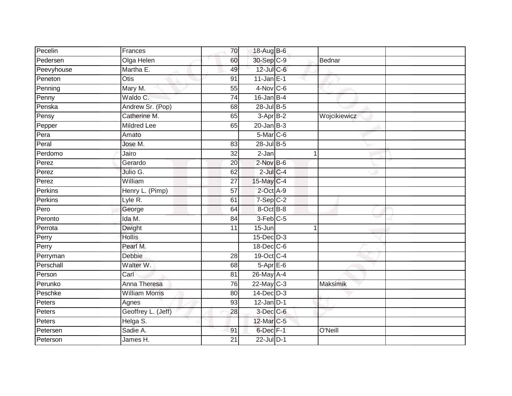| Pecelin    | Frances               | 70              | 18-Aug B-6        |              |  |
|------------|-----------------------|-----------------|-------------------|--------------|--|
| Pedersen   | Olga Helen            | 60              | 30-Sep C-9        | Bednar       |  |
| Peevyhouse | Martha E.             | 49              | 12-Jul C-6        |              |  |
| Peneton    | Otis                  | 91              | $11$ -Jan E-1     |              |  |
| Penning    | Mary M.               | 55              | $4-Nov$ C-6       |              |  |
| Penny      | Waldo C.              | $\overline{74}$ | $16$ -Jan $B-4$   |              |  |
| Penska     | Andrew Sr. (Pop)      | 68              | 28-Jul B-5        |              |  |
| Pensy      | Catherine M.          | 65              | 3-Apr B-2         | Wojcikiewicz |  |
| Pepper     | <b>Mildred Lee</b>    | 65              | $20$ -Jan B-3     |              |  |
| Pera       | Amato                 |                 | 5-Mar C-6         |              |  |
| Peral      | Jose M.               | 83              | 28-Jul B-5        |              |  |
| Perdomo    | Jairo                 | 32              | 2-Jan             | 1            |  |
| Perez      | Gerardo               | 20              | $2$ -Nov $B-6$    |              |  |
| Perez      | Julio G.              | 62              | $2$ -Jul $C-4$    |              |  |
| Perez      | William               | $\overline{27}$ | 15-May C-4        |              |  |
| Perkins    | Henry L. (Pimp)       | 57              | 2-Oct A-9         |              |  |
| Perkins    | Lyle R.               | 61              | $7-Sep C-2$       |              |  |
| Pero       | George                | 64              | 8-Oct B-8         |              |  |
| Peronto    | Ida M.                | 84              | $3-Feb$ $C-5$     |              |  |
| Perrota    | <b>Dwight</b>         | $\overline{11}$ | 15-Jun            | 1            |  |
| Perry      | <b>Hollis</b>         |                 | $15$ -Dec $D-3$   |              |  |
| Perry      | Pearl M.              |                 | 18-Dec C-6        |              |  |
| Perryman   | Debbie                | 28              | 19-Oct C-4        |              |  |
| Perschall  | Walter W.             | 68              | $5 -$ Apr $E - 6$ |              |  |
| Person     | Carl                  | 81              | $26$ -May A-4     |              |  |
| Perunko    | Anna Theresa          | 76              | $22$ -May C-3     | Maksimik     |  |
| Peschke    | <b>William Morris</b> | 80              | $14$ -Dec $D-3$   |              |  |
| Peters     | Agnes                 | 93              | $12$ -Jan D-1     |              |  |
| Peters     | Geoffrey L. (Jeff)    | 28              | $3$ -Dec $C$ -6   |              |  |
| Peters     | Helga S.              |                 | 12-Mar C-5        |              |  |
| Petersen   | Sadie A.              | 91              | 6-Dec F-1         | O'Neill      |  |
| Peterson   | James H.              | 21              | 22-Jul D-1        |              |  |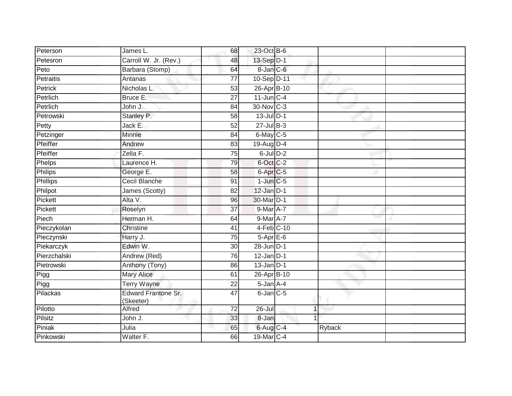| Peterson     | James L.                         | 68              | 23-Oct B-6           |               |  |
|--------------|----------------------------------|-----------------|----------------------|---------------|--|
| Petesron     | Carroll W. Jr. (Rev.)            | 48              | 13-Sep D-1           |               |  |
| Peto         | Barbara (Stomp)                  | 64              | 8-Jan C-6            |               |  |
| Petraitis    | Antanas                          | 77              | 10-Sep D-11          |               |  |
| Petrick      | Nicholas L.                      | $\overline{53}$ | 26-Apr B-10          |               |  |
| Petrlich     | Bruce E.                         | 27              | $11$ -Jun $C-4$      |               |  |
| Petrlich     | John J.                          | $\overline{84}$ | 30-Nov C-3           |               |  |
| Petrowski    | Stanley P.                       | 58              | $13$ -Jul $D-1$      |               |  |
| Petty        | Jack E.                          | 52              | $27 -$ Jul B-3       |               |  |
| Petzinger    | Minnie                           | 84              | $6$ -May $C$ -5      |               |  |
| Pfeiffer     | Andrew                           | 83              | 19-Aug D-4           |               |  |
| Pfeiffer     | Zella F.                         | 75              | $6$ -Jul $D-2$       |               |  |
| Phelps       | Laurence H.                      | 79              | 6-Oct C-2            |               |  |
| Philips      | George E.                        | 58              | 6-Apr <sub>C-5</sub> |               |  |
| Phillips     | <b>Cecil Blanche</b>             | 91              | $1$ -Jun $C$ -5      |               |  |
| Philpot      | James (Scotty)                   | 82              | $12$ -Jan $D-1$      |               |  |
| Pickett      | Alta V.                          | 96              | 30-Mar D-1           |               |  |
| Pickett      | Roselyn                          | 37              | $9$ -Mar $A$ -7      |               |  |
| Piech        | Herman H.                        | 64              | $9$ -Mar $A$ -7      |               |  |
| Pieczykolan  | Christine                        | 41              | 4-Feb C-10           |               |  |
| Pieczynski   | Harry J.                         | 75              | $5-AprE-6$           |               |  |
| Piekarczyk   | Edwin W.                         | $\overline{30}$ | 28-Jun D-1           |               |  |
| Pierzchalski | Andrew (Red)                     | 76              | $12$ -Jan D-1        |               |  |
| Pietrowski   | Anthony (Tony)                   | 86              | $13$ -Jan $D-1$      |               |  |
| Pigg         | <b>Mary Alice</b>                | 61              | 26-Apr B-10          |               |  |
| Pigg         | <b>Terry Wayne</b>               | 22              | $5 - Jan A - 4$      |               |  |
| Pilackas     | Edward Frantone Sr.<br>(Skeeter) | $\overline{47}$ | $6$ -Jan $C$ -5      |               |  |
| Pilotto      | Alfred                           | $\overline{72}$ | 26-Jul               | $\mathbf{1}$  |  |
| Pilsitz      | John J.                          | 33              | 8-Jan                |               |  |
| Piniak       | Julia                            | 65              | $6$ -Aug $C$ -4      | <b>Ryback</b> |  |
| Pinkowski    | Walter F.                        | 66              | 19-Mar C-4           |               |  |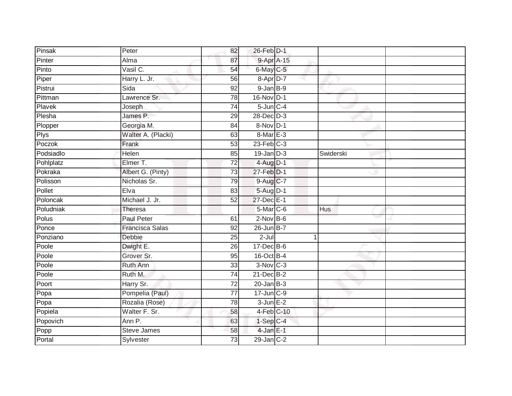| Pinsak      | Peter                  | 82              | 26-Feb D-1       |            |            |  |
|-------------|------------------------|-----------------|------------------|------------|------------|--|
| Pinter      | Alma                   | 87              |                  | 9-Apr A-15 |            |  |
| Pinto       | Vasil C.               | 54              | 6-May C-5        |            |            |  |
| Piper       | Harry L. Jr.           | 56              | $8 - Apr$ $D-7$  |            |            |  |
| Pistrui     | Sida                   | $\overline{92}$ | $9$ -Jan $B-9$   |            |            |  |
| Pittman     | Lawrence Sr.           | 78              | 16-Nov D-1       |            |            |  |
| Plavek      | Joseph                 | 74              | $5$ -Jun $C-4$   |            |            |  |
| Plesha      | James P.               | 29              | 28-Dec D-3       |            |            |  |
| Plopper     | Georgia M.             | 84              | 8-Nov D-1        |            |            |  |
| <b>Plys</b> | Walter A. (Placki)     | 63              | $8-MarE-3$       |            |            |  |
| Poczok      | Frank                  | 53              | $23$ -Feb $C-3$  |            |            |  |
| Podsiadlo   | Helen                  | 85              | $19$ -Jan $D-3$  |            | Swiderski  |  |
| Pohlplatz   | Elmer T.               | $\overline{72}$ | $4 - Aug$ $D-1$  |            |            |  |
| Pokraka     | Albert G. (Pinty)      | 73              | 27-Feb D-1       |            |            |  |
| Polisson    | Nicholas Sr.           | 79              | 9-Aug C-7        |            |            |  |
| Pollet      | Elva                   | 83              | 5-Aug D-1        |            |            |  |
| Poloncak    | Michael J. Jr.         | 52              | 27-Dec E-1       |            |            |  |
| Poludniak   | Theresa                |                 | $5$ -Mar $C$ -6  |            | <b>Hus</b> |  |
| Polus       | <b>Paul Peter</b>      | 61              | $2$ -Nov $B-6$   |            |            |  |
| Ponce       | <b>Francisca Salas</b> | $\overline{92}$ | $26$ -Jun $B-7$  |            |            |  |
| Ponziano    | Debbie                 | 25              | $2$ -Jul         |            |            |  |
| Poole       | Dwight E.              | 26              | 17-Dec B-6       |            |            |  |
| Poole       | Grover Sr.             | 95              | 16-Oct B-4       |            |            |  |
| Poole       | Ruth Ann               | 33              | $3-Nov$ $C-3$    |            |            |  |
| Poole       | Ruth M.                | 74              | $21$ -Dec $B-2$  |            |            |  |
| Poort       | Harry Sr.              | $\overline{72}$ | $20$ -Jan $B-3$  |            |            |  |
| Popa        | Pompelia (Paul)        | $\overline{77}$ | 17-Jun C-9       |            |            |  |
| Popa        | Rozalia (Rose)         | 78              | $3$ -Jun $E-2$   |            |            |  |
| Popiela     | Walter F. Sr.          | 58              | 4-Feb C-10       |            |            |  |
| Popovich    | Ann P.                 | 63              | $1$ -Sep $ C-4 $ |            |            |  |
| Popp        | <b>Steve James</b>     | 58              | $4$ -Jan E-1     |            |            |  |
| Portal      | Sylvester              | 73              | $29$ -Jan $C-2$  |            |            |  |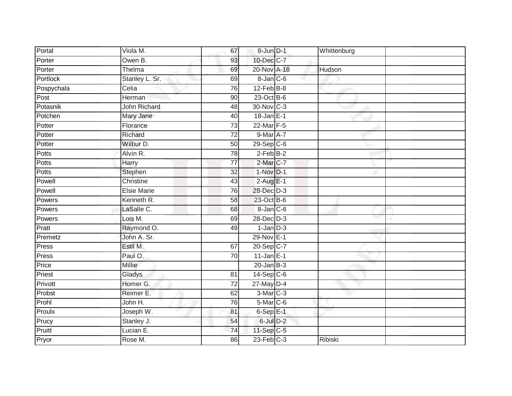| Portal     | Viola M.           | 67              | 8-Jun D-1               | Whittenburg |  |
|------------|--------------------|-----------------|-------------------------|-------------|--|
| Porter     | Owen B.            | 93              | 10-Dec C-7              |             |  |
| Porter     | Thelma             | 69              | 20-Nov A-18             | Hudson      |  |
| Portlock   | Stanley L. Sr.     | 69              | $8$ -Jan $C$ -6         |             |  |
| Pospychala | Celia              | 76              | $12$ -Feb $B$ -8        |             |  |
| Post       | Herman             | 90              | 23-Oct B-6              |             |  |
| Potasnik   | John Richard       | 48              | 30-Nov C-3              |             |  |
| Potchen    | Mary Jane          | 40              | 18-Jan E-1              |             |  |
| Potter     | Florance           | $\overline{73}$ | 22-Mar F-5              |             |  |
| Potter     | Richard            | $\overline{72}$ | 9-Mar A-7               |             |  |
| Potter     | Wilbur D.          | 50              | $29-Sep$ <sub>C-6</sub> |             |  |
| Potts      | Alvin R.           | 78              | $2$ -Feb $B-2$          |             |  |
| Potts      | Harry              | 77              | $2$ -Mar $C$ -7         |             |  |
| Potts      | Stephen            | $\overline{32}$ | $1-Nov$ D-1             |             |  |
| Powell     | Christine          | 43              | $2-AugE-1$              |             |  |
| Powell     | <b>Elsie Marie</b> | 76              | 28-Dec D-3              |             |  |
| Powers     | Kenneth R.         | 58              | 23-Oct B-6              |             |  |
| Powers     | LaSalle C.         | 68              | $8$ -Jan $C$ -6         |             |  |
| Powers     | Lois M.            | 69              | 28-Dec D-3              |             |  |
| Pratt      | Raymond O.         | 49              | $1-Jan$ $D-3$           |             |  |
| Premetz    | John A. Sr.        |                 | 29-Nov E-1              |             |  |
| Press      | Estil M.           | 67              | 20-Sep C-7              |             |  |
| Press      | Paul O.            | 70              | $11$ -Jan E-1           |             |  |
| Price      | <b>Millie</b>      |                 | $20$ -Jan $B-3$         |             |  |
| Priest     | Gladys             | 81              | $14-Sep$ C-6            |             |  |
| Privott    | Homer G.           | $\overline{72}$ | $27$ -May $D-4$         |             |  |
| Probst     | Reimer E.          | 62              | 3-Mar C-3               |             |  |
| Prohl      | John H.            | 76              | $5-Mar$ C-6             |             |  |
| Proulx     | Joseph W.          | 81              | $6-Sep$ E-1             |             |  |
| Prucy      | Stanley J.         | 54              | 6-Jul D-2               |             |  |
| Pruitt     | Lucian E.          | 74              | $11-Sep$ C-5            |             |  |
| Pryor      | Rose M.            | 86              | $23$ -Feb $C-3$         | Ribiski     |  |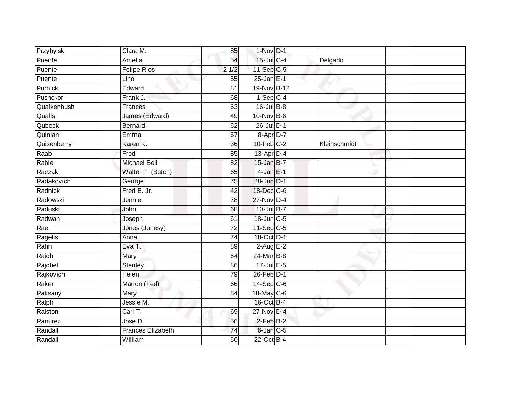| Przybylski  | Clara M.                 | 85              | 1-Nov D-1       |              |  |
|-------------|--------------------------|-----------------|-----------------|--------------|--|
| Puente      | Amelia                   | 54              | $15$ -Jul $C-4$ | Delgado      |  |
| Puente      | <b>Felipe Rios</b>       | 21/2            | $11-Sep$ C-5    |              |  |
| Puente      | Lino                     | 55              | $25$ -Jan $E-1$ |              |  |
| Purnick     | Edward                   | $\overline{81}$ | 19-Nov B-12     |              |  |
| Pushckor    | Frank J.                 | 68              | $1-Sep$ C-4     |              |  |
| Qualkenbush | Frances                  | 63              | $16$ -Jul $B-8$ |              |  |
| Qualls      | James (Edward)           | 49              | $10$ -Nov $B-6$ |              |  |
| Qubeck      | <b>Bernard</b>           | 62              | 26-Jul D-1      |              |  |
| Quinlan     | Emma                     | 67              | 8-Apr D-7       |              |  |
| Quisenberry | Karen K.                 | 36              | $10$ -Feb $C-2$ | Kleinschmidt |  |
| Raab        | Fred                     | 85              | $13$ -Apr $D-4$ |              |  |
| Rabie       | <b>Michael Bell</b>      | 82              | $15$ -Jan B-7   |              |  |
| Raczak      | Walter F. (Butch)        | 65              | $4$ -Jan $E-1$  |              |  |
| Radakovich  | George                   | 75              | 28-Jun D-1      |              |  |
| Radnick     | Fred E. Jr.              | $\overline{42}$ | 18-Dec C-6      |              |  |
| Radowski    | Jennie                   | 78              | 27-Nov D-4      |              |  |
| Raduski     | John                     | 68              | 10-Jul B-7      |              |  |
| Radwan      | Joseph                   | 61              | 18-Jun C-5      |              |  |
| Rae         | Jones (Jonesy)           | $\overline{72}$ | $11-Sep C-5$    |              |  |
| Ragelis     | Anna                     | 74              | 18-Oct D-1      |              |  |
| Rahn        | Eva T.                   | 89              | $2$ -Aug E-2    |              |  |
| Raich       | Mary                     | 64              | $24$ -Mar $B-8$ |              |  |
| Rajchel     | <b>Stanley</b>           | 86              | $17 -$ Jul E-5  |              |  |
| Rajkovich   | Helen                    | 79              | 26-Feb D-1      |              |  |
| Raker       | Marion (Ted)             | 66              | $14-Sep C-6$    |              |  |
| Raksanyi    | Mary                     | $\overline{84}$ | 18-May C-6      |              |  |
| Ralph       | Jessie M.                |                 | 16-Oct B-4      |              |  |
| Ralston     | Carl T.                  | 69              | 27-Nov D-4      |              |  |
| Ramirez     | Jose D.                  | 56              | $2$ -Feb $B-2$  |              |  |
| Randall     | <b>Frances Elizabeth</b> | 74              | 6-Jan C-5       |              |  |
| Randall     | William                  | 50              | 22-Oct B-4      |              |  |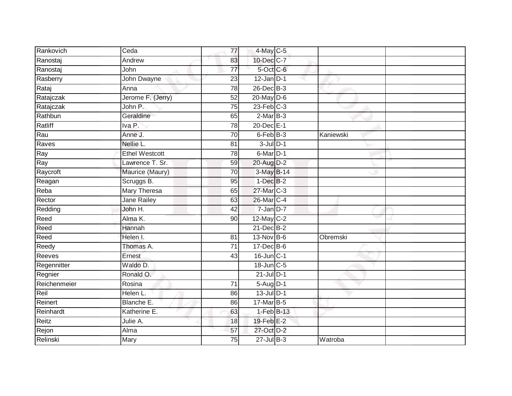| Rankovich    | Ceda                  | 77              | 4-May C-5         |           |  |
|--------------|-----------------------|-----------------|-------------------|-----------|--|
| Ranostaj     | Andrew                | 83              | 10-Dec C-7        |           |  |
| Ranostaj     | John                  | $\overline{77}$ | 5-Oct C-6         |           |  |
| Rasberry     | John Dwayne           | 23              | $12$ -Jan D-1     |           |  |
| Rataj        | Anna                  | 78              | $26$ -Dec $B-3$   |           |  |
| Ratajczak    | Jerome F. (Jerry)     | $\overline{52}$ | 20-May D-6        |           |  |
| Ratajczak    | John P.               | 75              | $23$ -Feb $C-3$   |           |  |
| Rathbun      | Geraldine             | 65              | $2-MarB-3$        |           |  |
| Ratliff      | Iva P.                | 78              | 20-Dec E-1        |           |  |
| Rau          | Anne J.               | 70              | 6-Feb B-3         | Kaniewski |  |
| Raves        | Nellie L.             | 81              | $3$ -Jul $D-1$    |           |  |
| Ray          | <b>Ethel Westcott</b> | 78              | 6-Mar D-1         |           |  |
| Ray          | Lawrence T. Sr.       | 59              | 20-Aug D-2        |           |  |
| Raycroft     | Maurice (Maury)       | 70              | 3-May B-14        |           |  |
| Reagan       | Scruggs B.            | 95              | $1-Dec$ B-2       |           |  |
| Reba         | <b>Mary Theresa</b>   | 65              | 27-Mar C-3        |           |  |
| Rector       | Jane Railey           | 63              | 26-Mar C-4        |           |  |
| Redding      | John H.               | 42              | $7 - Jan$ $D-7$   |           |  |
| Reed         | Alma K.               | 90              | 12-May C-2        |           |  |
| Reed         | Hannah                |                 | $21$ -Dec $B-2$   |           |  |
| Reed         | Helen I.              | 81              | 13-Nov B-6        | Obremski  |  |
| Reedy        | Thomas A.             | $\overline{71}$ | 17-Dec B-6        |           |  |
| Reeves       | Ernest                | 43              | $16$ -Jun $C-1$   |           |  |
| Regennitter  | Waldo D.              |                 | $18$ -Jun $C - 5$ |           |  |
| Regnier      | Ronald O.             |                 | $21$ -Jul $D-1$   |           |  |
| Reichenmeier | Rosina                | $\overline{71}$ | $5-Aug D-1$       |           |  |
| Reil         | Helen L.              | 86              | 13-Jul D-1        |           |  |
| Reinert      | Blanche E.            | 86              | 17-Mar B-5        |           |  |
| Reinhardt    | Katherine E.          | 63              | $1-FebB-13$       |           |  |
| Reitz        | Julie A.              | 18              | 19-Feb E-2        |           |  |
| Rejon        | Alma                  | 57              | 27-Oct D-2        |           |  |
| Relinski     | Mary                  | 75              | $27 -$ Jul B-3    | Watroba   |  |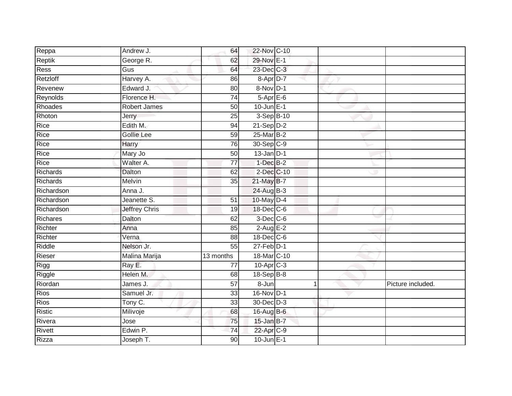| Reppa           | Andrew J.            | 64              | 22-Nov C-10             |   |                   |
|-----------------|----------------------|-----------------|-------------------------|---|-------------------|
| Reptik          | George R.            | 62              | 29-Nov E-1              |   |                   |
| Ress            | Gus                  | 64              | 23-Dec C-3              |   |                   |
| Retzloff        | Harvey A.            | 86              | 8-Apr D-7               |   |                   |
| Revenew         | Edward J.            | $\overline{80}$ | 8-Nov D-1               |   |                   |
| Reynolds        | Florence H.          | 74              | $5-AprE-6$              |   |                   |
| Rhoades         | <b>Robert James</b>  | 50              | $10$ -Jun $E-1$         |   |                   |
| Rhoton          | Jerry                | 25              | 3-Sep B-10              |   |                   |
| Rice            | Edith M.             | 94              | $21-Sep$ D-2            |   |                   |
| Rice            | <b>Gollie Lee</b>    | 59              | 25-Mar B-2              |   |                   |
| Rice            | Harry                | 76              | 30-Sep C-9              |   |                   |
| Rice            | Mary Jo              | 50              | $13$ -Jan $D-1$         |   |                   |
| Rice            | Walter A.            | 77              | $1$ -Dec $B-2$          |   |                   |
| Richards        | Dalton               | 62              | 2-Dec C-10              |   |                   |
| Richards        | Melvin               | 35              | 21-May B-7              |   |                   |
| Richardson      | Anna J.              |                 | 24-Aug B-3              |   |                   |
| Richardson      | Jeanette S.          | 51              | 10-May D-4              |   |                   |
| Richardson      | <b>Jeffrey Chris</b> | 19              | 18-Dec C-6              |   |                   |
| <b>Richares</b> | Dalton               | 62              | $3$ -Dec $C$ -6         |   |                   |
| Richter         | Anna                 | 85              | $2$ -Aug E-2            |   |                   |
| Richter         | Verna                | 88              | 18-Dec C-6              |   |                   |
| Riddle          | Nelson Jr.           | $\overline{55}$ | $27$ -Feb $D-1$         |   |                   |
| Rieser          | Malina Marija        | 13 months       | 18-Mar C-10             |   |                   |
| Rigg            | Ray E.               | 77              | $10-Apr$ <sub>C-3</sub> |   |                   |
| Riggle          | Helen M.             | 68              | $18-Sep B-8$            |   |                   |
| Riordan         | James J.             | 57              | $8 - Jun$               | 1 | Picture included. |
| <b>Rios</b>     | Samuel Jr.           | $\overline{33}$ | 16-Nov D-1              |   |                   |
| <b>Rios</b>     | Tony C.              | 33              | 30-Dec D-3              |   |                   |
| Ristic          | Milivoje             | 68              | 16-Aug B-6              |   |                   |
| Rivera          | Jose                 | 75              | 15-Jan B-7              |   |                   |
| Rivett          | Edwin P.             | $\overline{74}$ | 22-Apr C-9              |   |                   |
| <b>Rizza</b>    | Joseph T.            | $\overline{90}$ | $10$ -Jun $E-1$         |   |                   |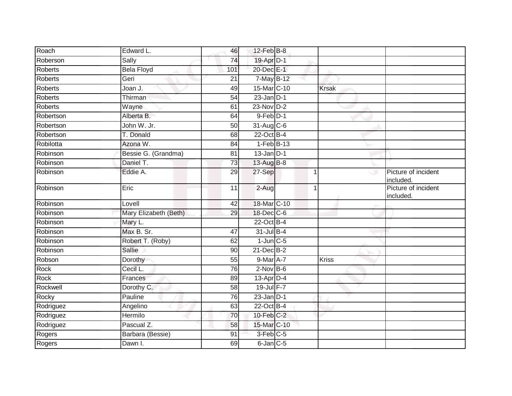| 19-Apr D-1<br>Roberson<br>Sally                                |                                  |
|----------------------------------------------------------------|----------------------------------|
| 74                                                             |                                  |
| <b>Bela Floyd</b><br>20-Dec E-1<br><b>Roberts</b><br>101       |                                  |
| 7-May B-12<br><b>Roberts</b><br>Geri<br>21                     |                                  |
| <b>Roberts</b><br>15-Mar C-10<br>Joan J.<br>49<br><b>Krsak</b> |                                  |
| <b>Roberts</b><br>Thirman<br>$23$ -Jan $D-1$<br>54             |                                  |
| 23-Nov D-2<br><b>Roberts</b><br>61<br>Wayne                    |                                  |
| $9$ -Feb $D-1$<br>Robertson<br>Alberta B.<br>64                |                                  |
| John W. Jr.<br>31-Aug C-6<br>Robertson<br>50                   |                                  |
| 22-Oct B-4<br>T. Donald<br>Robertson<br>68                     |                                  |
| Robilotta<br>Azona W.<br>$1-FebB-13$<br>84                     |                                  |
| Robinson<br>$13$ -Jan $D-1$<br>Bessie G. (Grandma)<br>81       |                                  |
| Robinson<br>Daniel T.<br>13-Aug B-8<br>73                      |                                  |
| Robinson<br>Eddie A.<br>27-Sep<br>29                           | Picture of incident<br>included. |
| Eric<br>Robinson<br>$\overline{11}$<br>2-Aug<br>$\overline{ }$ | Picture of incident<br>included. |
| 18-Mar C-10<br>Robinson<br>Lovell<br>42                        |                                  |
| 18-Dec C-6<br>Robinson<br>Mary Elizabeth (Beth)<br>29          |                                  |
| Robinson<br>$22$ -Oct B-4<br>Mary L.                           |                                  |
| Max B. Sr.<br>31-Jul B-4<br>Robinson<br>47                     |                                  |
| $1$ -Jun $C$ -5<br>Robinson<br>Robert T. (Roby)<br>62          |                                  |
| Robinson<br>21-Dec B-2<br>Sallie<br>90                         |                                  |
| 9-Mar A-7<br>Robson<br>55<br>Kriss<br>Dorothy                  |                                  |
| Rock<br>Cecil L.<br>$2$ -Nov $B-6$<br>76                       |                                  |
| Rock<br>$13$ -Apr $D-4$<br>Frances<br>89                       |                                  |
| Rockwell<br>19-Jul F-7<br>Dorothy C.<br>58                     |                                  |
| $23$ -Jan D-1<br>Rocky<br>Pauline<br>76                        |                                  |
| 22-Oct B-4<br>Rodriguez<br>Angelino<br>63                      |                                  |
| Rodriguez<br>Hermilo<br>10-Feb C-2<br>70                       |                                  |
| Pascual Z.<br>15-Mar C-10<br>Rodriguez<br>58                   |                                  |
| 3-Feb C-5<br>Rogers<br>Barbara (Bessie)<br>91                  |                                  |
| Rogers<br>Dawn I.<br>$6$ -Jan $C$ -5<br>69                     |                                  |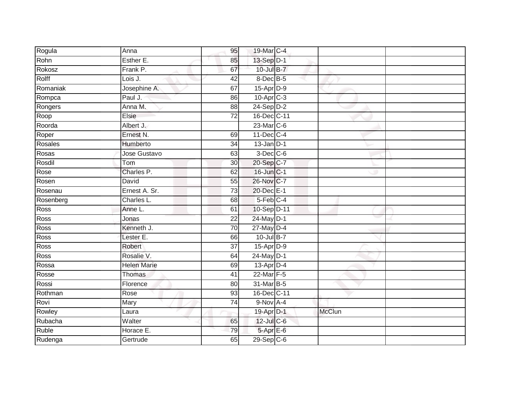| Rogula      | Anna               | 95              | 19-Mar C-4              |               |  |
|-------------|--------------------|-----------------|-------------------------|---------------|--|
| Rohn        | Esther E.          | 85              | 13-Sep D-1              |               |  |
| Rokosz      | Frank P.           | 67              | 10-Jul B-7              |               |  |
| Rolff       | Lois J.            | 42              | 8-Dec B-5               |               |  |
| Romaniak    | Josephine A.       | 67              | 15-Apr D-9              |               |  |
| Rompca      | Paul J.            | 86              | $10-Apr$ <sub>C-3</sub> |               |  |
| Rongers     | Anna M.            | 88              | 24-Sep D-2              |               |  |
| Roop        | Elsie              | 72              | 16-Dec C-11             |               |  |
| Roorda      | Albert J.          |                 | 23-Mar C-6              |               |  |
| Roper       | Ernest N.          | 69              | $11$ -Dec $C-4$         |               |  |
| Rosales     | Humberto           | 34              | $13$ -Jan D-1           |               |  |
| Rosas       | Jose Gustavo       | 63              | $3$ -Dec $C$ -6         |               |  |
| Rosdil      | Tom                | 30              | 20-Sep C-7              |               |  |
| Rose        | Charles P.         | 62              | 16-Jun C-1              |               |  |
| Rosen       | David              | 55              | 26-Nov C-7              |               |  |
| Rosenau     | Ernest A. Sr.      | 73              | 20-Dec E-1              |               |  |
| Rosenberg   | Charles L.         | 68              | 5-Feb C-4               |               |  |
| Ross        | Anne L.            | 61              | 10-Sep D-11             |               |  |
| Ross        | Jonas              | $\overline{22}$ | 24-May D-1              |               |  |
| <b>Ross</b> | Kenneth J.         | 70              | $27$ -May $D-4$         |               |  |
| Ross        | Lester E.          | 66              | 10-Jul B-7              |               |  |
| <b>Ross</b> | Robert             | $\overline{37}$ | 15-Apr D-9              |               |  |
| Ross        | Rosalie V.         | 64              | 24-May D-1              |               |  |
| Rossa       | <b>Helen Marie</b> | 69              | 13-Apr D-4              |               |  |
| Rosse       | Thomas             | 41              | 22-Mar F-5              |               |  |
| Rossi       | Florence           | 80              | 31-Mar B-5              |               |  |
| Rothman     | Rose               | 93              | 16-Dec C-11             |               |  |
| Rovi        | Mary               | 74              | $9-Nov$ A-4             |               |  |
| Rowley      | Laura              |                 | 19-Apr D-1              | <b>McClun</b> |  |
| Rubacha     | Walter             | 65              | 12-Jul C-6              |               |  |
| Ruble       | Horace E.          | 79              | 5-Apr E-6               |               |  |
| Rudenga     | Gertrude           | 65              | $29-Sep$ <sub>C-6</sub> |               |  |
|             |                    |                 |                         |               |  |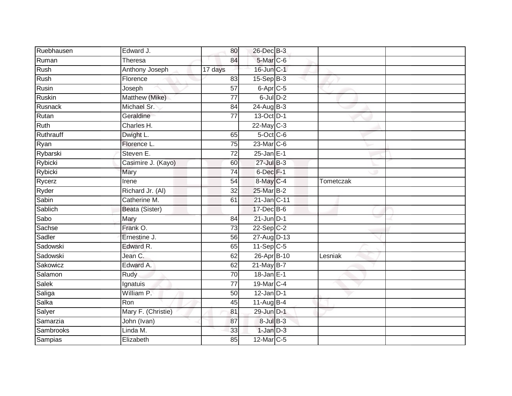| Ruebhausen | Edward J.             | 80              | 26-Dec B-3      |           |  |
|------------|-----------------------|-----------------|-----------------|-----------|--|
| Ruman      | <b>Theresa</b>        | 84              | 5-Mar C-6       |           |  |
| Rush       | <b>Anthony Joseph</b> | 17 days         | 16-Jun C-1      |           |  |
| Rush       | Florence              | 83              | $15-Sep B-3$    |           |  |
| Rusin      | Joseph                | $\overline{57}$ | $6$ -Apr $C$ -5 |           |  |
| Ruskin     | Matthew (Mike)        | 77              | $6$ -Jul $D-2$  |           |  |
| Rusnack    | Michael Sr.           | 84              | $24$ -Aug $B-3$ |           |  |
| Rutan      | Geraldine             | $\overline{77}$ | 13-Oct D-1      |           |  |
| Ruth       | Charles H.            |                 | $22$ -May C-3   |           |  |
| Ruthrauff  | Dwight L.             | 65              | 5-Oct C-6       |           |  |
| Ryan       | Florence L.           | 75              | 23-Mar C-6      |           |  |
| Rybarski   | Steven E.             | 72              | $25$ -Jan E-1   |           |  |
| Rybicki    | Casimire J. (Kayo)    | 60              | $27$ -Jul B-3   |           |  |
| Rybicki    | Mary                  | 74              | 6-Dec F-1       |           |  |
| Rycerz     | Irene                 | 54              | 8-May C-4       | Tometczak |  |
| Ryder      | Richard Jr. (Al)      | 32              | 25-Mar B-2      |           |  |
| Sabin      | Catherine M.          | 61              | 21-Jan C-11     |           |  |
| Sablich    | Beata (Sister)        |                 | 17-Dec B-6      |           |  |
| Sabo       | Mary                  | 84              | $21$ -Jun $D-1$ |           |  |
| Sachse     | Frank O.              | $\overline{73}$ | $22-Sep$ C-2    |           |  |
| Sadler     | Ernestine J.          | 56              | 27-Aug D-13     |           |  |
| Sadowski   | Edward R.             | 65              | $11-Sep$ C-5    |           |  |
| Sadowski   | Jean C.               | 62              | 26-Apr B-10     | Lesniak   |  |
| Sakowicz   | Edward A.             | 62              | 21-May B-7      |           |  |
| Salamon    | Rudy                  | 70              | $18$ -Jan E-1   |           |  |
| Salek      | Ignatuis              | 77              | 19-Mar C-4      |           |  |
| Saliga     | William P.            | 50              | $12$ -Jan $D-1$ |           |  |
| Salka      | Ron                   | 45              | 11-Aug $B-4$    |           |  |
| Salyer     | Mary F. (Christie)    | 81              | 29-Jun D-1      |           |  |
| Samarzia   | John (Ivan)           | 87              | $8$ -Jul $B$ -3 |           |  |
| Sambrooks  | Linda M.              | 33              | $1$ -Jan $D-3$  |           |  |
| Sampias    | Elizabeth             | 85              | 12-Mar C-5      |           |  |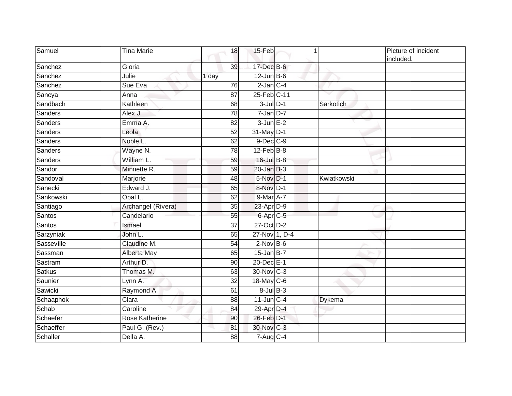| Samuel         | <b>Tina Marie</b>  | 18              | 15-Feb                |             | Picture of incident<br>included. |
|----------------|--------------------|-----------------|-----------------------|-------------|----------------------------------|
| Sanchez        | Gloria             | 39              | 17-Dec B-6            |             |                                  |
| Sanchez        | Julie              | 1 day           | $12$ -Jun B-6         |             |                                  |
| Sanchez        | Sue Eva            | 76              | $2$ -Jan $C-4$        |             |                                  |
| Sancya         | Anna               | 87              | 25-Feb C-11           |             |                                  |
| Sandbach       | Kathleen           | 68              | $3$ -Jul $D-1$        | Sarkotich   |                                  |
| Sanders        | Alex J.            | 78              | $7$ -Jan $D-7$        |             |                                  |
| <b>Sanders</b> | Emma A.            | 82              | $3$ -Jun $E-2$        |             |                                  |
| <b>Sanders</b> | Leola              | $\overline{52}$ | 31-May D-1            |             |                                  |
| Sanders        | Noble L.           | 62              | 9-Dec C-9             |             |                                  |
| Sanders        | Wayne N.           | 78              | $12$ -Feb $B$ -8      |             |                                  |
| Sanders        | William L.         | 59              | 16-Jul B-8            |             |                                  |
| Sandor         | Minnette R.        | 59              | $20$ -Jan $B-3$       |             |                                  |
| Sandoval       | Marjorie           | 48              | 5-Nov D-1             | Kwiatkowski |                                  |
| Sanecki        | Edward J.          | 65              | 8-Nov D-1             |             |                                  |
| Sankowski      | Opal L.            | 62              | $9$ -Mar $A$ -7       |             |                                  |
| Santiago       | Archangel (Rivera) | 35              | 23-Apr D-9            |             |                                  |
| Santos         | Candelario         | 55              | 6-Apr <sub>IC-5</sub> |             |                                  |
| Santos         | Ismael             | 37              | 27-Oct D-2            |             |                                  |
| Sarzyniak      | John L.            | 65              | 27-Nov 1, D-4         |             |                                  |
| Sasseville     | Claudine M.        | 54              | $2$ -Nov $B-6$        |             |                                  |
| Sassman        | Alberta May        | 65              | $15$ -Jan B-7         |             |                                  |
| Sastram        | Arthur D.          | 90              | 20-Dec E-1            |             |                                  |
| <b>Satkus</b>  | Thomas M.          | 63              | 30-Nov C-3            |             |                                  |
| Saunier        | Lynn A.            | $\overline{32}$ | 18-May C-6            |             |                                  |
| Sawicki        | Raymond A.         | 61              | $8$ -Jul $B$ -3       |             |                                  |
| Schaaphok      | Clara              | 88              | $11$ -Jun $C-4$       | Dykema      |                                  |
| Schab          | Caroline           | 84              | 29-Apr D-4            |             |                                  |
| Schaefer       | Rose Katherine     | 90              | 26-Feb D-1            |             |                                  |
| Schaeffer      | Paul G. (Rev.)     | 81              | 30-Nov C-3            |             |                                  |
| Schaller       | Della A.           | 88              | 7-Aug C-4             |             |                                  |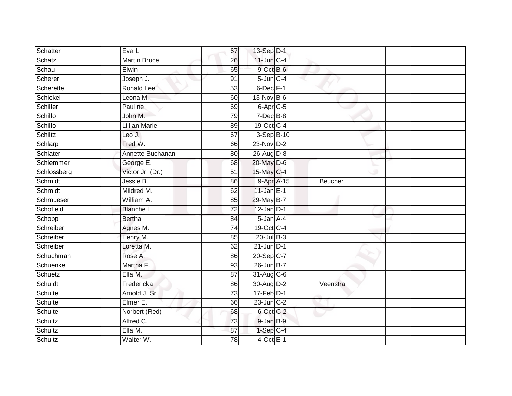| Schatter    | Eva L.               | 67              | 13-Sep D-1                   |          |  |
|-------------|----------------------|-----------------|------------------------------|----------|--|
| Schatz      | <b>Martin Bruce</b>  | 26              | $11$ -Jun $C-4$              |          |  |
| Schau       | Elwin                | 65              | 9-Oct B-6                    |          |  |
| Scherer     | Joseph J.            | 91              | $5$ -Jun $C-4$               |          |  |
| Scherette   | Ronald Lee           | 53              | $6$ -Dec $F-1$               |          |  |
| Schickel    | Leona M.             | 60              | 13-Nov B-6                   |          |  |
| Schiller    | Pauline              | 69              | $6 - \overline{Apr}$ $C - 5$ |          |  |
| Schillo     | John M.              | 79              | $7$ -Dec $B$ -8              |          |  |
| Schillo     | <b>Lillian Marie</b> | 89              | 19-Oct C-4                   |          |  |
| Schiltz     | Leo J.               | 67              | $3-SepB-10$                  |          |  |
| Schlarp     | Fred W.              | 66              | $23-Nov$ D-2                 |          |  |
| Schlater    | Annette Buchanan     | 80              | 26-Aug D-8                   |          |  |
| Schlemmer   | George E.            | 68              | $20$ -May $D-6$              |          |  |
| Schlossberg | Victor Jr. (Dr.)     | $\overline{51}$ | 15-May C-4                   |          |  |
| Schmidt     | Jessie B.            | 86              | 9-Apr A-15                   | Beucher  |  |
| Schmidt     | Mildred M.           | 62              | $11$ -Jan $E-1$              |          |  |
| Schmueser   | William A.           | 85              | 29-May B-7                   |          |  |
| Schofield   | Blanche L.           | 72              | $12$ -Jan $D-1$              |          |  |
| Schopp      | <b>Bertha</b>        | 84              | 5-Jan A-4                    |          |  |
| Schreiber   | Agnes M.             | $\overline{74}$ | 19-Oct C-4                   |          |  |
| Schreiber   | Henry M.             | 85              | $20$ -Jul B-3                |          |  |
| Schreiber   | Loretta M.           | 62              | $21$ -Jun $D-1$              |          |  |
| Schuchman   | Rose A.              | 86              | 20-Sep C-7                   |          |  |
| Schuenke    | Martha F.            | 93              | 26-Jun B-7                   |          |  |
| Schuetz     | Ella M.              | 87              | 31-Aug C-6                   |          |  |
| Schuldt     | Fredericka           | 86              | 30-Aug D-2                   | Veenstra |  |
| Schulte     | Arnold J. Sr.        | 73              | $17-Feb$ D-1                 |          |  |
| Schulte     | Elmer E.             | 66              | $23$ -Jun $C-2$              |          |  |
| Schulte     | Norbert (Red)        | 68              | 6-Oct C-2                    |          |  |
| Schultz     | Alfred C.            | 73              | 9-Jan B-9                    |          |  |
| Schultz     | Ella M.              | 87              | $1-Sep$ C-4                  |          |  |
| Schultz     | Walter W.            | 78              | $4$ -Oct E-1                 |          |  |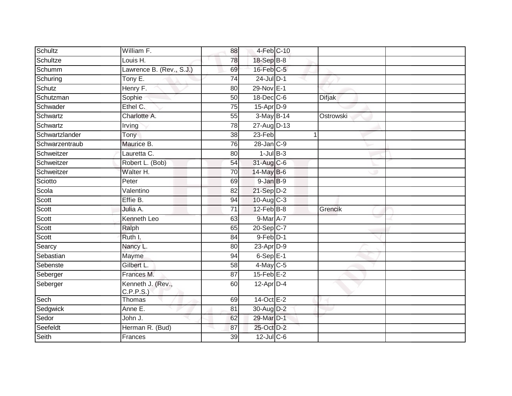| Schultz        | William F.                     | 88              | 4-Feb C-10                |               |  |
|----------------|--------------------------------|-----------------|---------------------------|---------------|--|
| Schultze       | Louis H.                       | 78              | 18-Sep B-8                |               |  |
| Schumm         | Lawrence B. (Rev., S.J.)       | 69              | 16-Feb C-5                |               |  |
| Schuring       | Tony E.                        | 74              | $24$ -Jul $D-1$           |               |  |
| Schutz         | Henry F.                       | $\overline{80}$ | 29-Nov E-1                |               |  |
| Schutzman      | Sophie                         | 50              | 18-Dec C-6                | <b>Difjak</b> |  |
| Schwader       | Ethel C.                       | 75              | $15$ -Apr $D-9$           |               |  |
| Schwartz       | Charlotte A.                   | 55              | $3-May$ $B-14$            | Ostrowski     |  |
| Schwartz       | Irving                         | 78              | 27-Aug D-13               |               |  |
| Schwartzlander | Tony                           | $\overline{38}$ | $23-Feb$                  |               |  |
| Schwarzentraub | Maurice B.                     | 76              | $28 - Jan$ <sub>C-9</sub> |               |  |
| Schweitzer     | Lauretta C.                    | 80              | $1$ -Jul $B-3$            |               |  |
| Schweitzer     | Robert L. (Bob)                | 54              | 31-Aug C-6                |               |  |
| Schweitzer     | Walter H.                      | 70              | 14-May B-6                |               |  |
| Sciotto        | Peter                          | 69              | $9$ -Jan $B$ -9           |               |  |
| Scola          | Valentino                      | 82              | 21-Sep D-2                |               |  |
| Scott          | Effie B.                       | 94              | $10-Aug$ $C-3$            |               |  |
| Scott          | Julia A.                       | 71              | $12$ -Feb $B$ -8          | Grencik       |  |
| Scott          | Kenneth Leo                    | 63              | 9-Mar A-7                 |               |  |
| Scott          | Ralph                          | 65              | 20-Sep C-7                |               |  |
| Scott          | Ruth I.                        | 84              | $9-Feb$ $D-1$             |               |  |
| Searcy         | Nancy L.                       | 80              | $23$ -Apr $D-9$           |               |  |
| Sebastian      | Mayme                          | 94              | $6-SepE-1$                |               |  |
| Sebenste       | Gilbert L.                     | 58              | $4$ -May C-5              |               |  |
| Seberger       | Frances M.                     | 87              | $15$ -Feb $E-2$           |               |  |
| Seberger       | Kenneth J. (Rev.,<br>C.P.P.S.) | 60              | $12$ -Apr $D-4$           |               |  |
| Sech           | Thomas                         | 69              | 14-Oct E-2                |               |  |
| Sedgwick       | Anne E.                        | 81              | 30-Aug D-2                |               |  |
| Sedor          | John J.                        | 62              | 29-Mar D-1                |               |  |
| Seefeldt       | Herman R. (Bud)                | 87              | 25-Oct D-2                |               |  |
| Seith          | Frances                        | 39              | $12$ -Jul C-6             |               |  |
|                |                                |                 |                           |               |  |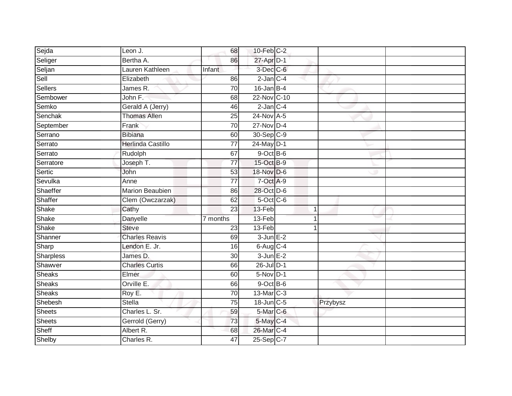| Sejda         | Leon J.                  | 68              | $10$ -Feb $C-2$ |   |          |  |
|---------------|--------------------------|-----------------|-----------------|---|----------|--|
| Seliger       | Bertha A.                | 86              | 27-Apr D-1      |   |          |  |
| Seljan        | Lauren Kathleen          | Infant          | 3-Dec C-6       |   |          |  |
| Sell          | Elizabeth                | 86              | $2$ -Jan $C-4$  |   |          |  |
| Sellers       | James R.                 | $\overline{70}$ | $16$ -Jan B-4   |   |          |  |
| Sembower      | John F.                  | 68              | 22-Nov C-10     |   |          |  |
| Semko         | Gerald A (Jerry)         | 46              | $2$ -Jan $C-4$  |   |          |  |
| Senchak       | <b>Thomas Allen</b>      | 25              | 24-Nov A-5      |   |          |  |
| September     | Frank                    | 70              | 27-Nov D-4      |   |          |  |
| Serrano       | <b>Bibiana</b>           | 60              | 30-Sep C-9      |   |          |  |
| Serrato       | <b>Herlinda Castillo</b> | 77              | 24-May D-1      |   |          |  |
| Serrato       | Rudolph                  | 67              | 9-Oct B-6       |   |          |  |
| Serratore     | Joseph T.                | 77              | 15-Oct B-9      |   |          |  |
| Sertic        | John                     | 53              | 18-Nov D-6      |   |          |  |
| Sevulka       | Anne                     | $\overline{77}$ | 7-Oct A-9       |   |          |  |
| Shaeffer      | Marion Beaubien          | 86              | 28-Oct D-6      |   |          |  |
| Shaffer       | Clem (Owczarzak)         | 62              | $5$ -Oct C-6    |   |          |  |
| Shake         | Cathy                    | 23              | 13-Feb          | 1 |          |  |
| Shake         | Danyelle                 | 7 months        | 13-Feb          |   |          |  |
| Shake         | <b>Steve</b>             | $\overline{23}$ | 13-Feb          |   |          |  |
| Shanner       | <b>Charles Reavis</b>    | 69              | $3$ -Jun $E-2$  |   |          |  |
| Sharp         | Lendon E. Jr.            | 16              | $6$ -Aug $C$ -4 |   |          |  |
| Sharpless     | James D.                 | $\overline{30}$ | $3$ -Jun $E-2$  |   |          |  |
| Shawver       | <b>Charles Curtis</b>    | 66              | 26-Jul D-1      |   |          |  |
| <b>Sheaks</b> | Elmer                    | 60              | $5-Nov$ D-1     |   |          |  |
| Sheaks        | Orville E.               | 66              | $9$ -Oct $B$ -6 |   |          |  |
| <b>Sheaks</b> | Roy E.                   | 70              | 13-Mar C-3      |   |          |  |
| Shebesh       | Stella                   | 75              | 18-Jun C-5      |   | Przybysz |  |
| <b>Sheets</b> | Charles L. Sr.           | 59              | 5-Mar C-6       |   |          |  |
| <b>Sheets</b> | Gerrold (Gerry)          | 73              | 5-May C-4       |   |          |  |
| Sheff         | Albert R.                | 68              | 26-Mar C-4      |   |          |  |
| Shelby        | Charles R.               | 47              | 25-Sep C-7      |   |          |  |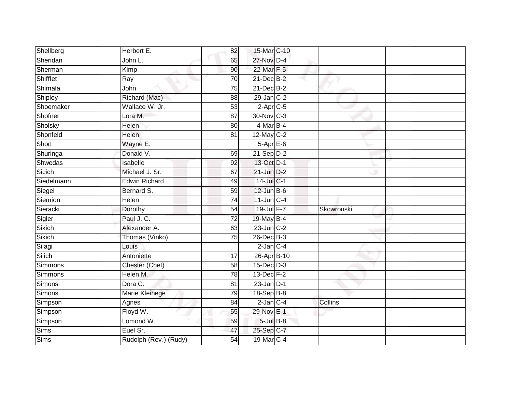| Shellberg  | Herbert E.            | 82              | 15-Mar C-10            |            |  |
|------------|-----------------------|-----------------|------------------------|------------|--|
| Sheridan   | John L.               | 65              | 27-Nov D-4             |            |  |
| Sherman    | Kimp                  | 90              | 22-Mar F-5             |            |  |
| Shifflet   | Ray                   | 70              | 21-Dec B-2             |            |  |
| Shimala    | John                  | $\overline{75}$ | $21$ -Dec $B-2$        |            |  |
| Shipley    | Richard (Mac)         | 88              | $29$ -Jan $C-2$        |            |  |
| Shoemaker  | Wallace W. Jr.        | 53              | $2-Apr$ <sub>C-5</sub> |            |  |
| Shofner    | Lora M.               | $\overline{87}$ | 30-Nov C-3             |            |  |
| Sholsky    | Helen                 | 80              | 4-Mar B-4              |            |  |
| Shonfeld   | <b>Helen</b>          | 81              | $12$ -May C-2          |            |  |
| Short      | Wayne E.              |                 | $5-AprE-6$             |            |  |
| Shuringa   | Donald V.             | 69              | $21-Sep D-2$           |            |  |
| Shwedas    | Isabelle              | 92              | 13-Oct D-1             |            |  |
| Sicich     | Michael J. Sr.        | 67              | $21$ -Jun $D-2$        |            |  |
| Siedelmann | <b>Edwin Richard</b>  | 49              | 14-Jul C-1             |            |  |
| Siegel     | Bernard S.            | 59              | $12$ -Jun B-6          |            |  |
| Siemion    | Helen                 | $\overline{74}$ | $11$ -Jun $C-4$        |            |  |
| Sieracki   | Dorothy               | 54              | 19-Jul F-7             | Skowronski |  |
| Sigler     | Paul J. C.            | $\overline{72}$ | 19-May B-4             |            |  |
| Sikich     | Alexander A.          | 63              | $23$ -Jun $C-2$        |            |  |
| Sikich     | Thomas (Vinko)        | 75              | $26$ -Dec $B-3$        |            |  |
| Silagi     | Louis                 |                 | $2$ -Jan $C-4$         |            |  |
| Silich     | Antoniette            | 17              | 26-Apr B-10            |            |  |
| Simmons    | Chester (Chet)        | 58              | $15$ -Dec $D-3$        |            |  |
| Simmons    | Helen M.              | 78              | 13-Dec F-2             |            |  |
| Simons     | Dora C.               | 81              | $23$ -Jan $D-1$        |            |  |
| Simons     | Marie Kleihege        | 79              | $18-Sep$ B-8           |            |  |
| Simpson    | Agnes                 | 84              | $2$ -Jan $C-4$         | Collins    |  |
| Simpson    | Floyd W.              | 55              | 29-Nov E-1             |            |  |
| Simpson    | Lomond W.             | 59              | $5$ -Jul $B$ -8        |            |  |
| Sims       | Euel Sr.              | 47              | 25-Sep C-7             |            |  |
| Sims       | Rudolph (Rev.) (Rudy) | $\overline{54}$ | 19-Mar C-4             |            |  |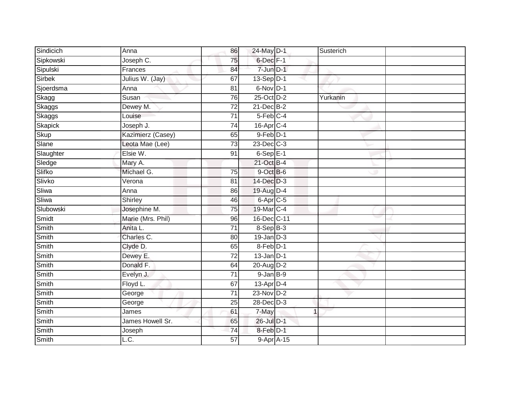| Sindicich | Anna                       | 86              | 24-May D-1             | Susterich      |  |
|-----------|----------------------------|-----------------|------------------------|----------------|--|
| Sipkowski | Joseph C.                  | 75              | 6-Dec F-1              |                |  |
| Sipulski  | Frances                    | 84              | $7$ -Jun $D-1$         |                |  |
| Sirbek    | Julius W. (Jay)            | 67              | $13-Sep D-1$           |                |  |
| Sjoerdsma | Anna                       | 81              | 6-Nov D-1              |                |  |
| Skagg     | Susan                      | 76              | 25-Oct D-2             | Yurkanin       |  |
| Skaggs    | Dewey M.                   | 72              | 21-Dec B-2             |                |  |
| Skaggs    | Louise                     | 71              | $5-Feb$ <sub>C-4</sub> |                |  |
| Skapick   | Joseph J.                  | 74              | $16$ -Apr $C$ -4       |                |  |
| Skup      | Kazimierz (Casey)          | 65              | $9$ -Feb $D-1$         |                |  |
| Slane     | Leota Mae (Lee)            | 73              | 23-Dec C-3             |                |  |
| Slaughter | Elsie W.                   | 91              | $6-SepE-1$             |                |  |
| Sledge    | Mary A.                    |                 | $21$ -Oct B-4          |                |  |
| Slifko    | Michael G.                 | 75              | 9-Oct B-6              |                |  |
| Slivko    | Verona                     | 81              | 14-Dec D-3             |                |  |
| Sliwa     | Anna                       | 86              | 19-Aug D-4             |                |  |
| Sliwa     | Shirley                    | 46              | $6$ -Apr $C$ -5        |                |  |
| Slubowski | Josephine M.               | 75              | 19-Mar C-4             |                |  |
| Smidt     | Marie (Mrs. Phil)          | 96              | 16-Dec C-11            |                |  |
| Smith     | Anita L.                   | 71              | $8-SepB-3$             |                |  |
| Smith     | Charles C.                 | 80              | $19$ -Jan $D-3$        |                |  |
| Smith     | Clyde D.                   | 65              | 8-Feb D-1              |                |  |
| Smith     | Dewey E.                   | 72              | $13$ -Jan $D-1$        |                |  |
| Smith     | Donald F.                  | 64              | 20-Aug D-2             |                |  |
| Smith     | Evelyn J.                  | $\overline{71}$ | $9$ -Jan $B-9$         |                |  |
| Smith     | Floyd L.                   | 67              | 13-Apr D-4             |                |  |
| Smith     | George                     | $\overline{71}$ | 23-Nov D-2             |                |  |
| Smith     | George                     | 25              | 28-Dec D-3             |                |  |
| Smith     | James                      | 61              | 7-May                  | $\overline{1}$ |  |
| Smith     | James Howell Sr.           | 65              | 26-Jul D-1             |                |  |
| Smith     | Joseph                     | $\overline{74}$ | 8-Feb D-1              |                |  |
| Smith     | $\overline{\mathsf{L.C.}}$ | 57              | 9-Apr A-15             |                |  |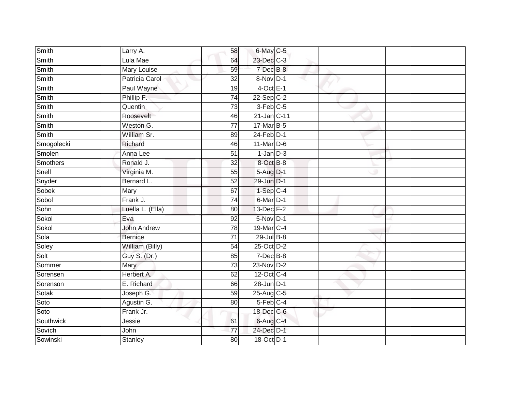| Smith        | Larry A.           | 58              | 6-May C-5        |  |
|--------------|--------------------|-----------------|------------------|--|
| Smith        | Lula Mae           | 64              | 23-Dec C-3       |  |
| Smith        | <b>Mary Louise</b> | 59              | 7-Dec B-8        |  |
| Smith        | Patricia Carol     | $\overline{32}$ | 8-Nov D-1        |  |
| Smith        | Paul Wayne         | 19              | $4$ -Oct E-1     |  |
| Smith        | Phillip F.         | 74              | $22-Sep$ C-2     |  |
| Smith        | Quentin            | 73              | 3-Feb C-5        |  |
| Smith        | Roosevelt          | 46              | 21-Jan C-11      |  |
| Smith        | Weston G.          | 77              | 17-Mar B-5       |  |
| <b>Smith</b> | William Sr.        | 89              | $24$ -Feb $D-1$  |  |
| Smogolecki   | Richard            | 46              | $11$ -Mar $D-6$  |  |
| Smolen       | Anna Lee           | $\overline{51}$ | $1$ -Jan $D-3$   |  |
| Smothers     | Ronald J.          | 32              | 8-Oct B-8        |  |
| Snell        | Virginia M.        | 55              | 5-Aug D-1        |  |
| Snyder       | Bernard L.         | 52              | 29-Jun D-1       |  |
| Sobek        | Mary               | 67              | $1-Sep$ $C-4$    |  |
| Sobol        | Frank J.           | $\overline{74}$ | 6-Mar D-1        |  |
| Sohn         | Luella L. (Ella)   | 80              | 13-Dec F-2       |  |
| Sokol        | Eva                | 92              | 5-Nov D-1        |  |
| Sokol        | <b>John Andrew</b> | 78              | 19-Mar C-4       |  |
| Sola         | <b>Bernice</b>     | 71              | $29$ -Jul $B-8$  |  |
| Soley        | William (Billy)    | 54              | $25$ -Oct $D-2$  |  |
| Solt         | Guy S. (Dr.)       | 85              | 7-Dec B-8        |  |
| Sommer       | Mary               | $\overline{73}$ | $23-Nov$ D-2     |  |
| Sorensen     | Herbert A.         | 62              | 12-Oct C-4       |  |
| Sorenson     | E. Richard         | 66              | $28$ -Jun $D-1$  |  |
| Sotak        | Joseph G.          | 59              | $25$ -Aug $C$ -5 |  |
| Soto         | Agustin G.         | 80              | 5-Feb C-4        |  |
| Soto         | Frank Jr.          |                 | 18-Dec C-6       |  |
| Southwick    | Jessie             | 61              | 6-Aug C-4        |  |
| Sovich       | John               | 77              | 24-Dec D-1       |  |
| Sowinski     | <b>Stanley</b>     | $\overline{80}$ | 18-Oct D-1       |  |
|              |                    |                 |                  |  |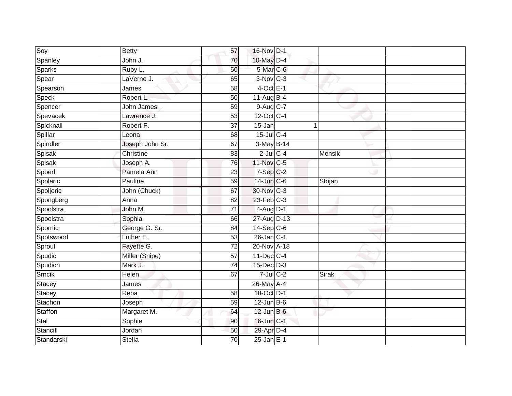| Soy            | <b>Betty</b>      | 57              | 16-Nov D-1        |        |  |
|----------------|-------------------|-----------------|-------------------|--------|--|
| Spanley        | John J.           | 70              | 10-May D-4        |        |  |
| Sparks         | Ruby L.           | 50              | 5-Mar C-6         |        |  |
| Spear          | LaVerne J.        | 65              | $3-Nov$ $C-3$     |        |  |
| Spearson       | James             | $\overline{58}$ | $4$ -Oct E-1      |        |  |
| Speck          | Robert L.         | 50              | $11-Aug$ B-4      |        |  |
| Spencer        | <b>John James</b> | 59              | $9-Aug$ $C-7$     |        |  |
| Spevacek       | Lawrence J.       | 53              | 12-Oct C-4        |        |  |
| Spicknall      | Robert F.         | 37              | 15-Jan            |        |  |
| Spillar        | Leona             | $\overline{68}$ | 15-Jul C-4        |        |  |
| Spindler       | Joseph John Sr.   | 67              | 3-May B-14        |        |  |
| Spisak         | Christine         | 83              | $2$ -Jul $C$ -4   | Mensik |  |
| Spisak         | Joseph A.         | 76              | 11-Nov C-5        |        |  |
| Spoerl         | Pamela Ann        | 23              | $7-Sep$ $C-2$     |        |  |
| Spolaric       | Pauline           | 59              | 14-Jun C-6        | Stojan |  |
| Spoljoric      | John (Chuck)      | 67              | 30-Nov C-3        |        |  |
| Spongberg      | Anna              | $\overline{82}$ | $23$ -Feb $C-3$   |        |  |
| Spoolstra      | John M.           | 71              | $4$ -Aug D-1      |        |  |
| Spoolstra      | Sophia            | 66              | 27-Aug D-13       |        |  |
| Spornic        | George G. Sr.     | $\overline{84}$ | $14-Sep C-6$      |        |  |
| Spotswood      | Luther E.         | 53              | $26$ -Jan $ C-1 $ |        |  |
| Sproul         | Fayette G.        | $\overline{72}$ | 20-Nov A-18       |        |  |
| Spudic         | Miller (Snipe)    | 57              | 11-Dec C-4        |        |  |
| Spudich        | Mark J.           | 74              | $15$ -Dec $D-3$   |        |  |
| Srncik         | Helen             | 67              | $7$ -Jul $C$ -2   | Sirak  |  |
| <b>Stacey</b>  | James             |                 | 26-May A-4        |        |  |
| Stacey         | Reba              | 58              | 18-Oct D-1        |        |  |
| Stachon        | Joseph            | 59              | $12$ -Jun B-6     |        |  |
| <b>Staffon</b> | Margaret M.       | 64              | $12$ -Jun $B$ -6  |        |  |
| Stal           | Sophie            | 90              | 16-Jun C-1        |        |  |
| Stancill       | Jordan            | 50              | 29-Apr D-4        |        |  |
| Standarski     | <b>Stella</b>     | 70              | $25$ -Jan E-1     |        |  |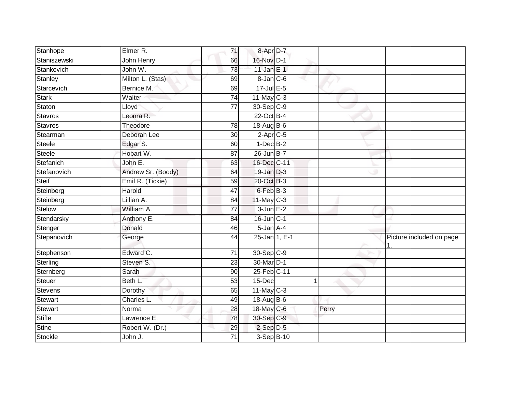| Stanhope      | Elmer R.           | 71              | $8 - Apr$ $D-7$ |   |       |                          |
|---------------|--------------------|-----------------|-----------------|---|-------|--------------------------|
| Staniszewski  | John Henry         | 66              | 16-Nov D-1      |   |       |                          |
| Stankovich    | John W.            | 73              | $11$ -Jan $E-1$ |   |       |                          |
| Stanley       | Milton L. (Stas)   | 69              | 8-Jan C-6       |   |       |                          |
| Starcevich    | Bernice M.         | 69              | $17 -$ Jul E-5  |   |       |                          |
| Stark         | Walter             | $\overline{74}$ | $11$ -May C-3   |   |       |                          |
| Staton        | Lloyd              | 77              | 30-Sep C-9      |   |       |                          |
| Stavros       | Leonra R.          |                 | 22-Oct B-4      |   |       |                          |
| Stavros       | Theodore           | 78              | $18$ -AugB-6    |   |       |                          |
| Stearman      | Deborah Lee        | $\overline{30}$ | $2-Apr$ C-5     |   |       |                          |
| Steele        | Edgar S.           | 60              | $1-Dec$ B-2     |   |       |                          |
| Steele        | Hobart W.          | 87              | 26-Jun B-7      |   |       |                          |
| Stefanich     | John E.            | 63              | 16-Dec C-11     |   |       |                          |
| Stefanovich   | Andrew Sr. (Boody) | 64              | 19-Jan D-3      |   |       |                          |
| Steif         | Emil R. (Tickie)   | 59              | 20-Oct B-3      |   |       |                          |
| Steinberg     | Harold             | 47              | 6-Feb B-3       |   |       |                          |
| Steinberg     | Lillian A.         | 84              | $11$ -May C-3   |   |       |                          |
| Stelow        | William A.         | $\overline{77}$ | $3$ -Jun $E-2$  |   |       |                          |
| Stendarsky    | Anthony E.         | 84              | 16-Jun C-1      |   |       |                          |
| Stenger       | Donald             | 46              | $5 - Jan A - 4$ |   |       |                          |
| Stepanovich   | George             | 44              | 25-Jan 1, E-1   |   | ∼     | Picture included on page |
| Stephenson    | Edward C.          | 71              | 30-Sep C-9      |   |       |                          |
| Sterling      | Steven S.          | 23              | 30-Mar D-1      |   |       |                          |
| Sternberg     | Sarah              | 90              | 25-Feb C-11     |   |       |                          |
| Steuer        | Beth L.            | $\overline{53}$ | $15$ -Dec       | 1 |       |                          |
| Stevens       | Dorothy            | 65              | $11$ -May C-3   |   |       |                          |
| Stewart       | Charles L.         | 49              | 18-Aug B-6      |   |       |                          |
| Stewart       | Norma              | 28              | 18-May $C-6$    |   | Perry |                          |
| <b>Stifle</b> | Lawrence E.        | 78              | 30-Sep C-9      |   |       |                          |
| Stine         | Robert W. (Dr.)    | 29              | $2-Sep$ D-5     |   |       |                          |
| Stockle       | John J.            | 71              | 3-Sep B-10      |   |       |                          |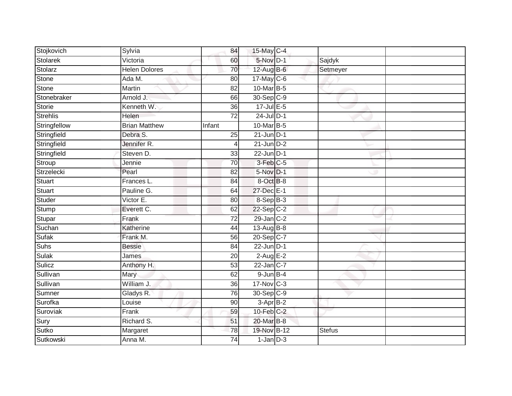| Stojkovich      | Sylvia               | 84              | 15-May C-4              |               |  |
|-----------------|----------------------|-----------------|-------------------------|---------------|--|
| Stolarek        | Victoria             | 60              | 5-Nov D-1               | Sajdyk        |  |
| Stolarz         | <b>Helen Dolores</b> | 70              | 12-Aug B-6              | Setmeyer      |  |
| Stone           | Ada M.               | 80              | $17$ -May C-6           |               |  |
| Stone           | <b>Martin</b>        | $\overline{82}$ | 10-Mar B-5              |               |  |
| Stonebraker     | Arnold J.            | 66              | 30-Sep C-9              |               |  |
| Storie          | Kenneth W.           | $\overline{36}$ | $17$ -Jul $E-5$         |               |  |
| <b>Strehlis</b> | <b>Helen</b>         | 72              | $24$ -Jul D-1           |               |  |
| Stringfellow    | <b>Brian Matthew</b> | Infant          | 10-Mar B-5              |               |  |
| Stringfield     | Debra S.             | 25              | $21$ -Jun $D-1$         |               |  |
| Stringfield     | Jennifer R.          | 4               | $21$ -Jun $D-2$         |               |  |
| Stringfield     | Steven D.            | 33              | $22$ -Jun $D-1$         |               |  |
| Stroup          | Jennie               | 70              | 3-Feb C-5               |               |  |
| Strzelecki      | Pearl                | 82              | 5-Nov D-1               |               |  |
| Stuart          | Frances L.           | $\overline{84}$ | 8-Oct B-8               |               |  |
| <b>Stuart</b>   | Pauline G.           | 64              | 27-Dec E-1              |               |  |
| Studer          | Victor E.            | 80              | $8-$ Sep $B-3$          |               |  |
| Stump           | Everett C.           | 62              | $22-Sep C-2$            |               |  |
| Stupar          | Frank                | 72              | 29-Jan C-2              |               |  |
| Suchan          | Katherine            | 44              | 13-Aug B-8              |               |  |
| Sufak           | Frank M.             | 56              | $20-Sep$ C-7            |               |  |
| Suhs            | <b>Bessie</b>        | 84              | $22$ -Jun $D-1$         |               |  |
| Sulak           | James                | 20              | $2$ -Aug E-2            |               |  |
| Sulicz          | Anthony H.           | $\overline{53}$ | $22$ -Jan $ C-7 $       |               |  |
| Sullivan        | Mary                 | 62              | $9$ -Jun $B$ -4         |               |  |
| Sullivan        | William J.           | 36              | $17-Nov$ <sub>C-3</sub> |               |  |
| Sumner          | Gladys R.            | 76              | 30-Sep C-9              |               |  |
| Surofka         | Louise               | 90              | 3-Apr B-2               |               |  |
| Suroviak        | Frank                | 59              | $10$ -Feb $C-2$         |               |  |
| Sury            | Richard S.           | 51              | 20-Mar B-8              |               |  |
| Sutko           | Margaret             | 78              | 19-Nov B-12             | <b>Stefus</b> |  |
| Sutkowski       | Anna M.              | $\overline{74}$ | $1$ -Jan $D-3$          |               |  |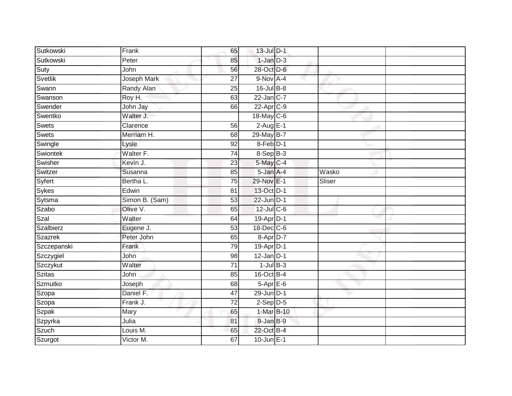| Sutkowski     | Frank                  | 65              | 13-Jul D-1        |        |  |
|---------------|------------------------|-----------------|-------------------|--------|--|
| Sutkowski     | Peter                  | 85              | $1-Jan$ $D-3$     |        |  |
| Suty          | John                   | 56              | 28-Oct D-6        |        |  |
| Svetlik       | <b>Joseph Mark</b>     | 27              | 9-Nov A-4         |        |  |
| Swann         | Randy Alan             | $\overline{25}$ | 16-Jul B-8        |        |  |
| Swanson       | Roy H.                 | 63              | $22$ -Jan $ C-7 $ |        |  |
| Swender       | John Jay               | 66              | $22$ -Apr $C-9$   |        |  |
| Swentko       | Walter J.              |                 | 18-May C-6        |        |  |
| Swets         | Clarence               | 56              | $2-AugE-1$        |        |  |
| Swets         | Merriam H.             | 68              | 29-May B-7        |        |  |
| Swingle       | Lysle                  | 92              | 8-Feb D-1         |        |  |
| Swiontek      | Walter F.              | 74              | 8-Sep B-3         |        |  |
| Swisher       | Kevin J.               | 23              | 5-May C-4         |        |  |
| Switzer       | Susanna                | 85              | 5-Jan A-4         | Wasko  |  |
| Syfert        | Bertha L.              | $\overline{75}$ | 29-Nov E-1        | Sliser |  |
| <b>Sykes</b>  | Edwin                  | 81              | 13-Oct D-1        |        |  |
| Sytsma        | Simon B. (Sam)         | 53              | $22$ -Jun $D-1$   |        |  |
| Szabo         | Olive V.               | 65              | 12-Jul C-6        |        |  |
| Szal          | Walter                 | 64              | 19-Apr D-1        |        |  |
| Szalbierz     | Eugene J.              | $\overline{53}$ | 18-Dec C-6        |        |  |
| Szazrek       | Peter John             | 65              | 8-Apr D-7         |        |  |
| Szczepanski   | Frank                  | 79              | 19-Apr D-1        |        |  |
| Szczygiel     | John                   | 98              | $12$ -Jan D-1     |        |  |
| Szczykut      | Walter                 | $\overline{71}$ | $1$ -Jul $B-3$    |        |  |
| <b>Szitas</b> | John                   | 85              | $16$ -Oct B-4     |        |  |
| Szmutko       | Joseph                 | 68              | $5-AprE-6$        |        |  |
| Szopa         | Daniel F.              | 47              | 29-Jun D-1        |        |  |
| Szopa         | Frank J.               | 72              | $2-Sep D-5$       |        |  |
| Szpak         | Mary                   | 65              | 1-Mar B-10        |        |  |
| Szpyrka       | Julia                  | 81              | 9-Jan B-9         |        |  |
| Szuch         | Louis $\overline{M}$ . | 65              | 22-Oct B-4        |        |  |
| Szurgot       | Victor M.              | 67              | $10$ -Jun $E-1$   |        |  |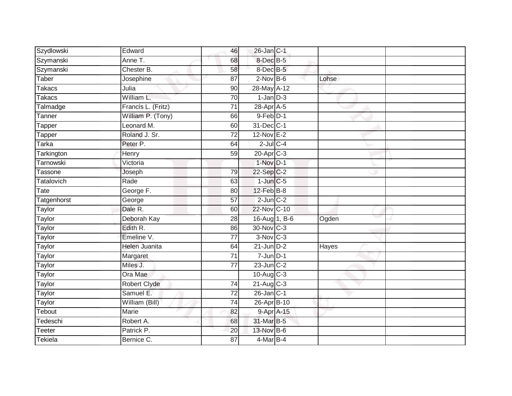| Szydlowski        | Edward             | 46              | 26-Jan C-1           |       |  |
|-------------------|--------------------|-----------------|----------------------|-------|--|
| Szymanski         | Anne T.            | 68              | 8-Dec <sup>B-5</sup> |       |  |
| Szymanski         | Chester B.         | 58              | 8-Dec B-5            |       |  |
| Taber             | Josephine          | 87              | $2$ -Nov $B-6$       | Lohse |  |
| <b>Takacs</b>     | Julia              | 90              | 28-May A-12          |       |  |
| <b>Takacs</b>     | William L.         | 70              | $1$ -Jan $D-3$       |       |  |
| Talmadge          | Francis L. (Fritz) | $\overline{71}$ | $28$ -Apr $A$ -5     |       |  |
| Tanner            | William P. (Tony)  | 66              | $9$ -Feb $D-1$       |       |  |
| Tapper            | Leonard M.         | 60              | 31-Dec C-1           |       |  |
| Tapper            | Roland J. Sr.      | 72              | 12-Nov E-2           |       |  |
| <b>Tarka</b>      | Peter P.           | 64              | $2$ -Jul $C$ -4      |       |  |
| Tarkington        | Henry              | 59              | 20-Apr C-3           |       |  |
| Tarnowski         | Victoria           |                 | $1-Nov$ D-1          |       |  |
| Tassone           | Joseph             | 79              | 22-Sep C-2           |       |  |
| <b>Tatalovich</b> | Rade               | 63              | $1$ -Jun $C$ -5      |       |  |
| Tate              | George F.          | 80              | $12$ -Feb $B-8$      |       |  |
| Tatgenhorst       | George             | $\overline{57}$ | $2$ -Jun $C-2$       |       |  |
| Taylor            | Dale R.            | 60              | 22-Nov C-10          |       |  |
| Taylor            | Deborah Kay        | 28              | 16-Aug 1, B-6        | Ogden |  |
| <b>Taylor</b>     | Edith R.           | 86              | 30-Nov C-3           |       |  |
| Taylor            | Emeline V.         | $\overline{77}$ | $3-Nov$ $C-3$        |       |  |
| <b>Taylor</b>     | Helen Juanita      | 64              | $21$ -Jun $D-2$      | Hayes |  |
| Taylor            | Margaret           | 71              | $7 - Jun$ $D-1$      |       |  |
| Taylor            | Miles J.           | 77              | $23$ -Jun $C-2$      |       |  |
| Taylor            | Ora Mae            |                 | $10$ -Aug $C-3$      |       |  |
| Taylor            | Robert Clyde       | 74              | 21-Aug C-3           |       |  |
| Taylor            | Samuel E.          | $\overline{72}$ | $26$ -Jan $C-1$      |       |  |
| Taylor            | William (Bill)     | 74              | 26-Apr B-10          |       |  |
| Tebout            | Marie              | 82              | 9-Apr A-15           |       |  |
| Tedeschi          | Robert A.          | 68              | 31-Mar B-5           |       |  |
| <b>Teeter</b>     | Patrick P.         | 20              | 13-Nov B-6           |       |  |
| Tekiela           | Bernice C.         | $\overline{87}$ | 4-Mar B-4            |       |  |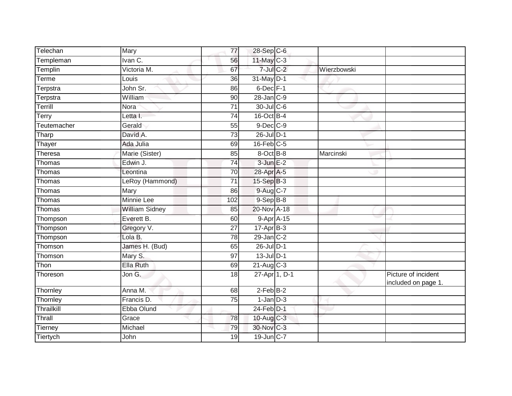| Telechan       | Mary                  | 77              | 28-Sep C-6              |             |                                            |
|----------------|-----------------------|-----------------|-------------------------|-------------|--------------------------------------------|
| Templeman      | Ivan C.               | 56              | 11-May C-3              |             |                                            |
| Templin        | Victoria M.           | 67              | $7$ -Jul $C$ -2         | Wierzbowski |                                            |
| Terme          | Louis                 | 36              | 31-May D-1              |             |                                            |
| Terpstra       | John Sr.              | 86              | $6$ -Dec $F-1$          |             |                                            |
| Terpstra       | William               | 90              | $28$ -Jan $C-9$         |             |                                            |
| Terrill        | Nora                  | 71              | 30-Jul C-6              |             |                                            |
| Terry          | Letta I.              | 74              | 16-Oct B-4              |             |                                            |
| Teutemacher    | Gerald                | 55              | $9$ -Dec $C$ -9         |             |                                            |
| Tharp          | David A.              | $\overline{73}$ | $26$ -Jul $D-1$         |             |                                            |
| Thayer         | Ada Julia             | 69              | $16$ -Feb $C-5$         |             |                                            |
| Theresa        | Marie (Sister)        | 85              | 8-Oct B-8               | Marcinski   |                                            |
| Thomas         | Edwin J.              | 74              | $3$ -Jun $E-2$          |             |                                            |
| Thomas         | Leontina              | 70              | 28-Apr A-5              |             |                                            |
| Thomas         | LeRoy (Hammond)       | $\overline{71}$ | 15-Sep B-3              |             |                                            |
| Thomas         | Mary                  | 86              | 9-Aug C-7               |             |                                            |
| Thomas         | Minnie Lee            | 102             | $9-$ Sep $B-8$          |             |                                            |
| Thomas         | <b>William Sidney</b> | 85              | 20-Nov A-18             |             |                                            |
| Thompson       | Everett B.            | 60              | 9-Apr A-15              |             |                                            |
| Thompson       | Gregory V.            | 27              | $17 - Apr$ B-3          |             |                                            |
| Thompson       | Lola B.               | 78              | 29-Jan C-2              |             |                                            |
| Thomson        | James H. (Bud)        | 65              | $26$ -Jul $D-1$         |             |                                            |
| Thomson        | Mary S.               | 97              | $13$ -Jul $D-1$         |             |                                            |
| Thon           | Ella Ruth             | 69              | $21-Au\overline{g}$ C-3 |             |                                            |
| Thoreson       | Jon G.                | 18              | 27-Apr 1, D-1           |             | Picture of incident<br>included on page 1. |
| Thornley       | Anna M.               | 68              | $2$ -Feb $B-2$          |             |                                            |
| Thornley       | Francis D.            | 75              | $1$ -Jan $D-3$          |             |                                            |
| Thrailkill     | Ebba Olund            |                 | 24-Feb D-1              |             |                                            |
| Thrall         | Grace                 | 78              | 10-Aug C-3              |             |                                            |
| <b>Tierney</b> | Michael               | 79              | 30-Nov C-3              |             |                                            |
| Tiertych       | John                  | 19              | 19-Jun C-7              |             |                                            |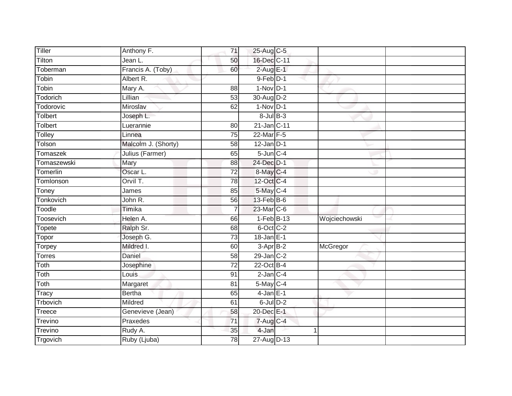| Tiller           | Anthony F.          | 71              | 25-Aug C-5               |               |
|------------------|---------------------|-----------------|--------------------------|---------------|
| Tilton           | Jean L.             | 50              | 16-Dec C-11              |               |
| Toberman         | Francis A. (Toby)   | 60              | $2$ -Aug $E-1$           |               |
| Tobin            | Albert R.           |                 | $9$ -Feb $D-1$           |               |
| Tobin            | Mary A.             | $\overline{88}$ | $1-Nov$ $D-1$            |               |
| Todorich         | Lillian             | 53              | 30-Aug D-2               |               |
| Todorovic        | Miroslav            | 62              | $1-Nov$ D-1              |               |
| <b>Tolbert</b>   | Joseph L.           |                 | $8$ -Jul $B$ -3          |               |
| <b>Tolbert</b>   | Luerannie           | 80              | 21-Jan C-11              |               |
| Tolley           | Linnea              | $\overline{75}$ | 22-Mar F-5               |               |
| Tolson           | Malcolm J. (Shorty) | 58              | $12$ -Jan D-1            |               |
| Tomaszek         | Julius (Farmer)     | 65              | $5$ -Jun $C-4$           |               |
| Tomaszewski      | Mary                | 88              | $24$ -Dec D-1            |               |
| Tomerlin         | Oscar L.            | $\overline{72}$ | 8-May C-4                |               |
| Tomlonson        | Orvil T.            | 78              | 12-Oct C-4               |               |
| Toney            | James               | 85              | 5-May C-4                |               |
| <b>Tonkovich</b> | John R.             | 56              | $13$ -Feb $B$ -6         |               |
| Toodle           | Timika              | $\overline{7}$  | 23-Mar C-6               |               |
| Toosevich        | Helen A.            | 66              | $1-FebB-13$              | Wojciechowski |
| Topete           | Ralph Sr.           | 68              | 6-Oct C-2                |               |
| Topor            | Joseph G.           | 73              | $18 - Jan$ E-1           |               |
| Torpey           | Mildred I.          | 60              | 3-Apr B-2                | McGregor      |
| <b>Torres</b>    | Daniel              | 58              | $29$ -Jan $C-2$          |               |
| Toth             | Josephine           | $\overline{72}$ | $22$ -Oct B-4            |               |
| Toth             | Louis               | 91              | $2$ -Jan $C-4$           |               |
| Toth             | Margaret            | 81              | 5-May C-4                |               |
| Tracy            | <b>Bertha</b>       | 65              | $4$ -Jan $E-1$           |               |
| Trbovich         | Mildred             | 61              | $6$ -Jul $D-2$           |               |
| Treece           | Genevieve (Jean)    | 58              | 20-Dec E-1               |               |
| Trevino          | Praxedes            | $\overline{71}$ | $7 - Aug$ <sub>C-4</sub> |               |
| <b>Trevino</b>   | Rudy A.             | 35              | 4-Jan                    |               |
| Trgovich         | Ruby (Ljuba)        | $\overline{78}$ | 27-Aug D-13              |               |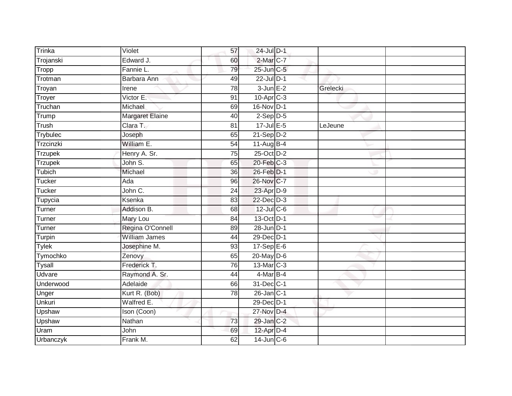| Trinka         | Violet                 | 57              | 24-Jul D-1        |          |  |
|----------------|------------------------|-----------------|-------------------|----------|--|
| Trojanski      | Edward J.              | 60              | 2-Mar C-7         |          |  |
| Tropp          | Fannie L.              | 79              | 25-Jun C-5        |          |  |
| Trotman        | Barbara Ann            | 49              | 22-Jul D-1        |          |  |
| Troyan         | Irene                  | $\overline{78}$ | $3$ -Jun $E-2$    | Grelecki |  |
| Troyer         | Victor E.              | 91              | 10-Apr C-3        |          |  |
| Truchan        | Michael                | 69              | 16-Nov D-1        |          |  |
| Trump          | <b>Margaret Elaine</b> | 40              | $2-Sep$ $D-5$     |          |  |
| Trush          | Clara T.               | 81              | 17-Jul E-5        | LeJeune  |  |
| Trybulec       | Joseph                 | 65              | $21-Sep$ D-2      |          |  |
| Trzcinzki      | William E.             | 54              | 11-Aug B-4        |          |  |
| <b>Trzupek</b> | Henry A. Sr.           | $\overline{75}$ | 25-Oct D-2        |          |  |
| <b>Trzupek</b> | John S.                | 65              | 20-Feb C-3        |          |  |
| Tubich         | Michael                | 36              | 26-Feb D-1        |          |  |
| Tucker         | Ada                    | 96              | 26-Nov C-7        |          |  |
| <b>Tucker</b>  | John $\overline{C}$ .  | 24              | 23-Apr D-9        |          |  |
| Tupycia        | Ksenka                 | 83              | $22 - Dec$ $D-3$  |          |  |
| Turner         | Addison B.             | 68              | 12-Jul C-6        |          |  |
| Turner         | Mary Lou               | 84              | 13-Oct D-1        |          |  |
| Turner         | Regina O'Connell       | 89              | $28$ -Jun $D-1$   |          |  |
| Turpin         | <b>William James</b>   | 44              | 29-Dec D-1        |          |  |
| <b>Tylek</b>   | Josephine M.           | 93              | $17-SepE-6$       |          |  |
| Tymochko       | Zenovy                 | 65              | 20-May D-6        |          |  |
| Tysall         | Frederick T.           | 76              | 13-Mar C-3        |          |  |
| Udvare         | Raymond A. Sr.         | 44              | 4-Mar B-4         |          |  |
| Underwood      | Adelaide               | 66              | 31-Dec C-1        |          |  |
| Unger          | Kurt R. (Bob)          | 78              | $26$ -Jan $ C-1 $ |          |  |
| Unkuri         | Walfred E.             |                 | 29-Dec D-1        |          |  |
| Upshaw         | Ison (Coon)            |                 | 27-Nov D-4        |          |  |
| Upshaw         | Nathan                 | 73              | 29-Jan C-2        |          |  |
| Uram           | John                   | 69              | 12-Apr D-4        |          |  |
| Urbanczyk      | Frank M.               | 62              | $14$ -Jun $C-6$   |          |  |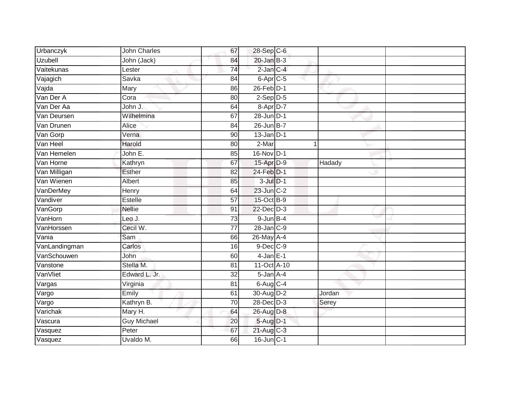| Urbanczyk      | John Charles       | 67              | 28-Sep C-6               |        |  |
|----------------|--------------------|-----------------|--------------------------|--------|--|
| <b>Uzubell</b> | John (Jack)        | 84              | $20$ -Jan $B-3$          |        |  |
| Vaitekunas     | Lester             | $\overline{74}$ | $2$ -Jan $C-4$           |        |  |
| Vajagich       | Savka              | 84              | $6 - Apr$ <sub>C-5</sub> |        |  |
| Vajda          | Mary               | 86              | $26$ -Feb $D-1$          |        |  |
| Van Der A      | Cora               | 80              | $2-Sep$ $D-5$            |        |  |
| Van Der Aa     | John J.            | 64              | $8 - Apr$ $D-7$          |        |  |
| Van Deursen    | Wilhelmina         | 67              | $28$ -Jun $D-1$          |        |  |
| Van Drunen     | Alice              | 84              | $26$ -Jun B-7            |        |  |
| Van Gorp       | Verna              | 90              | $13$ -Jan $D-1$          |        |  |
| Van Heel       | Harold             | 80              | 2-Mar                    |        |  |
| Van Hemelen    | John E.            | 85              | 16-Nov D-1               |        |  |
| Van Horne      | Kathryn            | 67              | 15-Apr D-9               | Hadady |  |
| Van Milligan   | Esther             | 82              | 24-Feb D-1               |        |  |
| Van Wienen     | <b>Albert</b>      | 85              | $3$ -Jul $D-1$           |        |  |
| VanDerMey      | Henry              | 64              | 23-Jun C-2               |        |  |
| Vandiver       | <b>Estelle</b>     | $\overline{57}$ | 15-Oct B-9               |        |  |
| VanGorp        | <b>Nellie</b>      | 91              | 22-Dec D-3               |        |  |
| VanHorn        | Leo J.             | 73              | $9$ -Jun $B-4$           |        |  |
| VanHorssen     | Cecil W.           | $\overline{77}$ | $28 - Jan$ $C-9$         |        |  |
| Vania          | Sam                | 66              | 26-May A-4               |        |  |
| VanLandingman  | Carlos             | 16              | 9-Dec C-9                |        |  |
| VanSchouwen    | John               | 60              | $4$ -Jan $E-1$           |        |  |
| Vanstone       | Stella M.          | 81              | 11-Oct A-10              |        |  |
| VanVliet       | Edward L. Jr.      | 32              | 5-Jan A-4                |        |  |
| Vargas         | Virginia           | 81              | $6$ -Aug $C$ -4          |        |  |
| Vargo          | Emily              | 61              | 30-Aug D-2               | Jordan |  |
| Vargo          | Kathryn B.         | 70              | 28-Dec D-3               | Serey  |  |
| Varichak       | Mary H.            | 64              | 26-Aug D-8               |        |  |
| Vascura        | <b>Guy Michael</b> | 20              | 5-Aug D-1                |        |  |
| Vasquez        | Peter              | 67              | $21$ -Aug C-3            |        |  |
| Vasquez        | Uvaldo M.          | 66              | $16$ -Jun $C-1$          |        |  |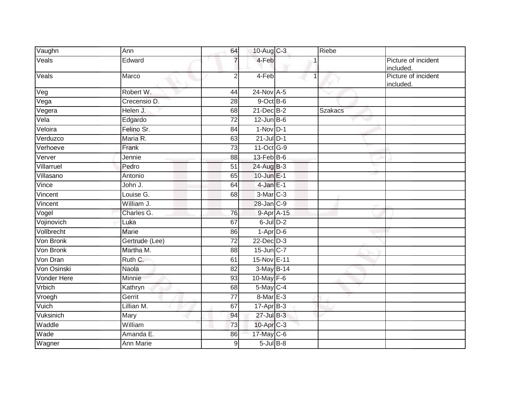| Vaughn      | Ann            | 64              | 10-Aug C-3           | Riebe          |                                  |
|-------------|----------------|-----------------|----------------------|----------------|----------------------------------|
| Veals       | Edward         |                 | 4-Feb                |                | Picture of incident<br>included. |
| Veals       | Marco          | $\overline{2}$  | 4-Feb                |                | Picture of incident<br>included. |
| Veg         | Robert W.      | 44              | 24-Nov A-5           |                |                                  |
| Vega        | Crecensio D.   | 28              | $9$ -Oct $B$ -6      |                |                                  |
| Vegera      | Helen J.       | 68              | $21$ -Dec $B-2$      | <b>Szakacs</b> |                                  |
| Vela        | Edgardo        | 72              | $12$ -Jun $B$ -6     |                |                                  |
| Veloira     | Felino Sr.     | 84              | $1-Nov$ D-1          |                |                                  |
| Verduzco    | Maria R.       | 63              | $21$ -Jul $D-1$      |                |                                  |
| Verhoeve    | Frank          | $\overline{73}$ | 11-Oct G-9           |                |                                  |
| Verver      | Jennie         | 88              | $13$ -Feb $B$ -6     |                |                                  |
| Villarruel  | Pedro          | 51              | 24-Aug B-3           |                |                                  |
| Villasano   | Antonio        | 65              | $10$ -Jun $E-1$      |                |                                  |
| Vince       | John J.        | 64              | $4$ -Jan $E-1$       |                |                                  |
| Vincent     | Louise G.      | 68              | 3-Mar <sub>C-3</sub> |                |                                  |
| Vincent     | William J.     |                 | 28-Jan C-9           |                |                                  |
| Vogel       | Charles G.     | 76              | 9-Apr A-15           |                |                                  |
| Vojinovich  | Luka           | 67              | $6$ -Jul $D-2$       |                |                                  |
| Vollbrecht  | <b>Marie</b>   | 86              | $1-Apr$ D-6          |                |                                  |
| Von Bronk   | Gertrude (Lee) | $\overline{72}$ | $22$ -Dec $D-3$      |                |                                  |
| Von Bronk   | Martha M.      | 88              | 15-Jun C-7           |                |                                  |
| Von Dran    | Ruth C.        | 61              | 15-Nov E-11          |                |                                  |
| Von Osinski | <b>Naola</b>   | 82              | 3-May B-14           |                |                                  |
| Vonder Here | Minnie         | 93              | 10-May $F-6$         |                |                                  |
| Vrbich      | Kathryn        | 68              | 5-May C-4            |                |                                  |
| Vroegh      | Gerrit         | 77              | 8-Mar E-3            |                |                                  |
| Vuich       | Lillian M.     | 67              | $17-Apr$ B-3         |                |                                  |
| Vuksinich   | Mary           | 94              | 27-Jul B-3           |                |                                  |
| Waddle      | William        | 73              | 10-Apr C-3           |                |                                  |
| Wade        | Amanda E.      | 86              | 17-May C-6           |                |                                  |
| Wagner      | Ann Marie      | $\mathsf 9$     | $5$ -Jul $B$ -8      |                |                                  |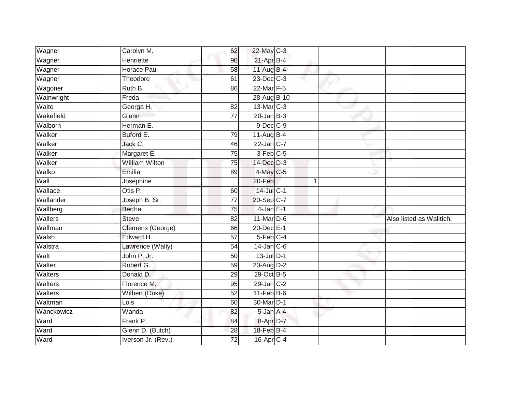| Wagner     | Carolyn M.            | 62              | 22-May C-3             |  |                          |
|------------|-----------------------|-----------------|------------------------|--|--------------------------|
| Wagner     | Henriette             | 90              | $21-AprB-4$            |  |                          |
| Wagner     | <b>Horace Paul</b>    | 58              | 11-Aug B-4             |  |                          |
| Wagner     | Theodore              | 61              | $23$ -Dec $C-3$        |  |                          |
| Wagoner    | Ruth B.               | 86              | 22-Mar F-5             |  |                          |
| Wainwright | Freda                 |                 | 28-Aug B-10            |  |                          |
| Waite      | Georga H.             | 82              | 13-Mar C-3             |  |                          |
| Wakefield  | Glenn                 | $\overline{77}$ | $20$ -Jan $B-3$        |  |                          |
| Walborn    | Herman E.             |                 | 9-Dec C-9              |  |                          |
| Walker     | Buford E.             | 79              | $11-Aug$ B-4           |  |                          |
| Walker     | Jack C.               | 46              | $22$ -Jan C-7          |  |                          |
| Walker     | Margaret E.           | $\overline{75}$ | $3-Feb$ <sub>C-5</sub> |  |                          |
| Walker     | <b>William Wilton</b> | 75              | 14-Dec D-3             |  |                          |
| Walko      | Emilia                | 89              | $4$ -May C-5           |  |                          |
| Wall       | Josephine             |                 | 20-Feb                 |  |                          |
| Wallace    | Otis P.               | 60              | 14-Jul C-1             |  |                          |
| Wallander  | Joseph B. Sr.         | $\overline{77}$ | 20-Sep C-7             |  |                          |
| Wallberg   | Bertha                | 75              | $4$ -Jan $E-1$         |  |                          |
| Wallers    | <b>Steve</b>          | 82              | $11$ -Mar $D-6$        |  | Also listed as Walitich. |
| Wallman    | Clemens (George)      | 66              | 20-Dec E-1             |  |                          |
| Walsh      | Edward H.             | 57              | $5$ -Feb $C-4$         |  |                          |
| Walstra    | Lawrence (Wally)      | 54              | $14$ -Jan $C$ -6       |  |                          |
| Walt       | John P. Jr.           | 50              | $13$ -Jul $D-1$        |  |                          |
| Walter     | Robert G.             | 59              | 20-Aug D-2             |  |                          |
| Walters    | Donald D.             | 29              | 29-Oct B-5             |  |                          |
| Walters    | Florence M.           | 95              | $29$ -Jan $C-2$        |  |                          |
| Walters    | <b>Wilbert (Duke)</b> | 52              | $11-Feb B-6$           |  |                          |
| Waltman    | Lois                  | 60              | 30-Mar D-1             |  |                          |
| Wanckowicz | Wanda                 | 82              | 5-Jan A-4              |  |                          |
| Ward       | Frank P.              | 84              | 8-Apr <sub>D-7</sub>   |  |                          |
| Ward       | Glenn D. (Butch)      | 28              | 18-Feb B-4             |  |                          |
| Ward       | Iverson Jr. (Rev.)    | $\overline{72}$ | 16-Apr C-4             |  |                          |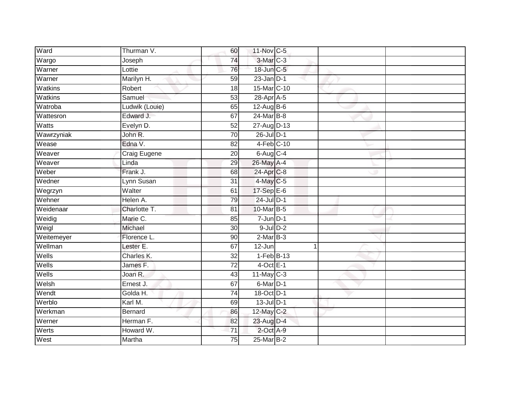| Ward       | Thurman V.     | 60              | 11-Nov C-5      |    |  |
|------------|----------------|-----------------|-----------------|----|--|
| Wargo      | Joseph         | 74              | $3-Mar$ $C-3$   |    |  |
| Warner     | Lottie         | 76              | 18-Jun C-5      |    |  |
| Warner     | Marilyn H.     | 59              | $23$ -Jan $D-1$ |    |  |
| Watkins    | Robert         | $\overline{18}$ | 15-Mar C-10     |    |  |
| Watkins    | Samuel         | 53              | 28-Apr A-5      |    |  |
| Watroba    | Ludwik (Louie) | 65              | 12-Aug B-6      |    |  |
| Wattesron  | Edward J.      | 67              | 24-Mar B-8      |    |  |
| Watts      | Evelyn D.      | $\overline{52}$ | 27-Aug D-13     |    |  |
| Wawrzyniak | John R.        | 70              | 26-Jul D-1      |    |  |
| Wease      | Edna V.        | 82              | $4-Feb$ C-10    |    |  |
| Weaver     | Craig Eugene   | 20              | $6$ -Aug $C$ -4 |    |  |
| Weaver     | Linda          | 29              | 26-May A-4      |    |  |
| Weber      | Frank J.       | 68              | 24-Apr C-8      |    |  |
| Wedner     | Lynn Susan     | $\overline{31}$ | 4-May C-5       |    |  |
| Wegrzyn    | Walter         | 61              | 17-Sep E-6      |    |  |
| Wehner     | Helen A.       | 79              | $24$ -Jul $D-1$ |    |  |
| Weidenaar  | Charlotte T.   | 81              | 10-Mar B-5      |    |  |
| Weidig     | Marie C.       | 85              | 7-Jun D-1       |    |  |
| Weigl      | Michael        | $\overline{30}$ | $9$ -Jul $D-2$  |    |  |
| Weitemeyer | Florence L.    | 90              | $2-MarB-3$      |    |  |
| Wellman    | Lester E.      | 67              | 12-Jun          | -1 |  |
| Wells      | Charles K.     | 32              | $1-Feb$ B-13    |    |  |
| Wells      | James F.       | 72              | $4$ -Oct E-1    |    |  |
| Wells      | Joan R.        | 43              | $11$ -May C-3   |    |  |
| Welsh      | Ernest J.      | 67              | 6-Mar D-1       |    |  |
| Wendt      | Golda H.       | $\overline{74}$ | 18-Oct D-1      |    |  |
| Werblo     | Karl M.        | 69              | $13$ -Jul $D-1$ |    |  |
| Werkman    | <b>Bernard</b> | 86              | 12-May C-2      |    |  |
| Werner     | Herman F.      | 82              | 23-Aug D-4      |    |  |
| Werts      | Howard W.      | $\overline{71}$ | 2-Oct A-9       |    |  |
| West       | Martha         | $\overline{75}$ | 25-Mar B-2      |    |  |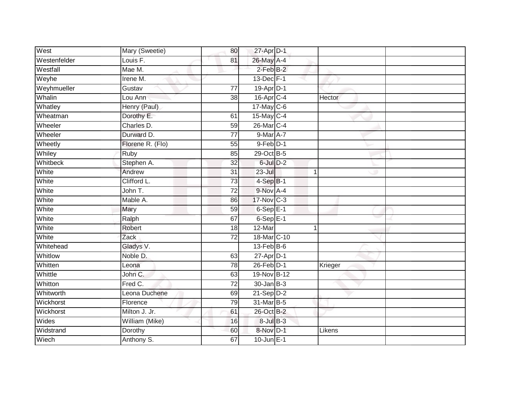| West         | Mary (Sweetie)   | 80              | $27$ -Apr $D-1$            |   |         |
|--------------|------------------|-----------------|----------------------------|---|---------|
| Westenfelder | Louis F.         | 81              | 26-May A-4                 |   |         |
| Westfall     | Mae M.           |                 | $2$ -Feb $B-2$             |   |         |
| Weyhe        | Irene M.         |                 | 13-Dec F-1                 |   |         |
| Weyhmueller  | Gustav           | $\overline{77}$ | 19-Apr D-1                 |   |         |
| Whalin       | Lou Ann          | 38              | 16-Apr C-4                 |   | Hector  |
| Whatley      | Henry (Paul)     |                 | 17-May C-6                 |   |         |
| Wheatman     | Dorothy E.       | 61              | 15-May C-4                 |   |         |
| Wheeler      | Charles D.       | 59              | 26-Mar C-4                 |   |         |
| Wheeler      | Durward D.       | $\overline{77}$ | $9$ -Mar $\overline{A}$ -7 |   |         |
| Wheetly      | Florene R. (Flo) | 55              | 9-Feb D-1                  |   |         |
| Whiley       | Ruby             | 85              | 29-Oct B-5                 |   |         |
| Whitbeck     | Stephen A.       | 32              | $6$ -Jul $D-2$             |   |         |
| White        | Andrew           | 31              | $23 -$ Jul                 | 1 |         |
| White        | Clifford L.      | $\overline{73}$ | $4-SepB-1$                 |   |         |
| White        | John T.          | $\overline{72}$ | 9-Nov A-4                  |   |         |
| White        | Mable A.         | 86              | 17-Nov C-3                 |   |         |
| White        | Mary             | 59              | $6-SepE-1$                 |   |         |
| White        | Ralph            | 67              | $6-Sep$ E-1                |   |         |
| White        | <b>Robert</b>    | 18              | $12-Mar$                   | 1 |         |
| White        | Zack             | 72              | 18-Mar C-10                |   |         |
| Whitehead    | Gladys V.        |                 | $13$ -Feb $ B-6 $          |   |         |
| Whitlow      | Noble D.         | 63              | 27-Apr D-1                 |   |         |
| Whitten      | Leona            | $\overline{78}$ | $26$ -Feb $D-1$            |   | Krieger |
| Whittle      | John C.          | 63              | 19-Nov B-12                |   |         |
| Whitton      | Fred C.          | 72              | $30 - Jan$ $B-3$           |   |         |
| Whitworth    | Leona Duchene    | 69              | $21-Sep$ D-2               |   |         |
| Wickhorst    | Florence         | 79              | 31-Mar B-5                 |   |         |
| Wickhorst    | Milton J. Jr.    | 61              | 26-Oct B-2                 |   |         |
| Wides        | William (Mike)   | 16              | $8$ -Jul $B$ -3            |   |         |
| Widstrand    | Dorothy          | 60              | 8-Nov D-1                  |   | Likens  |
| Wiech        | Anthony S.       | 67              | $10$ -Jun $E-1$            |   |         |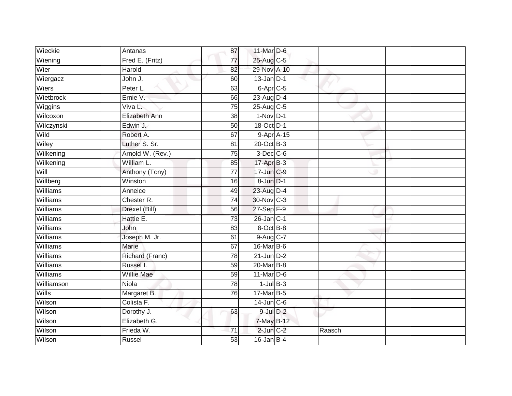| Wieckie    | Antanas          | 87              | 11-Mar D-6      |            |        |  |
|------------|------------------|-----------------|-----------------|------------|--------|--|
| Wiening    | Fred E. (Fritz)  | $\overline{77}$ | 25-Aug C-5      |            |        |  |
| Wier       | <b>Harold</b>    | 82              | 29-Nov A-10     |            |        |  |
| Wiergacz   | John J.          | 60              | $13$ -Jan $D-1$ |            |        |  |
| Wiers      | Peter L.         | 63              | $6$ -Apr $C$ -5 |            |        |  |
| Wietbrock  | Ernie V.         | 66              | 23-Aug D-4      |            |        |  |
| Wiggins    | Viva L.          | 75              | 25-Aug C-5      |            |        |  |
| Wilcoxon   | Elizabeth Ann    | 38              | $1-Nov$ D-1     |            |        |  |
| Wilczynski | Edwin J.         | 50              | 18-Oct D-1      |            |        |  |
| Wild       | Robert A.        | 67              |                 | 9-Apr A-15 |        |  |
| Wiley      | Luther S. Sr.    | 81              | 20-Oct B-3      |            |        |  |
| Wilkening  | Arnold W. (Rev.) | 75              | $3$ -Dec $C$ -6 |            |        |  |
| Wilkening  | William L.       | 85              | 17-Apr B-3      |            |        |  |
| Will       | Anthony (Tony)   | $\overline{77}$ | 17-Jun C-9      |            |        |  |
| Willberg   | Winston          | $\overline{16}$ | 8-Jun D-1       |            |        |  |
| Williams   | Anneice          | 49              | 23-Aug D-4      |            |        |  |
| Williams   | Chester R.       | 74              | 30-Nov C-3      |            |        |  |
| Williams   | Drexel (Bill)    | 56              | 27-Sep F-9      |            |        |  |
| Williams   | Hattie E.        | 73              | 26-Jan C-1      |            |        |  |
| Williams   | John             | 83              | 8-Oct B-8       |            |        |  |
| Williams   | Joseph M. Jr.    | 61              | 9-Aug C-7       |            |        |  |
| Williams   | Marie            | 67              | 16-Mar B-6      |            |        |  |
| Williams   | Richard (Franc)  | 78              | $21$ -Jun $D-2$ |            |        |  |
| Williams   | Russel I.        | 59              | 20-Mar B-8      |            |        |  |
| Williams   | Willie Mae       | 59              | $11$ -Mar $D-6$ |            |        |  |
| Williamson | <b>Niola</b>     | $\overline{78}$ | $1$ -Jul $B-3$  |            |        |  |
| Wills      | Margaret B.      | 76              | 17-Mar B-5      |            |        |  |
| Wilson     | Colista F.       |                 | $14$ -Jun $C-6$ |            |        |  |
| Wilson     | Dorothy J.       | 63              | $9$ -Jul $D-2$  |            |        |  |
| Wilson     | Elizabeth G.     |                 | 7-May B-12      |            |        |  |
| Wilson     | Frieda W.        | 71              | $2$ -Jun $C-2$  |            | Raasch |  |
| Wilson     | Russel           | 53              | $16$ -Jan B-4   |            |        |  |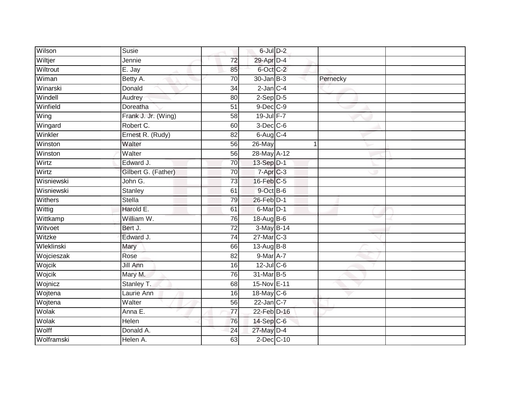| Wilson     | Susie               |                 | $6$ -Jul $D-2$  |              |  |
|------------|---------------------|-----------------|-----------------|--------------|--|
| Wiltjer    | Jennie              | 72              | 29-Apr D-4      |              |  |
| Wiltrout   | E. Jay              | 85              | 6-Oct C-2       |              |  |
| Wiman      | Betty A.            | $\overline{70}$ | 30-Jan B-3      | Pernecky     |  |
| Winarski   | Donald              | $\overline{34}$ | $2$ -Jan $C-4$  |              |  |
| Windell    | Audrey              | 80              | $2-Sep$ $D-5$   |              |  |
| Winfield   | Doreatha            | 51              | 9-Dec C-9       |              |  |
| Wing       | Frank J. Jr. (Wing) | 58              | $19$ -Jul $F-7$ |              |  |
| Wingard    | Robert C.           | 60              | $3$ -Dec $C$ -6 |              |  |
| Winkler    | Ernest R. (Rudy)    | $\overline{82}$ | $6$ -Aug $C$ -4 |              |  |
| Winston    | Walter              | 56              | 26-May          | $\mathbf{1}$ |  |
| Winston    | Walter              | $\overline{56}$ | 28-May A-12     |              |  |
| Wirtz      | Edward J.           | 70              | 13-Sep D-1      |              |  |
| Wirtz      | Gilbert G. (Father) | 70              | $7-AprC-3$      |              |  |
| Wisniewski | John G.             | $\overline{73}$ | 16-Feb C-5      |              |  |
| Wisniewski | Stanley             | 61              | 9-Oct B-6       |              |  |
| Withers    | <b>Stella</b>       | 79              | 26-Feb D-1      |              |  |
| Wittig     | Harold E.           | 61              | 6-Mar D-1       |              |  |
| Wittkamp   | William W.          | 76              | 18-Aug B-6      |              |  |
| Witvoet    | Bert J.             | $\overline{72}$ | 3-May B-14      |              |  |
| Witzke     | Edward J.           | $\overline{74}$ | 27-Mar C-3      |              |  |
| Wleklinski | Mary                | 66              | 13-Aug B-8      |              |  |
| Wojcieszak | Rose                | 82              | 9-Mar A-7       |              |  |
| Wojcik     | Jill Ann            | 16              | 12-Jul C-6      |              |  |
| Wojcik     | Mary M.             | $\overline{76}$ | 31-Mar B-5      |              |  |
| Wojnicz    | Stanley T.          | 68              | 15-Nov E-11     |              |  |
| Wojtena    | Laurie Ann          | 16              | 18-May C-6      |              |  |
| Wojtena    | Walter              | 56              | 22-Jan C-7      |              |  |
| Wolak      | Anna E.             | 77              | 22-Feb D-16     |              |  |
| Wolak      | Helen               | 76              | 14-Sep C-6      |              |  |
| Wolff      | Donald A.           | 24              | 27-May D-4      |              |  |
| Wolframski | Helen A.            | 63              | 2-Dec C-10      |              |  |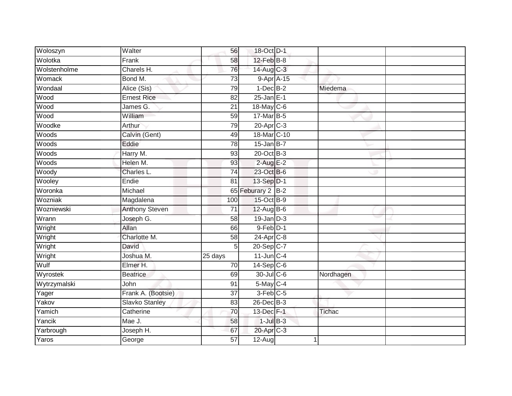| Charels H.            |                      |                                                                                                                                              |                                                                                                                                                                                                                                                                                                                                                                                                                                                                                                                                       |  |
|-----------------------|----------------------|----------------------------------------------------------------------------------------------------------------------------------------------|---------------------------------------------------------------------------------------------------------------------------------------------------------------------------------------------------------------------------------------------------------------------------------------------------------------------------------------------------------------------------------------------------------------------------------------------------------------------------------------------------------------------------------------|--|
| Bond M.               |                      |                                                                                                                                              |                                                                                                                                                                                                                                                                                                                                                                                                                                                                                                                                       |  |
| Alice (Sis)           |                      |                                                                                                                                              | Miedema                                                                                                                                                                                                                                                                                                                                                                                                                                                                                                                               |  |
| <b>Ernest Rice</b>    |                      |                                                                                                                                              |                                                                                                                                                                                                                                                                                                                                                                                                                                                                                                                                       |  |
| James G.              | 21                   |                                                                                                                                              |                                                                                                                                                                                                                                                                                                                                                                                                                                                                                                                                       |  |
| William               |                      |                                                                                                                                              |                                                                                                                                                                                                                                                                                                                                                                                                                                                                                                                                       |  |
| Arthur                |                      |                                                                                                                                              |                                                                                                                                                                                                                                                                                                                                                                                                                                                                                                                                       |  |
| Calvin (Gent)         |                      |                                                                                                                                              |                                                                                                                                                                                                                                                                                                                                                                                                                                                                                                                                       |  |
| Eddie                 |                      |                                                                                                                                              |                                                                                                                                                                                                                                                                                                                                                                                                                                                                                                                                       |  |
| Harry M.              |                      |                                                                                                                                              |                                                                                                                                                                                                                                                                                                                                                                                                                                                                                                                                       |  |
| Helen M.              |                      |                                                                                                                                              |                                                                                                                                                                                                                                                                                                                                                                                                                                                                                                                                       |  |
| Charles L.            |                      |                                                                                                                                              |                                                                                                                                                                                                                                                                                                                                                                                                                                                                                                                                       |  |
| Endie                 | 81                   |                                                                                                                                              |                                                                                                                                                                                                                                                                                                                                                                                                                                                                                                                                       |  |
| Michael               |                      |                                                                                                                                              |                                                                                                                                                                                                                                                                                                                                                                                                                                                                                                                                       |  |
| Magdalena             |                      |                                                                                                                                              |                                                                                                                                                                                                                                                                                                                                                                                                                                                                                                                                       |  |
| <b>Anthony Steven</b> | $\overline{71}$      |                                                                                                                                              |                                                                                                                                                                                                                                                                                                                                                                                                                                                                                                                                       |  |
| Joseph G.             |                      |                                                                                                                                              |                                                                                                                                                                                                                                                                                                                                                                                                                                                                                                                                       |  |
| Allan                 |                      |                                                                                                                                              |                                                                                                                                                                                                                                                                                                                                                                                                                                                                                                                                       |  |
| Charlotte M.          |                      |                                                                                                                                              |                                                                                                                                                                                                                                                                                                                                                                                                                                                                                                                                       |  |
| David                 |                      |                                                                                                                                              |                                                                                                                                                                                                                                                                                                                                                                                                                                                                                                                                       |  |
| Joshua M.             | $\overline{25}$ days |                                                                                                                                              |                                                                                                                                                                                                                                                                                                                                                                                                                                                                                                                                       |  |
| Elmer H.              |                      |                                                                                                                                              |                                                                                                                                                                                                                                                                                                                                                                                                                                                                                                                                       |  |
| <b>Beatrice</b>       |                      |                                                                                                                                              | Nordhagen                                                                                                                                                                                                                                                                                                                                                                                                                                                                                                                             |  |
| John                  | 91                   |                                                                                                                                              |                                                                                                                                                                                                                                                                                                                                                                                                                                                                                                                                       |  |
| Frank A. (Bootsie)    |                      |                                                                                                                                              |                                                                                                                                                                                                                                                                                                                                                                                                                                                                                                                                       |  |
| <b>Slavko Stanley</b> |                      |                                                                                                                                              |                                                                                                                                                                                                                                                                                                                                                                                                                                                                                                                                       |  |
| Catherine             |                      |                                                                                                                                              | Tichac                                                                                                                                                                                                                                                                                                                                                                                                                                                                                                                                |  |
| Mae J.                |                      |                                                                                                                                              |                                                                                                                                                                                                                                                                                                                                                                                                                                                                                                                                       |  |
| Joseph H.             | 67                   |                                                                                                                                              |                                                                                                                                                                                                                                                                                                                                                                                                                                                                                                                                       |  |
| George                | $\overline{57}$      |                                                                                                                                              |                                                                                                                                                                                                                                                                                                                                                                                                                                                                                                                                       |  |
|                       | Walter<br>Frank      | 56<br>58<br>76<br>73<br>79<br>82<br>59<br>79<br>49<br>78<br>93<br>93<br>74<br>100<br>58<br>66<br>58<br>5<br>70<br>69<br>37<br>83<br>70<br>58 | 18-Oct D-1<br>$12$ -Feb $B$ -8<br>14-Aug C-3<br>$9 - Apr$ $A - 15$<br>$1-Dec$ B-2<br>$25 - Jan$ E-1<br>18-May C-6<br>17-Mar B-5<br>20-Apr <sub>C-3</sub><br>18-Mar C-10<br>$15$ -Jan B-7<br>20-Oct B-3<br>$2$ -Aug E-2<br>23-Oct B-6<br>13-Sep D-1<br>65 Feburary 2 B-2<br>15-Oct B-9<br>$12$ -Aug B-6<br>$19$ -Jan $D-3$<br>9-Feb D-1<br>24-Apr <sub>C-8</sub><br>20-Sep C-7<br>$11$ -Jun $C-4$<br>$14-Sep$ C-6<br>30-Jul C-6<br>$5$ -May $C-4$<br>3-Feb C-5<br>26-Dec B-3<br>13-Dec F-1<br>$1$ -Jul $B-3$<br>20-Apr C-3<br>$12-Aug$ |  |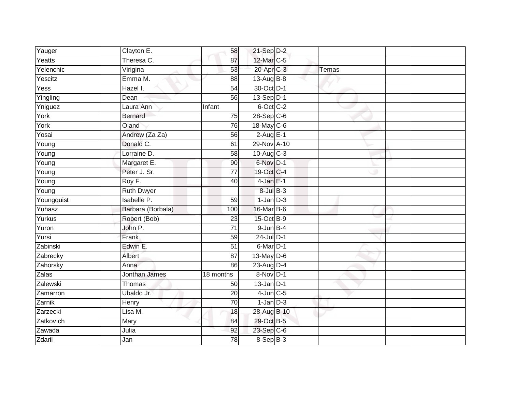| Yauger     | Clayton E.         | 58              | $21-Sep$ D-2    |       |  |
|------------|--------------------|-----------------|-----------------|-------|--|
| Yeatts     | Theresa C.         | 87              | 12-Mar C-5      |       |  |
| Yelenchic  | Virigina           | 53              | 20-Apr C-3      | Temas |  |
| Yescitz    | Emma M.            | 88              | 13-Aug B-8      |       |  |
| Yess       | Hazel I.           | $\overline{54}$ | 30-Oct D-1      |       |  |
| Yingling   | Dean               | 56              | 13-Sep D-1      |       |  |
| Yniguez    | Laura Ann          | Infant          | 6-Oct C-2       |       |  |
| York       | <b>Bernard</b>     | 75              | $28-Sep$ C-6    |       |  |
| York       | Oland              | 76              | 18-May C-6      |       |  |
| Yosai      | Andrew (Za Za)     | 56              | $2-Aug$ E-1     |       |  |
| Young      | Donald C.          | 61              | 29-Nov A-10     |       |  |
| Young      | Lorraine D.        | 58              | 10-Aug C-3      |       |  |
| Young      | Margaret E.        | 90              | 6-Nov D-1       |       |  |
| Young      | Peter J. Sr.       | 77              | 19-Oct C-4      |       |  |
| Young      | Roy F.             | 40              | $4$ -Jan $E-1$  |       |  |
| Young      | <b>Ruth Dwyer</b>  |                 | $8$ -Jul $B$ -3 |       |  |
| Youngquist | <b>Isabelle P.</b> | 59              | $1$ -Jan $D-3$  |       |  |
| Yuhasz     | Barbara (Borbala)  | 100             | 16-Mar B-6      |       |  |
| Yurkus     | Robert (Bob)       | 23              | 15-Oct B-9      |       |  |
| Yuron      | John P.            | 71              | $9$ -Jun $B-4$  |       |  |
| Yursi      | Frank              | 59              | $24$ -Jul $D-1$ |       |  |
| Zabinski   | Edwin E.           | $\overline{51}$ | 6-Mar D-1       |       |  |
| Zabrecky   | Albert             | 87              | $13$ -May $D-6$ |       |  |
| Zahorsky   | Anna               | 86              | 23-Aug D-4      |       |  |
| Zalas      | Jonthan James      | 18 months       | 8-Nov D-1       |       |  |
| Zalewski   | <b>Thomas</b>      | 50              | $13$ -Jan $D-1$ |       |  |
| Zamarron   | Ubaldo Jr.         | 20              | $4$ -Jun $C$ -5 |       |  |
| Zarnik     | Henry              | 70              | $1$ -Jan $D-3$  |       |  |
| Zarzecki   | Lisa M.            | 18              | 28-Aug B-10     |       |  |
| Zatkovich  | Mary               | 84              | 29-Oct B-5      |       |  |
| Zawada     | Julia              | 92              | 23-Sep C-6      |       |  |
| Zdaril     | Jan                | $\overline{78}$ | 8-Sep B-3       |       |  |